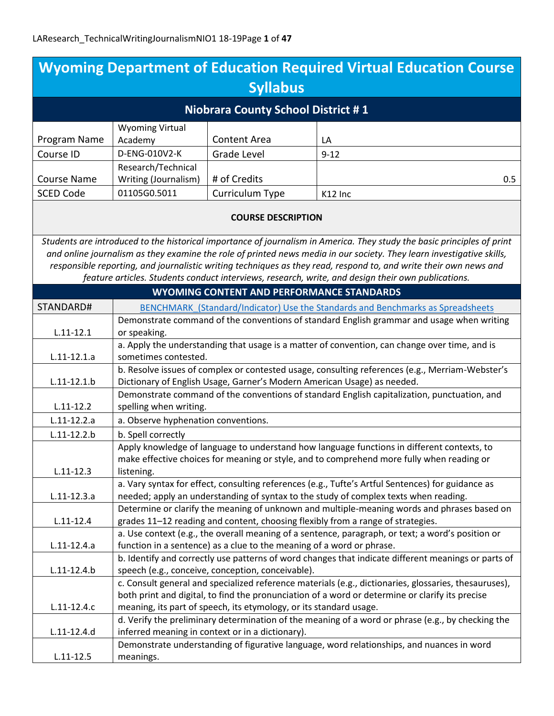|                                           |                                                                                                                                                                                |                                                                    | <b>Wyoming Department of Education Required Virtual Education Course</b>                                                |
|-------------------------------------------|--------------------------------------------------------------------------------------------------------------------------------------------------------------------------------|--------------------------------------------------------------------|-------------------------------------------------------------------------------------------------------------------------|
| <b>Syllabus</b>                           |                                                                                                                                                                                |                                                                    |                                                                                                                         |
| <b>Niobrara County School District #1</b> |                                                                                                                                                                                |                                                                    |                                                                                                                         |
|                                           | <b>Wyoming Virtual</b>                                                                                                                                                         |                                                                    |                                                                                                                         |
| Program Name                              | Academy                                                                                                                                                                        | <b>Content Area</b>                                                | LA                                                                                                                      |
| Course ID                                 | D-ENG-010V2-K                                                                                                                                                                  | <b>Grade Level</b>                                                 | $9 - 12$                                                                                                                |
|                                           | Research/Technical                                                                                                                                                             |                                                                    |                                                                                                                         |
| <b>Course Name</b>                        | Writing (Journalism)                                                                                                                                                           | # of Credits                                                       | 0.5                                                                                                                     |
| <b>SCED Code</b>                          | 01105G0.5011                                                                                                                                                                   | Curriculum Type                                                    | K12 Inc                                                                                                                 |
|                                           |                                                                                                                                                                                | <b>COURSE DESCRIPTION</b>                                          |                                                                                                                         |
|                                           |                                                                                                                                                                                |                                                                    | Students are introduced to the historical importance of journalism in America. They study the basic principles of print |
|                                           |                                                                                                                                                                                |                                                                    | and online journalism as they examine the role of printed news media in our society. They learn investigative skills,   |
|                                           |                                                                                                                                                                                |                                                                    | responsible reporting, and journalistic writing techniques as they read, respond to, and write their own news and       |
|                                           |                                                                                                                                                                                |                                                                    | feature articles. Students conduct interviews, research, write, and design their own publications.                      |
|                                           |                                                                                                                                                                                | <b>WYOMING CONTENT AND PERFORMANCE STANDARDS</b>                   |                                                                                                                         |
| STANDARD#                                 |                                                                                                                                                                                |                                                                    | BENCHMARK (Standard/Indicator) Use the Standards and Benchmarks as Spreadsheets                                         |
| $L.11 - 12.1$                             | or speaking.                                                                                                                                                                   |                                                                    | Demonstrate command of the conventions of standard English grammar and usage when writing                               |
|                                           |                                                                                                                                                                                |                                                                    | a. Apply the understanding that usage is a matter of convention, can change over time, and is                           |
| $L.11-12.1.a$                             | sometimes contested.                                                                                                                                                           |                                                                    |                                                                                                                         |
|                                           | b. Resolve issues of complex or contested usage, consulting references (e.g., Merriam-Webster's                                                                                |                                                                    |                                                                                                                         |
| $L.11 - 12.1.b$                           | Dictionary of English Usage, Garner's Modern American Usage) as needed.<br>Demonstrate command of the conventions of standard English capitalization, punctuation, and         |                                                                    |                                                                                                                         |
| $L.11 - 12.2$                             | spelling when writing.                                                                                                                                                         |                                                                    |                                                                                                                         |
| $L.11 - 12.2.a$                           | a. Observe hyphenation conventions.                                                                                                                                            |                                                                    |                                                                                                                         |
| $L.11-12.2.b$                             | b. Spell correctly                                                                                                                                                             |                                                                    |                                                                                                                         |
|                                           |                                                                                                                                                                                |                                                                    | Apply knowledge of language to understand how language functions in different contexts, to                              |
|                                           | make effective choices for meaning or style, and to comprehend more fully when reading or                                                                                      |                                                                    |                                                                                                                         |
| $L.11 - 12.3$                             | listening.                                                                                                                                                                     |                                                                    |                                                                                                                         |
|                                           | a. Vary syntax for effect, consulting references (e.g., Tufte's Artful Sentences) for guidance as                                                                              |                                                                    |                                                                                                                         |
| $L.11-12.3.a$                             | needed; apply an understanding of syntax to the study of complex texts when reading.                                                                                           |                                                                    |                                                                                                                         |
|                                           | Determine or clarify the meaning of unknown and multiple-meaning words and phrases based on<br>grades 11-12 reading and content, choosing flexibly from a range of strategies. |                                                                    |                                                                                                                         |
| $L.11 - 12.4$                             |                                                                                                                                                                                |                                                                    |                                                                                                                         |
| $L.11-12.4.a$                             | a. Use context (e.g., the overall meaning of a sentence, paragraph, or text; a word's position or                                                                              |                                                                    |                                                                                                                         |
|                                           | function in a sentence) as a clue to the meaning of a word or phrase.<br>b. Identify and correctly use patterns of word changes that indicate different meanings or parts of   |                                                                    |                                                                                                                         |
| $L.11 - 12.4.b$                           |                                                                                                                                                                                | speech (e.g., conceive, conception, conceivable).                  |                                                                                                                         |
|                                           |                                                                                                                                                                                |                                                                    | c. Consult general and specialized reference materials (e.g., dictionaries, glossaries, thesauruses),                   |
|                                           |                                                                                                                                                                                |                                                                    | both print and digital, to find the pronunciation of a word or determine or clarify its precise                         |
| $L.11-12.4.c$                             |                                                                                                                                                                                | meaning, its part of speech, its etymology, or its standard usage. |                                                                                                                         |
|                                           |                                                                                                                                                                                |                                                                    | d. Verify the preliminary determination of the meaning of a word or phrase (e.g., by checking the                       |
| $L.11-12.4.d$                             |                                                                                                                                                                                | inferred meaning in context or in a dictionary).                   |                                                                                                                         |
|                                           |                                                                                                                                                                                |                                                                    | Demonstrate understanding of figurative language, word relationships, and nuances in word                               |
| $L.11 - 12.5$                             | meanings.                                                                                                                                                                      |                                                                    |                                                                                                                         |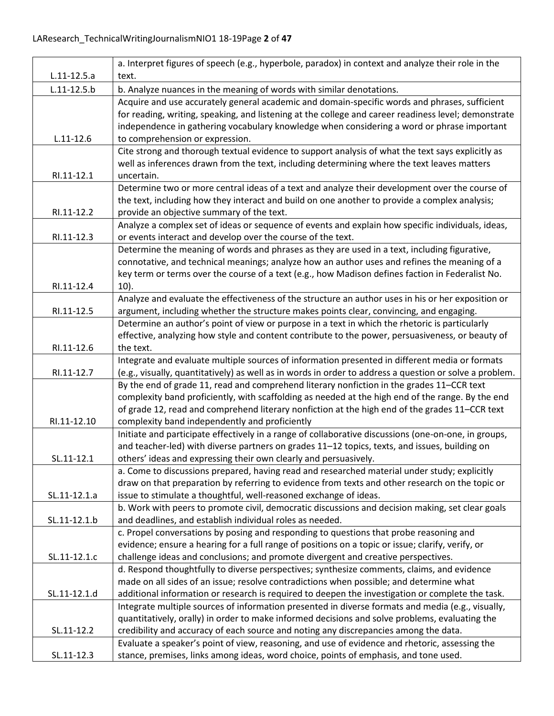|                 | a. Interpret figures of speech (e.g., hyperbole, paradox) in context and analyze their role in the                                                           |
|-----------------|--------------------------------------------------------------------------------------------------------------------------------------------------------------|
| $L.11-12.5.a$   | text.                                                                                                                                                        |
| $L.11 - 12.5.b$ | b. Analyze nuances in the meaning of words with similar denotations.                                                                                         |
|                 | Acquire and use accurately general academic and domain-specific words and phrases, sufficient                                                                |
|                 | for reading, writing, speaking, and listening at the college and career readiness level; demonstrate                                                         |
|                 | independence in gathering vocabulary knowledge when considering a word or phrase important                                                                   |
| $L.11 - 12.6$   | to comprehension or expression.                                                                                                                              |
|                 | Cite strong and thorough textual evidence to support analysis of what the text says explicitly as                                                            |
|                 | well as inferences drawn from the text, including determining where the text leaves matters                                                                  |
| RI.11-12.1      | uncertain.                                                                                                                                                   |
|                 | Determine two or more central ideas of a text and analyze their development over the course of                                                               |
|                 | the text, including how they interact and build on one another to provide a complex analysis;                                                                |
| RI.11-12.2      | provide an objective summary of the text.                                                                                                                    |
|                 | Analyze a complex set of ideas or sequence of events and explain how specific individuals, ideas,                                                            |
| RI.11-12.3      | or events interact and develop over the course of the text.                                                                                                  |
|                 | Determine the meaning of words and phrases as they are used in a text, including figurative,                                                                 |
|                 | connotative, and technical meanings; analyze how an author uses and refines the meaning of a                                                                 |
|                 | key term or terms over the course of a text (e.g., how Madison defines faction in Federalist No.                                                             |
| RI.11-12.4      | $10$ ).                                                                                                                                                      |
|                 | Analyze and evaluate the effectiveness of the structure an author uses in his or her exposition or                                                           |
| RI.11-12.5      | argument, including whether the structure makes points clear, convincing, and engaging.                                                                      |
|                 | Determine an author's point of view or purpose in a text in which the rhetoric is particularly                                                               |
|                 | effective, analyzing how style and content contribute to the power, persuasiveness, or beauty of                                                             |
| RI.11-12.6      | the text.                                                                                                                                                    |
|                 | Integrate and evaluate multiple sources of information presented in different media or formats                                                               |
| RI.11-12.7      | (e.g., visually, quantitatively) as well as in words in order to address a question or solve a problem.                                                      |
|                 | By the end of grade 11, read and comprehend literary nonfiction in the grades 11-CCR text                                                                    |
|                 | complexity band proficiently, with scaffolding as needed at the high end of the range. By the end                                                            |
|                 | of grade 12, read and comprehend literary nonfiction at the high end of the grades 11-CCR text                                                               |
| RI.11-12.10     | complexity band independently and proficiently                                                                                                               |
|                 | Initiate and participate effectively in a range of collaborative discussions (one-on-one, in groups,                                                         |
|                 | and teacher-led) with diverse partners on grades 11-12 topics, texts, and issues, building on                                                                |
| SL.11-12.1      | others' ideas and expressing their own clearly and persuasively.                                                                                             |
|                 | a. Come to discussions prepared, having read and researched material under study; explicitly                                                                 |
|                 | draw on that preparation by referring to evidence from texts and other research on the topic or                                                              |
| SL.11-12.1.a    | issue to stimulate a thoughtful, well-reasoned exchange of ideas.                                                                                            |
| SL.11-12.1.b    | b. Work with peers to promote civil, democratic discussions and decision making, set clear goals<br>and deadlines, and establish individual roles as needed. |
|                 | c. Propel conversations by posing and responding to questions that probe reasoning and                                                                       |
|                 | evidence; ensure a hearing for a full range of positions on a topic or issue; clarify, verify, or                                                            |
| SL.11-12.1.c    | challenge ideas and conclusions; and promote divergent and creative perspectives.                                                                            |
|                 | d. Respond thoughtfully to diverse perspectives; synthesize comments, claims, and evidence                                                                   |
|                 | made on all sides of an issue; resolve contradictions when possible; and determine what                                                                      |
| SL.11-12.1.d    | additional information or research is required to deepen the investigation or complete the task.                                                             |
|                 | Integrate multiple sources of information presented in diverse formats and media (e.g., visually,                                                            |
|                 | quantitatively, orally) in order to make informed decisions and solve problems, evaluating the                                                               |
| SL.11-12.2      | credibility and accuracy of each source and noting any discrepancies among the data.                                                                         |
|                 | Evaluate a speaker's point of view, reasoning, and use of evidence and rhetoric, assessing the                                                               |
| SL.11-12.3      | stance, premises, links among ideas, word choice, points of emphasis, and tone used.                                                                         |
|                 |                                                                                                                                                              |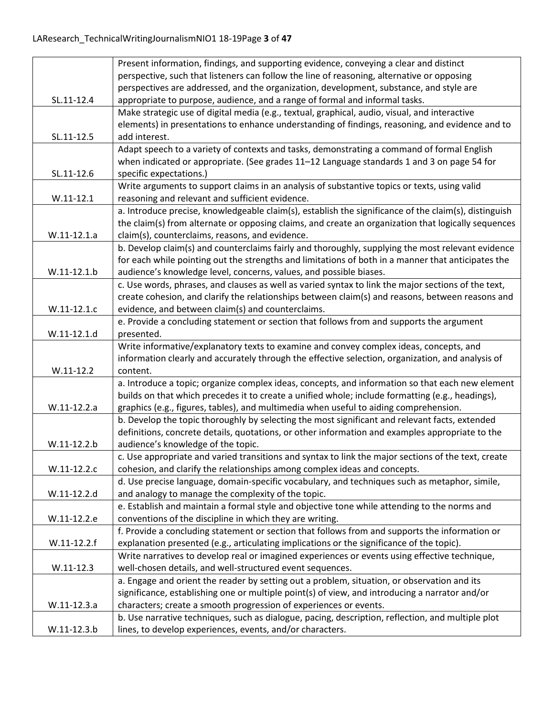|               | Present information, findings, and supporting evidence, conveying a clear and distinct                                                                |
|---------------|-------------------------------------------------------------------------------------------------------------------------------------------------------|
|               | perspective, such that listeners can follow the line of reasoning, alternative or opposing                                                            |
|               | perspectives are addressed, and the organization, development, substance, and style are                                                               |
| SL.11-12.4    | appropriate to purpose, audience, and a range of formal and informal tasks.                                                                           |
|               | Make strategic use of digital media (e.g., textual, graphical, audio, visual, and interactive                                                         |
|               | elements) in presentations to enhance understanding of findings, reasoning, and evidence and to                                                       |
| SL.11-12.5    | add interest.                                                                                                                                         |
|               | Adapt speech to a variety of contexts and tasks, demonstrating a command of formal English                                                            |
|               | when indicated or appropriate. (See grades 11-12 Language standards 1 and 3 on page 54 for                                                            |
| SL.11-12.6    | specific expectations.)                                                                                                                               |
|               | Write arguments to support claims in an analysis of substantive topics or texts, using valid                                                          |
| $W.11 - 12.1$ | reasoning and relevant and sufficient evidence.                                                                                                       |
|               | a. Introduce precise, knowledgeable claim(s), establish the significance of the claim(s), distinguish                                                 |
|               | the claim(s) from alternate or opposing claims, and create an organization that logically sequences                                                   |
| $W.11-12.1.a$ | claim(s), counterclaims, reasons, and evidence.                                                                                                       |
|               | b. Develop claim(s) and counterclaims fairly and thoroughly, supplying the most relevant evidence                                                     |
|               | for each while pointing out the strengths and limitations of both in a manner that anticipates the                                                    |
| $W.11-12.1.b$ | audience's knowledge level, concerns, values, and possible biases.                                                                                    |
|               | c. Use words, phrases, and clauses as well as varied syntax to link the major sections of the text,                                                   |
|               | create cohesion, and clarify the relationships between claim(s) and reasons, between reasons and<br>evidence, and between claim(s) and counterclaims. |
| W.11-12.1.c   |                                                                                                                                                       |
| $W.11-12.1.d$ | e. Provide a concluding statement or section that follows from and supports the argument                                                              |
|               | presented.<br>Write informative/explanatory texts to examine and convey complex ideas, concepts, and                                                  |
|               | information clearly and accurately through the effective selection, organization, and analysis of                                                     |
| $W.11-12.2$   | content.                                                                                                                                              |
|               | a. Introduce a topic; organize complex ideas, concepts, and information so that each new element                                                      |
|               | builds on that which precedes it to create a unified whole; include formatting (e.g., headings),                                                      |
| W.11-12.2.a   | graphics (e.g., figures, tables), and multimedia when useful to aiding comprehension.                                                                 |
|               | b. Develop the topic thoroughly by selecting the most significant and relevant facts, extended                                                        |
|               | definitions, concrete details, quotations, or other information and examples appropriate to the                                                       |
| W.11-12.2.b   | audience's knowledge of the topic.                                                                                                                    |
|               | c. Use appropriate and varied transitions and syntax to link the major sections of the text, create                                                   |
| W.11-12.2.c   | cohesion, and clarify the relationships among complex ideas and concepts.                                                                             |
|               | d. Use precise language, domain-specific vocabulary, and techniques such as metaphor, simile,                                                         |
| W.11-12.2.d   | and analogy to manage the complexity of the topic.                                                                                                    |
|               | e. Establish and maintain a formal style and objective tone while attending to the norms and                                                          |
| W.11-12.2.e   | conventions of the discipline in which they are writing.                                                                                              |
|               | f. Provide a concluding statement or section that follows from and supports the information or                                                        |
| $W.11-12.2.f$ | explanation presented (e.g., articulating implications or the significance of the topic).                                                             |
|               | Write narratives to develop real or imagined experiences or events using effective technique,                                                         |
| $W.11-12.3$   | well-chosen details, and well-structured event sequences.                                                                                             |
|               | a. Engage and orient the reader by setting out a problem, situation, or observation and its                                                           |
|               | significance, establishing one or multiple point(s) of view, and introducing a narrator and/or                                                        |
| W.11-12.3.a   | characters; create a smooth progression of experiences or events.                                                                                     |
|               | b. Use narrative techniques, such as dialogue, pacing, description, reflection, and multiple plot                                                     |
| W.11-12.3.b   | lines, to develop experiences, events, and/or characters.                                                                                             |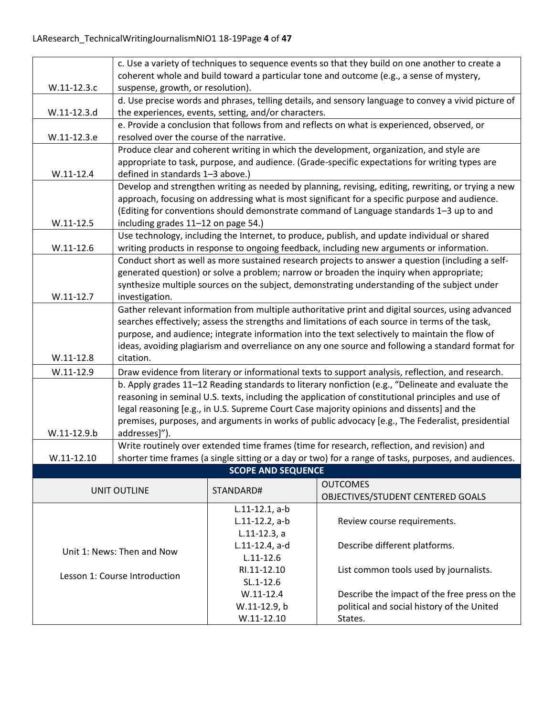|                               | c. Use a variety of techniques to sequence events so that they build on one another to create a                                           |                                                      |                                                                                                       |  |
|-------------------------------|-------------------------------------------------------------------------------------------------------------------------------------------|------------------------------------------------------|-------------------------------------------------------------------------------------------------------|--|
|                               | coherent whole and build toward a particular tone and outcome (e.g., a sense of mystery,                                                  |                                                      |                                                                                                       |  |
| W.11-12.3.c                   | suspense, growth, or resolution).                                                                                                         |                                                      |                                                                                                       |  |
| W.11-12.3.d                   |                                                                                                                                           | the experiences, events, setting, and/or characters. | d. Use precise words and phrases, telling details, and sensory language to convey a vivid picture of  |  |
|                               |                                                                                                                                           |                                                      |                                                                                                       |  |
| W.11-12.3.e                   | e. Provide a conclusion that follows from and reflects on what is experienced, observed, or<br>resolved over the course of the narrative. |                                                      |                                                                                                       |  |
|                               | Produce clear and coherent writing in which the development, organization, and style are                                                  |                                                      |                                                                                                       |  |
|                               | appropriate to task, purpose, and audience. (Grade-specific expectations for writing types are                                            |                                                      |                                                                                                       |  |
| $W.11-12.4$                   | defined in standards 1-3 above.)                                                                                                          |                                                      |                                                                                                       |  |
|                               |                                                                                                                                           |                                                      | Develop and strengthen writing as needed by planning, revising, editing, rewriting, or trying a new   |  |
|                               |                                                                                                                                           |                                                      | approach, focusing on addressing what is most significant for a specific purpose and audience.        |  |
| $W.11-12.5$                   | including grades 11-12 on page 54.)                                                                                                       |                                                      | (Editing for conventions should demonstrate command of Language standards 1-3 up to and               |  |
|                               |                                                                                                                                           |                                                      | Use technology, including the Internet, to produce, publish, and update individual or shared          |  |
| $W.11-12.6$                   |                                                                                                                                           |                                                      | writing products in response to ongoing feedback, including new arguments or information.             |  |
|                               |                                                                                                                                           |                                                      | Conduct short as well as more sustained research projects to answer a question (including a self-     |  |
|                               |                                                                                                                                           |                                                      | generated question) or solve a problem; narrow or broaden the inquiry when appropriate;               |  |
|                               |                                                                                                                                           |                                                      | synthesize multiple sources on the subject, demonstrating understanding of the subject under          |  |
| $W.11-12.7$                   | investigation.                                                                                                                            |                                                      |                                                                                                       |  |
|                               |                                                                                                                                           |                                                      | Gather relevant information from multiple authoritative print and digital sources, using advanced     |  |
|                               |                                                                                                                                           |                                                      | searches effectively; assess the strengths and limitations of each source in terms of the task,       |  |
|                               | purpose, and audience; integrate information into the text selectively to maintain the flow of                                            |                                                      |                                                                                                       |  |
| $W.11-12.8$                   | ideas, avoiding plagiarism and overreliance on any one source and following a standard format for<br>citation.                            |                                                      |                                                                                                       |  |
| $W.11-12.9$                   | Draw evidence from literary or informational texts to support analysis, reflection, and research.                                         |                                                      |                                                                                                       |  |
|                               | b. Apply grades 11-12 Reading standards to literary nonfiction (e.g., "Delineate and evaluate the                                         |                                                      |                                                                                                       |  |
|                               | reasoning in seminal U.S. texts, including the application of constitutional principles and use of                                        |                                                      |                                                                                                       |  |
|                               | legal reasoning [e.g., in U.S. Supreme Court Case majority opinions and dissents] and the                                                 |                                                      |                                                                                                       |  |
|                               | premises, purposes, and arguments in works of public advocacy [e.g., The Federalist, presidential                                         |                                                      |                                                                                                       |  |
| W.11-12.9.b                   | addresses]").                                                                                                                             |                                                      |                                                                                                       |  |
|                               |                                                                                                                                           |                                                      | Write routinely over extended time frames (time for research, reflection, and revision) and           |  |
| $W.11 - 12.10$                |                                                                                                                                           |                                                      | shorter time frames (a single sitting or a day or two) for a range of tasks, purposes, and audiences. |  |
|                               |                                                                                                                                           | <b>SCOPE AND SEQUENCE</b>                            |                                                                                                       |  |
|                               | <b>UNIT OUTLINE</b>                                                                                                                       | STANDARD#                                            | <b>OUTCOMES</b><br>OBJECTIVES/STUDENT CENTERED GOALS                                                  |  |
|                               |                                                                                                                                           | $L.11-12.1, a-b$                                     |                                                                                                       |  |
|                               |                                                                                                                                           | $L.11-12.2$ , a-b                                    | Review course requirements.                                                                           |  |
|                               |                                                                                                                                           | $L.11-12.3, a$                                       |                                                                                                       |  |
|                               |                                                                                                                                           | L.11-12.4, a-d                                       | Describe different platforms.                                                                         |  |
| Unit 1: News: Then and Now    |                                                                                                                                           | $L.11 - 12.6$                                        |                                                                                                       |  |
| Lesson 1: Course Introduction |                                                                                                                                           | RI.11-12.10                                          | List common tools used by journalists.                                                                |  |
|                               |                                                                                                                                           | $SL.1 - 12.6$                                        |                                                                                                       |  |
|                               |                                                                                                                                           | $W.11 - 12.4$                                        | Describe the impact of the free press on the                                                          |  |
|                               |                                                                                                                                           | W.11-12.9, b                                         | political and social history of the United                                                            |  |
|                               |                                                                                                                                           | $W.11-12.10$                                         | States.                                                                                               |  |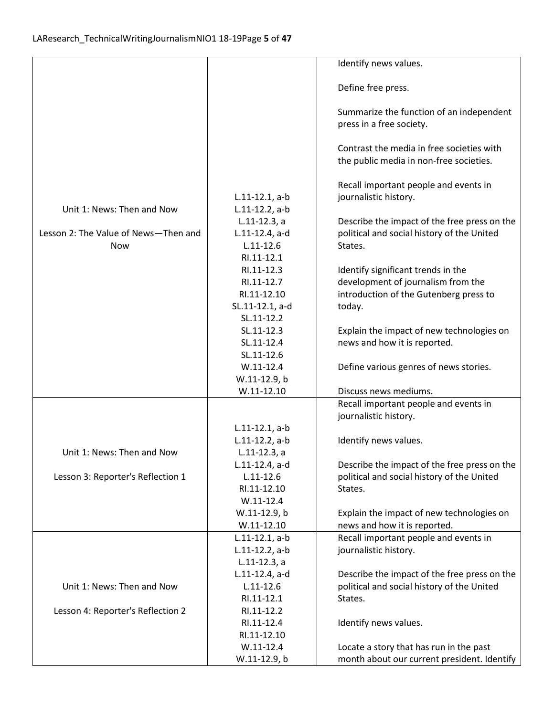|                                      |                   | Identify news values.                        |
|--------------------------------------|-------------------|----------------------------------------------|
|                                      |                   |                                              |
|                                      |                   | Define free press.                           |
|                                      |                   |                                              |
|                                      |                   | Summarize the function of an independent     |
|                                      |                   | press in a free society.                     |
|                                      |                   |                                              |
|                                      |                   | Contrast the media in free societies with    |
|                                      |                   | the public media in non-free societies.      |
|                                      |                   |                                              |
|                                      |                   | Recall important people and events in        |
|                                      | $L.11-12.1, a-b$  | journalistic history.                        |
| Unit 1: News: Then and Now           | $L.11-12.2$ , a-b |                                              |
|                                      | $L.11-12.3, a$    | Describe the impact of the free press on the |
| Lesson 2: The Value of News-Then and | L.11-12.4, a-d    | political and social history of the United   |
| <b>Now</b>                           | $L.11 - 12.6$     | States.                                      |
|                                      | RI.11-12.1        |                                              |
|                                      | RI.11-12.3        | Identify significant trends in the           |
|                                      | RI.11-12.7        | development of journalism from the           |
|                                      | RI.11-12.10       | introduction of the Gutenberg press to       |
|                                      | SL.11-12.1, a-d   | today.                                       |
|                                      | SL.11-12.2        |                                              |
|                                      | SL.11-12.3        | Explain the impact of new technologies on    |
|                                      | SL.11-12.4        | news and how it is reported.                 |
|                                      | SL.11-12.6        |                                              |
|                                      | $W.11-12.4$       | Define various genres of news stories.       |
|                                      | W.11-12.9, b      |                                              |
|                                      | $W.11 - 12.10$    | Discuss news mediums.                        |
|                                      |                   | Recall important people and events in        |
|                                      |                   | journalistic history.                        |
|                                      | $L.11-12.1, a-b$  |                                              |
|                                      | $L.11-12.2$ , a-b | Identify news values.                        |
| Unit 1: News: Then and Now           | $L.11-12.3$ , a   |                                              |
|                                      | $L.11-12.4$ , a-d | Describe the impact of the free press on the |
| Lesson 3: Reporter's Reflection 1    | $L.11 - 12.6$     | political and social history of the United   |
|                                      | RI.11-12.10       | States.                                      |
|                                      | $W.11-12.4$       |                                              |
|                                      | W.11-12.9, b      | Explain the impact of new technologies on    |
|                                      | $W.11-12.10$      | news and how it is reported.                 |
|                                      | $L.11-12.1, a-b$  | Recall important people and events in        |
|                                      | $L.11-12.2$ , a-b | journalistic history.                        |
|                                      | $L.11-12.3, a$    |                                              |
|                                      | L.11-12.4, a-d    | Describe the impact of the free press on the |
| Unit 1: News: Then and Now           | $L.11 - 12.6$     | political and social history of the United   |
|                                      | RI.11-12.1        | States.                                      |
| Lesson 4: Reporter's Reflection 2    | RI.11-12.2        |                                              |
|                                      | RI.11-12.4        | Identify news values.                        |
|                                      | RI.11-12.10       |                                              |
|                                      | $W.11-12.4$       | Locate a story that has run in the past      |
|                                      | W.11-12.9, b      | month about our current president. Identify  |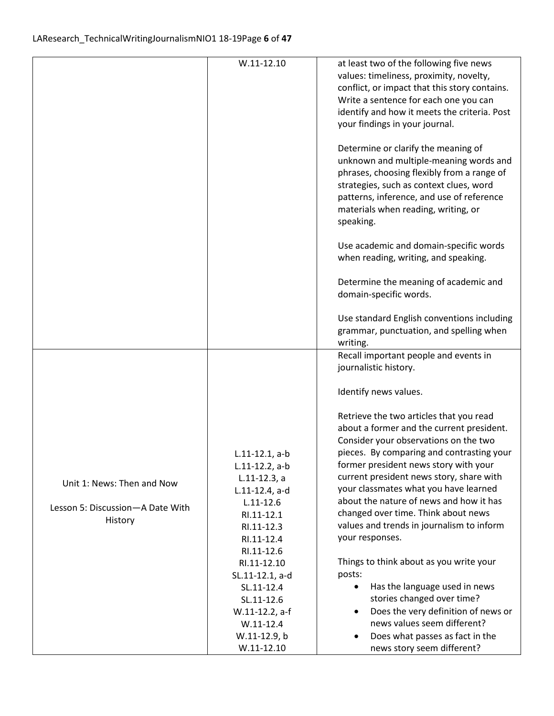|                                                                           | $W.11-12.10$                                                                                                                | at least two of the following five news<br>values: timeliness, proximity, novelty,<br>conflict, or impact that this story contains.<br>Write a sentence for each one you can<br>identify and how it meets the criteria. Post<br>your findings in your journal.            |
|---------------------------------------------------------------------------|-----------------------------------------------------------------------------------------------------------------------------|---------------------------------------------------------------------------------------------------------------------------------------------------------------------------------------------------------------------------------------------------------------------------|
|                                                                           |                                                                                                                             | Determine or clarify the meaning of<br>unknown and multiple-meaning words and<br>phrases, choosing flexibly from a range of<br>strategies, such as context clues, word<br>patterns, inference, and use of reference<br>materials when reading, writing, or<br>speaking.   |
|                                                                           |                                                                                                                             | Use academic and domain-specific words<br>when reading, writing, and speaking.                                                                                                                                                                                            |
|                                                                           |                                                                                                                             | Determine the meaning of academic and<br>domain-specific words.                                                                                                                                                                                                           |
|                                                                           |                                                                                                                             | Use standard English conventions including<br>grammar, punctuation, and spelling when<br>writing.                                                                                                                                                                         |
|                                                                           |                                                                                                                             | Recall important people and events in<br>journalistic history.                                                                                                                                                                                                            |
|                                                                           |                                                                                                                             | Identify news values.                                                                                                                                                                                                                                                     |
|                                                                           | $L.11-12.1, a-b$<br>$L.11-12.2$ , a-b                                                                                       | Retrieve the two articles that you read<br>about a former and the current president.<br>Consider your observations on the two<br>pieces. By comparing and contrasting your<br>former president news story with your<br>current president news story, share with           |
| Unit 1: News: Then and Now<br>Lesson 5: Discussion-A Date With<br>History | $L.11-12.3, a$<br>L.11-12.4, a-d<br>$L.11 - 12.6$<br>RI.11-12.1<br>RI.11-12.3<br>RI.11-12.4<br>RI.11-12.6                   | your classmates what you have learned<br>about the nature of news and how it has<br>changed over time. Think about news<br>values and trends in journalism to inform<br>your responses.                                                                                   |
|                                                                           | RI.11-12.10<br>SL.11-12.1, a-d<br>SL.11-12.4<br>SL.11-12.6<br>W.11-12.2, a-f<br>$W.11-12.4$<br>W.11-12.9, b<br>$W.11-12.10$ | Things to think about as you write your<br>posts:<br>Has the language used in news<br>stories changed over time?<br>Does the very definition of news or<br>$\bullet$<br>news values seem different?<br>Does what passes as fact in the<br>٠<br>news story seem different? |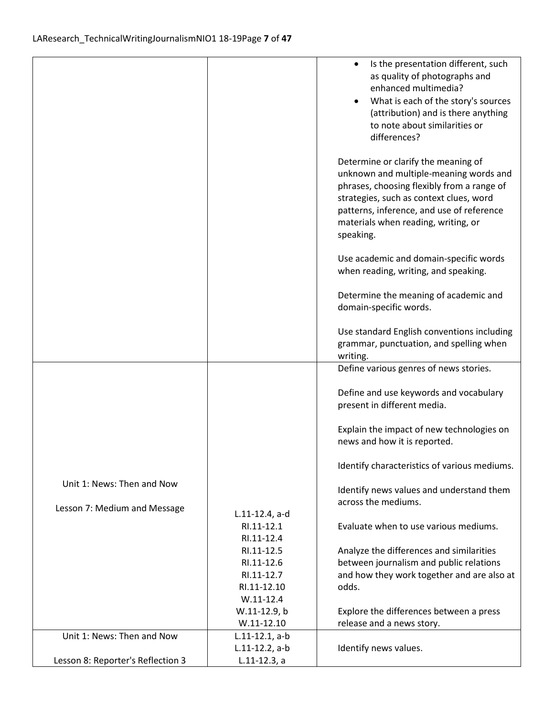|                              |                                       | Is the presentation different, such<br>$\bullet$<br>as quality of photographs and<br>enhanced multimedia?<br>What is each of the story's sources<br>(attribution) and is there anything<br>to note about similarities or<br>differences?                                |
|------------------------------|---------------------------------------|-------------------------------------------------------------------------------------------------------------------------------------------------------------------------------------------------------------------------------------------------------------------------|
|                              |                                       | Determine or clarify the meaning of<br>unknown and multiple-meaning words and<br>phrases, choosing flexibly from a range of<br>strategies, such as context clues, word<br>patterns, inference, and use of reference<br>materials when reading, writing, or<br>speaking. |
|                              |                                       | Use academic and domain-specific words<br>when reading, writing, and speaking.                                                                                                                                                                                          |
|                              |                                       | Determine the meaning of academic and<br>domain-specific words.                                                                                                                                                                                                         |
|                              |                                       | Use standard English conventions including<br>grammar, punctuation, and spelling when<br>writing.                                                                                                                                                                       |
|                              |                                       | Define various genres of news stories.                                                                                                                                                                                                                                  |
|                              |                                       | Define and use keywords and vocabulary<br>present in different media.                                                                                                                                                                                                   |
|                              |                                       | Explain the impact of new technologies on<br>news and how it is reported.                                                                                                                                                                                               |
|                              |                                       | Identify characteristics of various mediums.                                                                                                                                                                                                                            |
| Unit 1: News: Then and Now   |                                       | Identify news values and understand them                                                                                                                                                                                                                                |
| Lesson 7: Medium and Message | $L.11-12.4$ , a-d                     | across the mediums.                                                                                                                                                                                                                                                     |
|                              | RI.11-12.1<br>RI.11-12.4              | Evaluate when to use various mediums.                                                                                                                                                                                                                                   |
|                              | RI.11-12.5                            | Analyze the differences and similarities                                                                                                                                                                                                                                |
|                              | RI.11-12.6                            | between journalism and public relations                                                                                                                                                                                                                                 |
|                              | RI.11-12.7<br>RI.11-12.10             | and how they work together and are also at<br>odds.                                                                                                                                                                                                                     |
|                              | $W.11-12.4$                           |                                                                                                                                                                                                                                                                         |
|                              | W.11-12.9, b                          | Explore the differences between a press                                                                                                                                                                                                                                 |
|                              | $W.11-12.10$                          | release and a news story.                                                                                                                                                                                                                                               |
| Unit 1: News: Then and Now   |                                       |                                                                                                                                                                                                                                                                         |
|                              | $L.11-12.1, a-b$<br>$L.11-12.2$ , a-b | Identify news values.                                                                                                                                                                                                                                                   |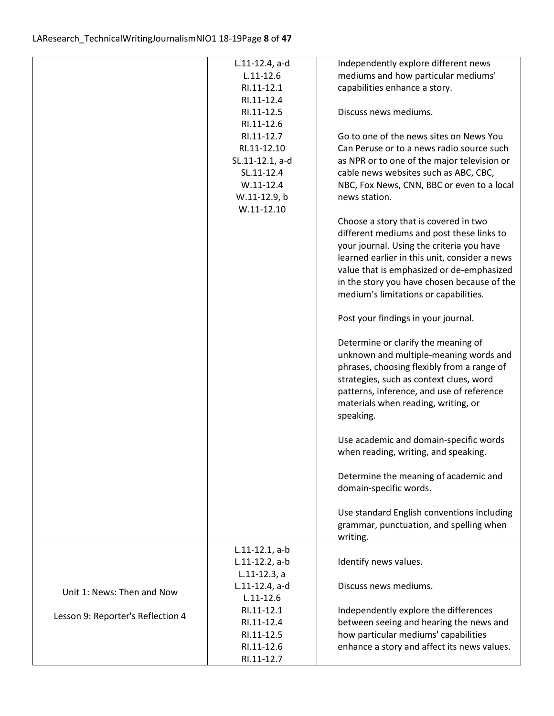|                                   | L.11-12.4, a-d    | Independently explore different news          |
|-----------------------------------|-------------------|-----------------------------------------------|
|                                   | $L.11 - 12.6$     | mediums and how particular mediums'           |
|                                   | RI.11-12.1        | capabilities enhance a story.                 |
|                                   | RI.11-12.4        |                                               |
|                                   | RI.11-12.5        | Discuss news mediums.                         |
|                                   | RI.11-12.6        |                                               |
|                                   | RI.11-12.7        | Go to one of the news sites on News You       |
|                                   | RI.11-12.10       | Can Peruse or to a news radio source such     |
|                                   | SL.11-12.1, a-d   | as NPR or to one of the major television or   |
|                                   | SL.11-12.4        | cable news websites such as ABC, CBC,         |
|                                   | $W.11-12.4$       | NBC, Fox News, CNN, BBC or even to a local    |
|                                   | W.11-12.9, b      | news station.                                 |
|                                   | $W.11 - 12.10$    |                                               |
|                                   |                   | Choose a story that is covered in two         |
|                                   |                   | different mediums and post these links to     |
|                                   |                   | your journal. Using the criteria you have     |
|                                   |                   |                                               |
|                                   |                   | learned earlier in this unit, consider a news |
|                                   |                   | value that is emphasized or de-emphasized     |
|                                   |                   | in the story you have chosen because of the   |
|                                   |                   | medium's limitations or capabilities.         |
|                                   |                   | Post your findings in your journal.           |
|                                   |                   | Determine or clarify the meaning of           |
|                                   |                   | unknown and multiple-meaning words and        |
|                                   |                   | phrases, choosing flexibly from a range of    |
|                                   |                   | strategies, such as context clues, word       |
|                                   |                   | patterns, inference, and use of reference     |
|                                   |                   | materials when reading, writing, or           |
|                                   |                   | speaking.                                     |
|                                   |                   |                                               |
|                                   |                   | Use academic and domain-specific words        |
|                                   |                   | when reading, writing, and speaking.          |
|                                   |                   | Determine the meaning of academic and         |
|                                   |                   | domain-specific words.                        |
|                                   |                   |                                               |
|                                   |                   | Use standard English conventions including    |
|                                   |                   | grammar, punctuation, and spelling when       |
|                                   |                   | writing.                                      |
|                                   | $L.11-12.1, a-b$  |                                               |
|                                   | $L.11-12.2$ , a-b | Identify news values.                         |
|                                   | $L.11-12.3$ , a   |                                               |
|                                   | L.11-12.4, a-d    | Discuss news mediums.                         |
| Unit 1: News: Then and Now        | $L.11 - 12.6$     |                                               |
|                                   | RI.11-12.1        | Independently explore the differences         |
| Lesson 9: Reporter's Reflection 4 | RI.11-12.4        | between seeing and hearing the news and       |
|                                   | RI.11-12.5        | how particular mediums' capabilities          |
|                                   | RI.11-12.6        | enhance a story and affect its news values.   |
|                                   | RI.11-12.7        |                                               |
|                                   |                   |                                               |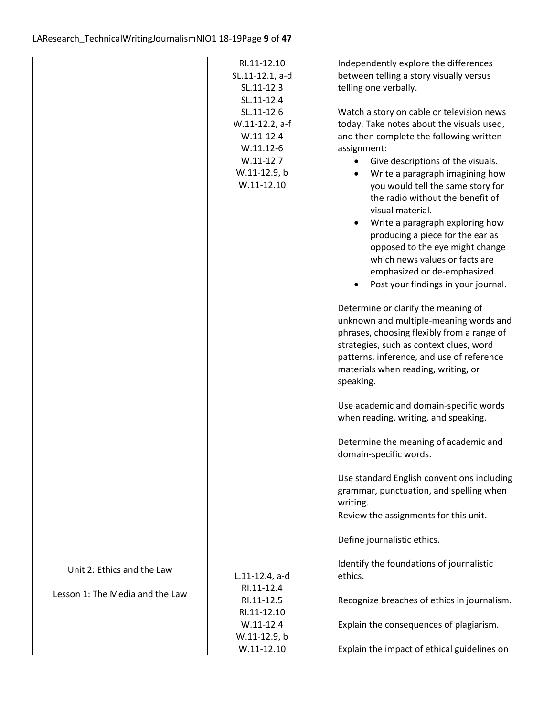|                                 | RI.11-12.10       | Independently explore the differences          |
|---------------------------------|-------------------|------------------------------------------------|
|                                 | SL.11-12.1, a-d   | between telling a story visually versus        |
|                                 | SL.11-12.3        | telling one verbally.                          |
|                                 | SL.11-12.4        |                                                |
|                                 | SL.11-12.6        | Watch a story on cable or television news      |
|                                 | W.11-12.2, a-f    | today. Take notes about the visuals used,      |
|                                 | $W.11-12.4$       | and then complete the following written        |
|                                 | $W.11.12-6$       | assignment:                                    |
|                                 | $W.11-12.7$       | Give descriptions of the visuals.<br>$\bullet$ |
|                                 | W.11-12.9, b      | Write a paragraph imagining how                |
|                                 | $W.11-12.10$      | you would tell the same story for              |
|                                 |                   | the radio without the benefit of               |
|                                 |                   | visual material.                               |
|                                 |                   | Write a paragraph exploring how                |
|                                 |                   | producing a piece for the ear as               |
|                                 |                   | opposed to the eye might change                |
|                                 |                   | which news values or facts are                 |
|                                 |                   | emphasized or de-emphasized.                   |
|                                 |                   | Post your findings in your journal.            |
|                                 |                   |                                                |
|                                 |                   | Determine or clarify the meaning of            |
|                                 |                   | unknown and multiple-meaning words and         |
|                                 |                   | phrases, choosing flexibly from a range of     |
|                                 |                   | strategies, such as context clues, word        |
|                                 |                   | patterns, inference, and use of reference      |
|                                 |                   | materials when reading, writing, or            |
|                                 |                   | speaking.                                      |
|                                 |                   |                                                |
|                                 |                   | Use academic and domain-specific words         |
|                                 |                   | when reading, writing, and speaking.           |
|                                 |                   |                                                |
|                                 |                   | Determine the meaning of academic and          |
|                                 |                   | domain-specific words.                         |
|                                 |                   |                                                |
|                                 |                   | Use standard English conventions including     |
|                                 |                   | grammar, punctuation, and spelling when        |
|                                 |                   | writing.                                       |
|                                 |                   | Review the assignments for this unit.          |
|                                 |                   |                                                |
|                                 |                   | Define journalistic ethics.                    |
|                                 |                   |                                                |
| Unit 2: Ethics and the Law      |                   | Identify the foundations of journalistic       |
|                                 | $L.11-12.4$ , a-d | ethics.                                        |
| Lesson 1: The Media and the Law | RI.11-12.4        |                                                |
|                                 | RI.11-12.5        | Recognize breaches of ethics in journalism.    |
|                                 | RI.11-12.10       |                                                |
|                                 | $W.11-12.4$       | Explain the consequences of plagiarism.        |
|                                 | W.11-12.9, b      |                                                |
|                                 | $W.11-12.10$      | Explain the impact of ethical guidelines on    |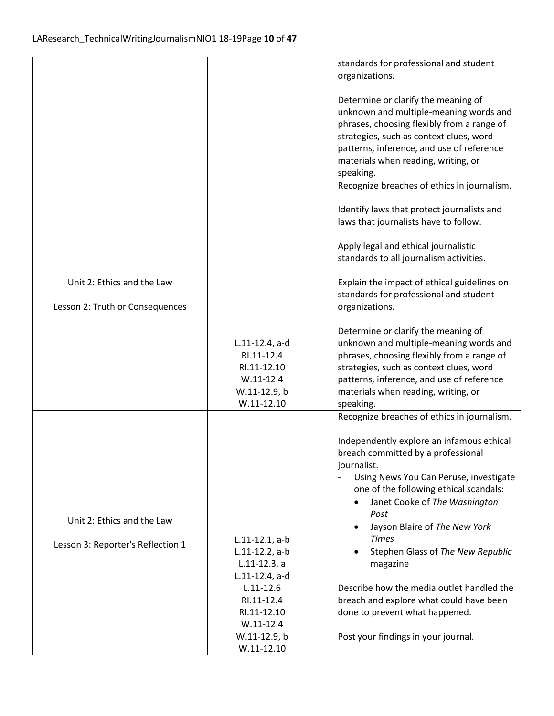|                                   |                               | standards for professional and student<br>organizations.                             |
|-----------------------------------|-------------------------------|--------------------------------------------------------------------------------------|
|                                   |                               |                                                                                      |
|                                   |                               | Determine or clarify the meaning of                                                  |
|                                   |                               | unknown and multiple-meaning words and<br>phrases, choosing flexibly from a range of |
|                                   |                               | strategies, such as context clues, word                                              |
|                                   |                               | patterns, inference, and use of reference                                            |
|                                   |                               | materials when reading, writing, or                                                  |
|                                   |                               | speaking.                                                                            |
|                                   |                               | Recognize breaches of ethics in journalism.                                          |
|                                   |                               | Identify laws that protect journalists and                                           |
|                                   |                               | laws that journalists have to follow.                                                |
|                                   |                               | Apply legal and ethical journalistic                                                 |
|                                   |                               | standards to all journalism activities.                                              |
| Unit 2: Ethics and the Law        |                               | Explain the impact of ethical guidelines on                                          |
|                                   |                               | standards for professional and student                                               |
| Lesson 2: Truth or Consequences   |                               | organizations.                                                                       |
|                                   |                               | Determine or clarify the meaning of                                                  |
|                                   | L.11-12.4, a-d                | unknown and multiple-meaning words and                                               |
|                                   | RI.11-12.4                    | phrases, choosing flexibly from a range of                                           |
|                                   | RI.11-12.10<br>$W.11-12.4$    | strategies, such as context clues, word                                              |
|                                   | W.11-12.9, b                  | patterns, inference, and use of reference<br>materials when reading, writing, or     |
|                                   | $W.11-12.10$                  | speaking.                                                                            |
|                                   |                               | Recognize breaches of ethics in journalism.                                          |
|                                   |                               | Independently explore an infamous ethical                                            |
|                                   |                               | breach committed by a professional                                                   |
|                                   |                               | journalist.                                                                          |
|                                   |                               | Using News You Can Peruse, investigate                                               |
|                                   |                               | one of the following ethical scandals:                                               |
|                                   |                               | Janet Cooke of The Washington<br>Post                                                |
| Unit 2: Ethics and the Law        |                               | Jayson Blaire of The New York                                                        |
|                                   | $L.11-12.1, a-b$              | <b>Times</b>                                                                         |
| Lesson 3: Reporter's Reflection 1 | $L.11-12.2$ , a-b             | Stephen Glass of The New Republic                                                    |
|                                   | $L.11-12.3, a$                | magazine                                                                             |
|                                   | L.11-12.4, a-d                |                                                                                      |
|                                   | $L.11 - 12.6$                 | Describe how the media outlet handled the                                            |
|                                   | RI.11-12.4                    | breach and explore what could have been                                              |
|                                   | RI.11-12.10                   | done to prevent what happened.                                                       |
|                                   | $W.11 - 12.4$<br>W.11-12.9, b | Post your findings in your journal.                                                  |
|                                   | $W.11-12.10$                  |                                                                                      |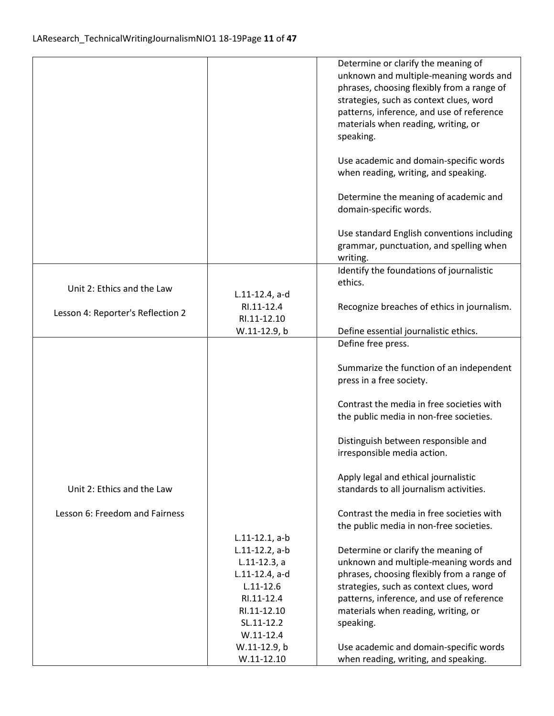| unknown and multiple-meaning words and                                                                                                                         |
|----------------------------------------------------------------------------------------------------------------------------------------------------------------|
| phrases, choosing flexibly from a range of                                                                                                                     |
| strategies, such as context clues, word                                                                                                                        |
| patterns, inference, and use of reference                                                                                                                      |
|                                                                                                                                                                |
|                                                                                                                                                                |
| Use academic and domain-specific words                                                                                                                         |
|                                                                                                                                                                |
| Determine the meaning of academic and                                                                                                                          |
|                                                                                                                                                                |
| Use standard English conventions including                                                                                                                     |
| grammar, punctuation, and spelling when                                                                                                                        |
|                                                                                                                                                                |
| Identify the foundations of journalistic                                                                                                                       |
|                                                                                                                                                                |
|                                                                                                                                                                |
| Recognize breaches of ethics in journalism.                                                                                                                    |
|                                                                                                                                                                |
|                                                                                                                                                                |
|                                                                                                                                                                |
| Summarize the function of an independent                                                                                                                       |
|                                                                                                                                                                |
| Contrast the media in free societies with                                                                                                                      |
| the public media in non-free societies.                                                                                                                        |
|                                                                                                                                                                |
|                                                                                                                                                                |
|                                                                                                                                                                |
|                                                                                                                                                                |
|                                                                                                                                                                |
| Contrast the media in free societies with                                                                                                                      |
| the public media in non-free societies.                                                                                                                        |
|                                                                                                                                                                |
|                                                                                                                                                                |
| unknown and multiple-meaning words and                                                                                                                         |
| phrases, choosing flexibly from a range of                                                                                                                     |
| strategies, such as context clues, word                                                                                                                        |
| patterns, inference, and use of reference                                                                                                                      |
|                                                                                                                                                                |
|                                                                                                                                                                |
| Use academic and domain-specific words                                                                                                                         |
|                                                                                                                                                                |
| when reading, writing, and speaking.<br>Distinguish between responsible and<br>standards to all journalism activities.<br>when reading, writing, and speaking. |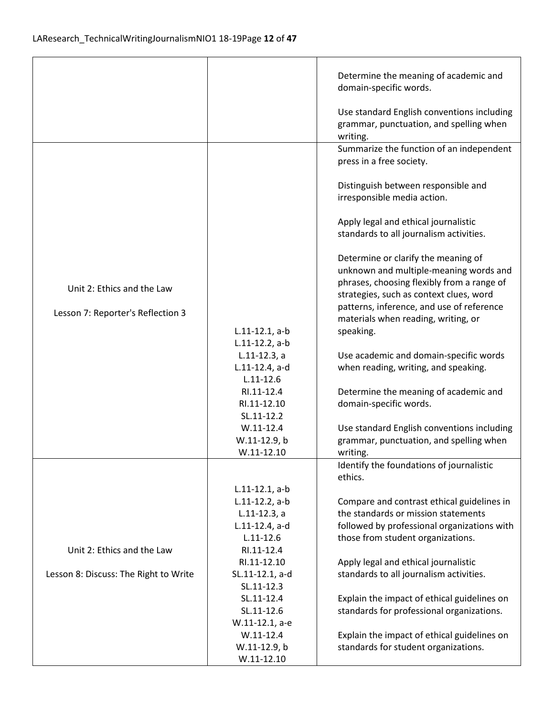$\mathbf{r}$ 

|                                       |                                 | Determine the meaning of academic and<br>domain-specific words.                                                                                                        |
|---------------------------------------|---------------------------------|------------------------------------------------------------------------------------------------------------------------------------------------------------------------|
|                                       |                                 | Use standard English conventions including<br>grammar, punctuation, and spelling when<br>writing.                                                                      |
|                                       |                                 | Summarize the function of an independent<br>press in a free society.                                                                                                   |
|                                       |                                 | Distinguish between responsible and<br>irresponsible media action.                                                                                                     |
|                                       |                                 | Apply legal and ethical journalistic<br>standards to all journalism activities.                                                                                        |
| Unit 2: Ethics and the Law            |                                 | Determine or clarify the meaning of<br>unknown and multiple-meaning words and<br>phrases, choosing flexibly from a range of<br>strategies, such as context clues, word |
| Lesson 7: Reporter's Reflection 3     |                                 | patterns, inference, and use of reference<br>materials when reading, writing, or                                                                                       |
|                                       | $L.11-12.1, a-b$                | speaking.                                                                                                                                                              |
|                                       | $L.11-12.2$ , a-b               |                                                                                                                                                                        |
|                                       | $L.11-12.3, a$                  | Use academic and domain-specific words                                                                                                                                 |
|                                       | L.11-12.4, a-d                  | when reading, writing, and speaking.                                                                                                                                   |
|                                       | $L.11 - 12.6$                   |                                                                                                                                                                        |
|                                       | RI.11-12.4                      | Determine the meaning of academic and                                                                                                                                  |
|                                       | RI.11-12.10<br>SL.11-12.2       | domain-specific words.                                                                                                                                                 |
|                                       | $W.11-12.4$                     | Use standard English conventions including                                                                                                                             |
|                                       | W.11-12.9, b                    | grammar, punctuation, and spelling when                                                                                                                                |
|                                       | $W.11-12.10$                    | writing.                                                                                                                                                               |
|                                       |                                 | Identify the foundations of journalistic<br>ethics.                                                                                                                    |
|                                       | $L.11-12.1, a-b$                |                                                                                                                                                                        |
|                                       | $L.11-12.2$ , a-b               | Compare and contrast ethical guidelines in                                                                                                                             |
|                                       | $L.11-12.3, a$                  | the standards or mission statements                                                                                                                                    |
|                                       | L.11-12.4, a-d<br>$L.11 - 12.6$ | followed by professional organizations with                                                                                                                            |
| Unit 2: Ethics and the Law            | RI.11-12.4                      | those from student organizations.                                                                                                                                      |
|                                       | RI.11-12.10                     | Apply legal and ethical journalistic                                                                                                                                   |
| Lesson 8: Discuss: The Right to Write | SL.11-12.1, a-d                 | standards to all journalism activities.                                                                                                                                |
|                                       | SL.11-12.3                      |                                                                                                                                                                        |
|                                       | SL.11-12.4                      | Explain the impact of ethical guidelines on                                                                                                                            |
|                                       | SL.11-12.6                      | standards for professional organizations.                                                                                                                              |
|                                       | W.11-12.1, a-e                  |                                                                                                                                                                        |
|                                       | $W.11-12.4$                     | Explain the impact of ethical guidelines on                                                                                                                            |
|                                       | W.11-12.9, b                    | standards for student organizations.                                                                                                                                   |
|                                       | $W.11-12.10$                    |                                                                                                                                                                        |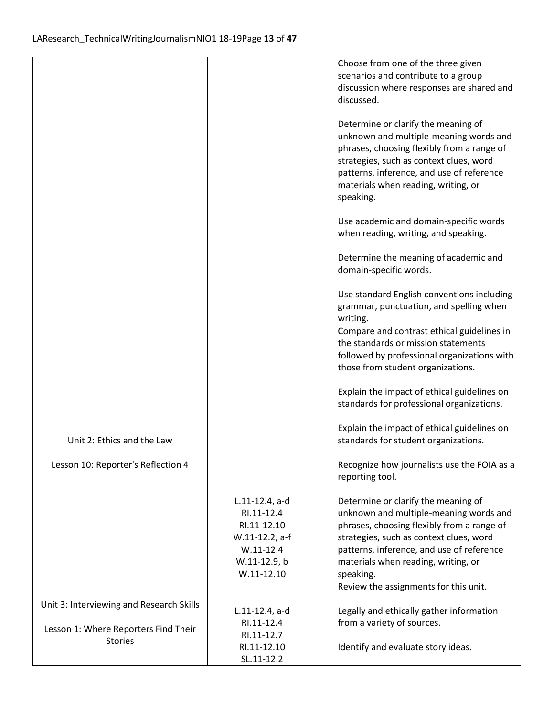|                                          |                                                                                                              | Choose from one of the three given<br>scenarios and contribute to a group                                                                                                                                                                                               |
|------------------------------------------|--------------------------------------------------------------------------------------------------------------|-------------------------------------------------------------------------------------------------------------------------------------------------------------------------------------------------------------------------------------------------------------------------|
|                                          |                                                                                                              | discussion where responses are shared and<br>discussed.                                                                                                                                                                                                                 |
|                                          |                                                                                                              | Determine or clarify the meaning of<br>unknown and multiple-meaning words and<br>phrases, choosing flexibly from a range of<br>strategies, such as context clues, word<br>patterns, inference, and use of reference<br>materials when reading, writing, or<br>speaking. |
|                                          |                                                                                                              | Use academic and domain-specific words<br>when reading, writing, and speaking.                                                                                                                                                                                          |
|                                          |                                                                                                              | Determine the meaning of academic and<br>domain-specific words.                                                                                                                                                                                                         |
|                                          |                                                                                                              | Use standard English conventions including<br>grammar, punctuation, and spelling when<br>writing.                                                                                                                                                                       |
|                                          |                                                                                                              | Compare and contrast ethical guidelines in<br>the standards or mission statements<br>followed by professional organizations with<br>those from student organizations.                                                                                                   |
|                                          |                                                                                                              | Explain the impact of ethical guidelines on<br>standards for professional organizations.                                                                                                                                                                                |
| Unit 2: Ethics and the Law               |                                                                                                              | Explain the impact of ethical guidelines on<br>standards for student organizations.                                                                                                                                                                                     |
| Lesson 10: Reporter's Reflection 4       |                                                                                                              | Recognize how journalists use the FOIA as a<br>reporting tool.                                                                                                                                                                                                          |
|                                          | L.11-12.4, a-d<br>RI.11-12.4<br>RI.11-12.10<br>W.11-12.2, a-f<br>$W.11-12.4$<br>W.11-12.9, b<br>$W.11-12.10$ | Determine or clarify the meaning of<br>unknown and multiple-meaning words and<br>phrases, choosing flexibly from a range of<br>strategies, such as context clues, word<br>patterns, inference, and use of reference<br>materials when reading, writing, or<br>speaking. |
|                                          |                                                                                                              | Review the assignments for this unit.                                                                                                                                                                                                                                   |
| Unit 3: Interviewing and Research Skills | $L.11-12.4$ , a-d                                                                                            | Legally and ethically gather information                                                                                                                                                                                                                                |
| Lesson 1: Where Reporters Find Their     | RI.11-12.4                                                                                                   | from a variety of sources.                                                                                                                                                                                                                                              |
| <b>Stories</b>                           | RI.11-12.7<br>RI.11-12.10                                                                                    | Identify and evaluate story ideas.                                                                                                                                                                                                                                      |
|                                          | SL.11-12.2                                                                                                   |                                                                                                                                                                                                                                                                         |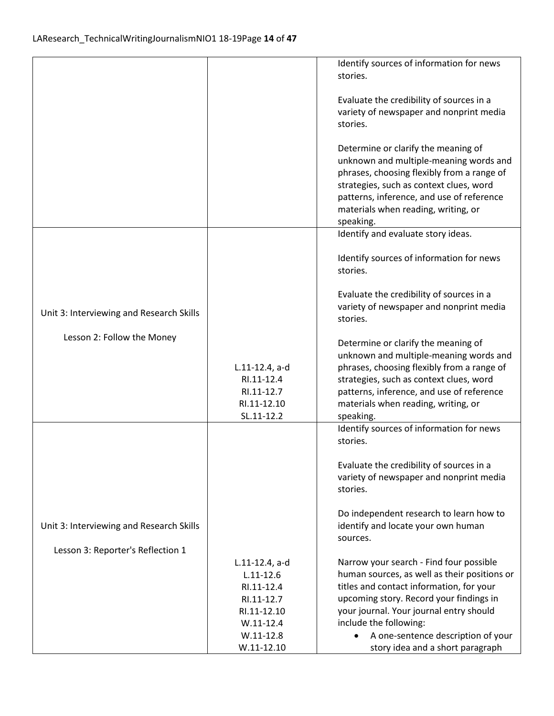|                                          |                | Identify sources of information for news     |
|------------------------------------------|----------------|----------------------------------------------|
|                                          |                |                                              |
|                                          |                | stories.                                     |
|                                          |                |                                              |
|                                          |                | Evaluate the credibility of sources in a     |
|                                          |                | variety of newspaper and nonprint media      |
|                                          |                | stories.                                     |
|                                          |                |                                              |
|                                          |                | Determine or clarify the meaning of          |
|                                          |                | unknown and multiple-meaning words and       |
|                                          |                | phrases, choosing flexibly from a range of   |
|                                          |                | strategies, such as context clues, word      |
|                                          |                | patterns, inference, and use of reference    |
|                                          |                |                                              |
|                                          |                | materials when reading, writing, or          |
|                                          |                | speaking.                                    |
|                                          |                | Identify and evaluate story ideas.           |
|                                          |                |                                              |
|                                          |                | Identify sources of information for news     |
|                                          |                | stories.                                     |
|                                          |                |                                              |
|                                          |                | Evaluate the credibility of sources in a     |
|                                          |                | variety of newspaper and nonprint media      |
| Unit 3: Interviewing and Research Skills |                | stories.                                     |
|                                          |                |                                              |
| Lesson 2: Follow the Money               |                | Determine or clarify the meaning of          |
|                                          |                | unknown and multiple-meaning words and       |
|                                          | L.11-12.4, a-d | phrases, choosing flexibly from a range of   |
|                                          | RI.11-12.4     | strategies, such as context clues, word      |
|                                          | RI.11-12.7     | patterns, inference, and use of reference    |
|                                          | RI.11-12.10    | materials when reading, writing, or          |
|                                          |                |                                              |
|                                          | SL.11-12.2     | speaking.                                    |
|                                          |                | Identify sources of information for news     |
|                                          |                | stories.                                     |
|                                          |                |                                              |
|                                          |                | Evaluate the credibility of sources in a     |
|                                          |                | variety of newspaper and nonprint media      |
|                                          |                | stories.                                     |
|                                          |                |                                              |
|                                          |                | Do independent research to learn how to      |
| Unit 3: Interviewing and Research Skills |                | identify and locate your own human           |
|                                          |                | sources.                                     |
| Lesson 3: Reporter's Reflection 1        |                |                                              |
|                                          | L.11-12.4, a-d | Narrow your search - Find four possible      |
|                                          | $L.11 - 12.6$  | human sources, as well as their positions or |
|                                          | RI.11-12.4     | titles and contact information, for your     |
|                                          | RI.11-12.7     | upcoming story. Record your findings in      |
|                                          | RI.11-12.10    | your journal. Your journal entry should      |
|                                          | $W.11-12.4$    | include the following:                       |
|                                          | $W.11-12.8$    | A one-sentence description of your           |
|                                          | $W.11-12.10$   | story idea and a short paragraph             |
|                                          |                |                                              |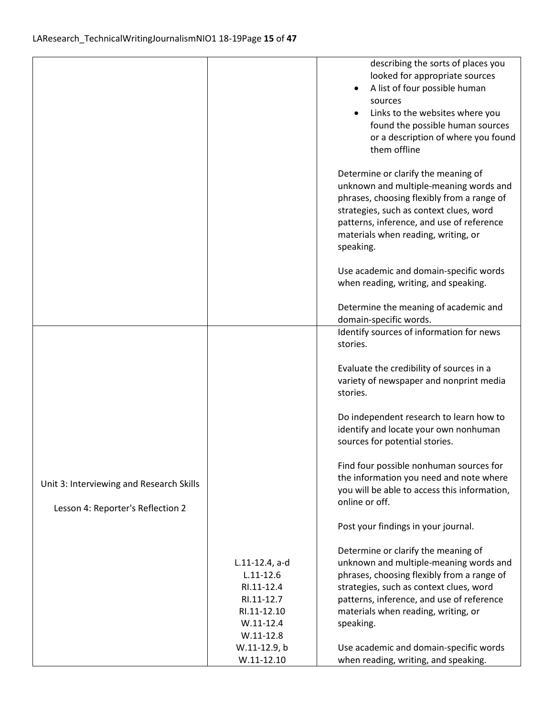|                                          |                | describing the sorts of places you<br>looked for appropriate sources<br>A list of four possible human |
|------------------------------------------|----------------|-------------------------------------------------------------------------------------------------------|
|                                          |                | sources                                                                                               |
|                                          |                | Links to the websites where you                                                                       |
|                                          |                | found the possible human sources                                                                      |
|                                          |                | or a description of where you found                                                                   |
|                                          |                | them offline                                                                                          |
|                                          |                |                                                                                                       |
|                                          |                | Determine or clarify the meaning of<br>unknown and multiple-meaning words and                         |
|                                          |                |                                                                                                       |
|                                          |                | phrases, choosing flexibly from a range of                                                            |
|                                          |                | strategies, such as context clues, word                                                               |
|                                          |                | patterns, inference, and use of reference                                                             |
|                                          |                | materials when reading, writing, or                                                                   |
|                                          |                | speaking.                                                                                             |
|                                          |                | Use academic and domain-specific words                                                                |
|                                          |                | when reading, writing, and speaking.                                                                  |
|                                          |                | Determine the meaning of academic and                                                                 |
|                                          |                | domain-specific words.                                                                                |
|                                          |                | Identify sources of information for news                                                              |
|                                          |                | stories.                                                                                              |
|                                          |                |                                                                                                       |
|                                          |                | Evaluate the credibility of sources in a                                                              |
|                                          |                | variety of newspaper and nonprint media                                                               |
|                                          |                | stories.                                                                                              |
|                                          |                | Do independent research to learn how to                                                               |
|                                          |                | identify and locate your own nonhuman                                                                 |
|                                          |                | sources for potential stories.                                                                        |
|                                          |                |                                                                                                       |
|                                          |                | Find four possible nonhuman sources for                                                               |
| Unit 3: Interviewing and Research Skills |                | the information you need and note where                                                               |
|                                          |                | you will be able to access this information,<br>online or off.                                        |
| Lesson 4: Reporter's Reflection 2        |                |                                                                                                       |
|                                          |                | Post your findings in your journal.                                                                   |
|                                          |                | Determine or clarify the meaning of                                                                   |
|                                          | L.11-12.4, a-d | unknown and multiple-meaning words and                                                                |
|                                          | $L.11 - 12.6$  | phrases, choosing flexibly from a range of                                                            |
|                                          | RI.11-12.4     | strategies, such as context clues, word                                                               |
|                                          | RI.11-12.7     | patterns, inference, and use of reference                                                             |
|                                          | RI.11-12.10    | materials when reading, writing, or                                                                   |
|                                          | $W.11-12.4$    | speaking.                                                                                             |
|                                          | $W.11-12.8$    |                                                                                                       |
|                                          | W.11-12.9, b   | Use academic and domain-specific words                                                                |
|                                          | $W.11-12.10$   | when reading, writing, and speaking.                                                                  |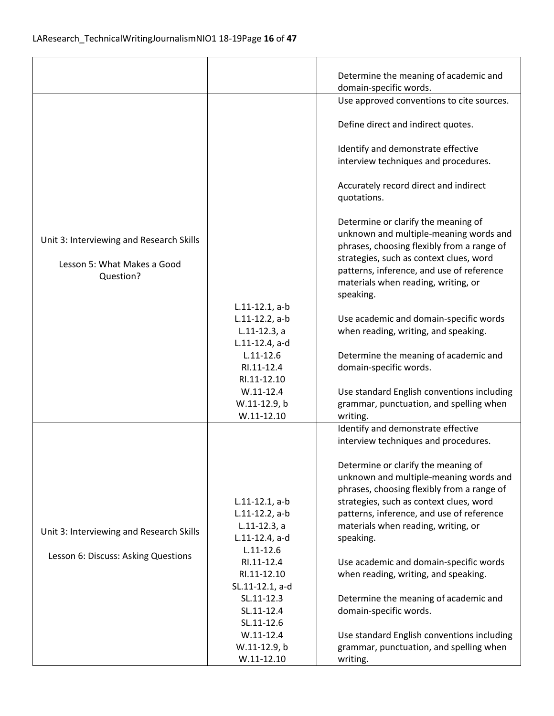|                                          |                   | Determine the meaning of academic and                                                |
|------------------------------------------|-------------------|--------------------------------------------------------------------------------------|
|                                          |                   | domain-specific words.                                                               |
|                                          |                   | Use approved conventions to cite sources.                                            |
|                                          |                   |                                                                                      |
|                                          |                   | Define direct and indirect quotes.                                                   |
|                                          |                   |                                                                                      |
|                                          |                   | Identify and demonstrate effective                                                   |
|                                          |                   | interview techniques and procedures.                                                 |
|                                          |                   |                                                                                      |
|                                          |                   | Accurately record direct and indirect                                                |
|                                          |                   | quotations.                                                                          |
|                                          |                   |                                                                                      |
|                                          |                   | Determine or clarify the meaning of                                                  |
| Unit 3: Interviewing and Research Skills |                   | unknown and multiple-meaning words and                                               |
|                                          |                   | phrases, choosing flexibly from a range of                                           |
| Lesson 5: What Makes a Good              |                   | strategies, such as context clues, word                                              |
| Question?                                |                   | patterns, inference, and use of reference                                            |
|                                          |                   | materials when reading, writing, or                                                  |
|                                          |                   | speaking.                                                                            |
|                                          | $L.11-12.1, a-b$  |                                                                                      |
|                                          | $L.11-12.2$ , a-b | Use academic and domain-specific words                                               |
|                                          | $L.11-12.3, a$    | when reading, writing, and speaking.                                                 |
|                                          | L.11-12.4, a-d    |                                                                                      |
|                                          | $L.11 - 12.6$     | Determine the meaning of academic and                                                |
|                                          | RI.11-12.4        | domain-specific words.                                                               |
|                                          | RI.11-12.10       |                                                                                      |
|                                          | $W.11-12.4$       | Use standard English conventions including                                           |
|                                          | W.11-12.9, b      | grammar, punctuation, and spelling when                                              |
|                                          | $W.11-12.10$      | writing.                                                                             |
|                                          |                   | Identify and demonstrate effective                                                   |
|                                          |                   | interview techniques and procedures.                                                 |
|                                          |                   |                                                                                      |
|                                          |                   | Determine or clarify the meaning of                                                  |
|                                          |                   | unknown and multiple-meaning words and<br>phrases, choosing flexibly from a range of |
|                                          | $L.11-12.1, a-b$  | strategies, such as context clues, word                                              |
|                                          | $L.11-12.2$ , a-b | patterns, inference, and use of reference                                            |
|                                          | $L.11-12.3, a$    | materials when reading, writing, or                                                  |
| Unit 3: Interviewing and Research Skills | L.11-12.4, a-d    | speaking.                                                                            |
|                                          | $L.11 - 12.6$     |                                                                                      |
| Lesson 6: Discuss: Asking Questions      | RI.11-12.4        | Use academic and domain-specific words                                               |
|                                          | RI.11-12.10       | when reading, writing, and speaking.                                                 |
|                                          | SL.11-12.1, a-d   |                                                                                      |
|                                          | SL.11-12.3        | Determine the meaning of academic and                                                |
|                                          | SL.11-12.4        | domain-specific words.                                                               |
|                                          | SL.11-12.6        |                                                                                      |
|                                          | $W.11 - 12.4$     | Use standard English conventions including                                           |
|                                          | W.11-12.9, b      | grammar, punctuation, and spelling when                                              |
|                                          | $W.11 - 12.10$    | writing.                                                                             |
|                                          |                   |                                                                                      |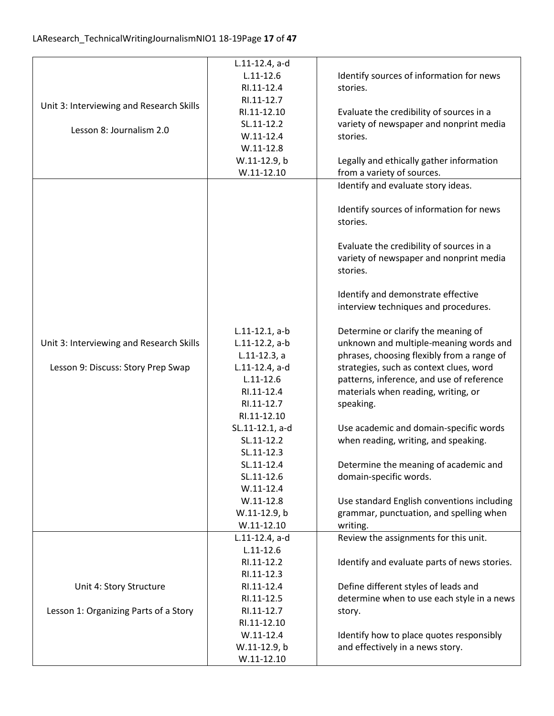| $L.11 - 12.6$<br>Identify sources of information for news<br>RI.11-12.4<br>stories.<br>RI.11-12.7<br>Unit 3: Interviewing and Research Skills<br>RI.11-12.10<br>Evaluate the credibility of sources in a<br>SL.11-12.2<br>variety of newspaper and nonprint media<br>Lesson 8: Journalism 2.0<br>$W.11-12.4$<br>stories.<br>$W.11-12.8$<br>W.11-12.9, b<br>Legally and ethically gather information<br>$W.11-12.10$<br>from a variety of sources.<br>Identify and evaluate story ideas.<br>Identify sources of information for news<br>stories.<br>Evaluate the credibility of sources in a<br>variety of newspaper and nonprint media<br>stories.<br>Identify and demonstrate effective<br>interview techniques and procedures.<br>$L.11-12.1, a-b$<br>Determine or clarify the meaning of<br>unknown and multiple-meaning words and<br>Unit 3: Interviewing and Research Skills<br>$L.11-12.2$ , a-b<br>phrases, choosing flexibly from a range of<br>$L.11-12.3, a$<br>Lesson 9: Discuss: Story Prep Swap<br>strategies, such as context clues, word<br>$L.11-12.4$ , a-d<br>$L.11 - 12.6$<br>patterns, inference, and use of reference<br>RI.11-12.4<br>materials when reading, writing, or<br>RI.11-12.7<br>speaking.<br>RI.11-12.10<br>Use academic and domain-specific words<br>SL.11-12.1, a-d<br>when reading, writing, and speaking.<br>SL.11-12.2<br>SL.11-12.3<br>Determine the meaning of academic and<br>SL.11-12.4<br>domain-specific words.<br>SL.11-12.6<br>$W.11-12.4$<br>$W.11-12.8$<br>Use standard English conventions including<br>W.11-12.9, b<br>grammar, punctuation, and spelling when<br>$W.11-12.10$<br>writing.<br>Review the assignments for this unit.<br>L.11-12.4, a-d<br>$L.11 - 12.6$<br>RI.11-12.2<br>Identify and evaluate parts of news stories.<br>RI.11-12.3<br>Define different styles of leads and<br>Unit 4: Story Structure<br>RI.11-12.4<br>determine when to use each style in a news<br>RI.11-12.5<br>Lesson 1: Organizing Parts of a Story<br>RI.11-12.7<br>story.<br>RI.11-12.10<br>$W.11-12.4$<br>Identify how to place quotes responsibly<br>and effectively in a news story.<br>W.11-12.9, b | L.11-12.4, a-d |  |
|--------------------------------------------------------------------------------------------------------------------------------------------------------------------------------------------------------------------------------------------------------------------------------------------------------------------------------------------------------------------------------------------------------------------------------------------------------------------------------------------------------------------------------------------------------------------------------------------------------------------------------------------------------------------------------------------------------------------------------------------------------------------------------------------------------------------------------------------------------------------------------------------------------------------------------------------------------------------------------------------------------------------------------------------------------------------------------------------------------------------------------------------------------------------------------------------------------------------------------------------------------------------------------------------------------------------------------------------------------------------------------------------------------------------------------------------------------------------------------------------------------------------------------------------------------------------------------------------------------------------------------------------------------------------------------------------------------------------------------------------------------------------------------------------------------------------------------------------------------------------------------------------------------------------------------------------------------------------------------------------------------------------------------------------------------------------------------------------------------------------------------------------------|----------------|--|
|                                                                                                                                                                                                                                                                                                                                                                                                                                                                                                                                                                                                                                                                                                                                                                                                                                                                                                                                                                                                                                                                                                                                                                                                                                                                                                                                                                                                                                                                                                                                                                                                                                                                                                                                                                                                                                                                                                                                                                                                                                                                                                                                                  |                |  |
|                                                                                                                                                                                                                                                                                                                                                                                                                                                                                                                                                                                                                                                                                                                                                                                                                                                                                                                                                                                                                                                                                                                                                                                                                                                                                                                                                                                                                                                                                                                                                                                                                                                                                                                                                                                                                                                                                                                                                                                                                                                                                                                                                  |                |  |
|                                                                                                                                                                                                                                                                                                                                                                                                                                                                                                                                                                                                                                                                                                                                                                                                                                                                                                                                                                                                                                                                                                                                                                                                                                                                                                                                                                                                                                                                                                                                                                                                                                                                                                                                                                                                                                                                                                                                                                                                                                                                                                                                                  |                |  |
|                                                                                                                                                                                                                                                                                                                                                                                                                                                                                                                                                                                                                                                                                                                                                                                                                                                                                                                                                                                                                                                                                                                                                                                                                                                                                                                                                                                                                                                                                                                                                                                                                                                                                                                                                                                                                                                                                                                                                                                                                                                                                                                                                  |                |  |
|                                                                                                                                                                                                                                                                                                                                                                                                                                                                                                                                                                                                                                                                                                                                                                                                                                                                                                                                                                                                                                                                                                                                                                                                                                                                                                                                                                                                                                                                                                                                                                                                                                                                                                                                                                                                                                                                                                                                                                                                                                                                                                                                                  |                |  |
|                                                                                                                                                                                                                                                                                                                                                                                                                                                                                                                                                                                                                                                                                                                                                                                                                                                                                                                                                                                                                                                                                                                                                                                                                                                                                                                                                                                                                                                                                                                                                                                                                                                                                                                                                                                                                                                                                                                                                                                                                                                                                                                                                  |                |  |
|                                                                                                                                                                                                                                                                                                                                                                                                                                                                                                                                                                                                                                                                                                                                                                                                                                                                                                                                                                                                                                                                                                                                                                                                                                                                                                                                                                                                                                                                                                                                                                                                                                                                                                                                                                                                                                                                                                                                                                                                                                                                                                                                                  |                |  |
|                                                                                                                                                                                                                                                                                                                                                                                                                                                                                                                                                                                                                                                                                                                                                                                                                                                                                                                                                                                                                                                                                                                                                                                                                                                                                                                                                                                                                                                                                                                                                                                                                                                                                                                                                                                                                                                                                                                                                                                                                                                                                                                                                  |                |  |
|                                                                                                                                                                                                                                                                                                                                                                                                                                                                                                                                                                                                                                                                                                                                                                                                                                                                                                                                                                                                                                                                                                                                                                                                                                                                                                                                                                                                                                                                                                                                                                                                                                                                                                                                                                                                                                                                                                                                                                                                                                                                                                                                                  |                |  |
|                                                                                                                                                                                                                                                                                                                                                                                                                                                                                                                                                                                                                                                                                                                                                                                                                                                                                                                                                                                                                                                                                                                                                                                                                                                                                                                                                                                                                                                                                                                                                                                                                                                                                                                                                                                                                                                                                                                                                                                                                                                                                                                                                  |                |  |
|                                                                                                                                                                                                                                                                                                                                                                                                                                                                                                                                                                                                                                                                                                                                                                                                                                                                                                                                                                                                                                                                                                                                                                                                                                                                                                                                                                                                                                                                                                                                                                                                                                                                                                                                                                                                                                                                                                                                                                                                                                                                                                                                                  |                |  |
|                                                                                                                                                                                                                                                                                                                                                                                                                                                                                                                                                                                                                                                                                                                                                                                                                                                                                                                                                                                                                                                                                                                                                                                                                                                                                                                                                                                                                                                                                                                                                                                                                                                                                                                                                                                                                                                                                                                                                                                                                                                                                                                                                  |                |  |
|                                                                                                                                                                                                                                                                                                                                                                                                                                                                                                                                                                                                                                                                                                                                                                                                                                                                                                                                                                                                                                                                                                                                                                                                                                                                                                                                                                                                                                                                                                                                                                                                                                                                                                                                                                                                                                                                                                                                                                                                                                                                                                                                                  |                |  |
|                                                                                                                                                                                                                                                                                                                                                                                                                                                                                                                                                                                                                                                                                                                                                                                                                                                                                                                                                                                                                                                                                                                                                                                                                                                                                                                                                                                                                                                                                                                                                                                                                                                                                                                                                                                                                                                                                                                                                                                                                                                                                                                                                  |                |  |
|                                                                                                                                                                                                                                                                                                                                                                                                                                                                                                                                                                                                                                                                                                                                                                                                                                                                                                                                                                                                                                                                                                                                                                                                                                                                                                                                                                                                                                                                                                                                                                                                                                                                                                                                                                                                                                                                                                                                                                                                                                                                                                                                                  |                |  |
|                                                                                                                                                                                                                                                                                                                                                                                                                                                                                                                                                                                                                                                                                                                                                                                                                                                                                                                                                                                                                                                                                                                                                                                                                                                                                                                                                                                                                                                                                                                                                                                                                                                                                                                                                                                                                                                                                                                                                                                                                                                                                                                                                  |                |  |
|                                                                                                                                                                                                                                                                                                                                                                                                                                                                                                                                                                                                                                                                                                                                                                                                                                                                                                                                                                                                                                                                                                                                                                                                                                                                                                                                                                                                                                                                                                                                                                                                                                                                                                                                                                                                                                                                                                                                                                                                                                                                                                                                                  |                |  |
|                                                                                                                                                                                                                                                                                                                                                                                                                                                                                                                                                                                                                                                                                                                                                                                                                                                                                                                                                                                                                                                                                                                                                                                                                                                                                                                                                                                                                                                                                                                                                                                                                                                                                                                                                                                                                                                                                                                                                                                                                                                                                                                                                  |                |  |
|                                                                                                                                                                                                                                                                                                                                                                                                                                                                                                                                                                                                                                                                                                                                                                                                                                                                                                                                                                                                                                                                                                                                                                                                                                                                                                                                                                                                                                                                                                                                                                                                                                                                                                                                                                                                                                                                                                                                                                                                                                                                                                                                                  |                |  |
|                                                                                                                                                                                                                                                                                                                                                                                                                                                                                                                                                                                                                                                                                                                                                                                                                                                                                                                                                                                                                                                                                                                                                                                                                                                                                                                                                                                                                                                                                                                                                                                                                                                                                                                                                                                                                                                                                                                                                                                                                                                                                                                                                  |                |  |
|                                                                                                                                                                                                                                                                                                                                                                                                                                                                                                                                                                                                                                                                                                                                                                                                                                                                                                                                                                                                                                                                                                                                                                                                                                                                                                                                                                                                                                                                                                                                                                                                                                                                                                                                                                                                                                                                                                                                                                                                                                                                                                                                                  |                |  |
|                                                                                                                                                                                                                                                                                                                                                                                                                                                                                                                                                                                                                                                                                                                                                                                                                                                                                                                                                                                                                                                                                                                                                                                                                                                                                                                                                                                                                                                                                                                                                                                                                                                                                                                                                                                                                                                                                                                                                                                                                                                                                                                                                  |                |  |
|                                                                                                                                                                                                                                                                                                                                                                                                                                                                                                                                                                                                                                                                                                                                                                                                                                                                                                                                                                                                                                                                                                                                                                                                                                                                                                                                                                                                                                                                                                                                                                                                                                                                                                                                                                                                                                                                                                                                                                                                                                                                                                                                                  |                |  |
|                                                                                                                                                                                                                                                                                                                                                                                                                                                                                                                                                                                                                                                                                                                                                                                                                                                                                                                                                                                                                                                                                                                                                                                                                                                                                                                                                                                                                                                                                                                                                                                                                                                                                                                                                                                                                                                                                                                                                                                                                                                                                                                                                  |                |  |
|                                                                                                                                                                                                                                                                                                                                                                                                                                                                                                                                                                                                                                                                                                                                                                                                                                                                                                                                                                                                                                                                                                                                                                                                                                                                                                                                                                                                                                                                                                                                                                                                                                                                                                                                                                                                                                                                                                                                                                                                                                                                                                                                                  |                |  |
|                                                                                                                                                                                                                                                                                                                                                                                                                                                                                                                                                                                                                                                                                                                                                                                                                                                                                                                                                                                                                                                                                                                                                                                                                                                                                                                                                                                                                                                                                                                                                                                                                                                                                                                                                                                                                                                                                                                                                                                                                                                                                                                                                  |                |  |
|                                                                                                                                                                                                                                                                                                                                                                                                                                                                                                                                                                                                                                                                                                                                                                                                                                                                                                                                                                                                                                                                                                                                                                                                                                                                                                                                                                                                                                                                                                                                                                                                                                                                                                                                                                                                                                                                                                                                                                                                                                                                                                                                                  |                |  |
|                                                                                                                                                                                                                                                                                                                                                                                                                                                                                                                                                                                                                                                                                                                                                                                                                                                                                                                                                                                                                                                                                                                                                                                                                                                                                                                                                                                                                                                                                                                                                                                                                                                                                                                                                                                                                                                                                                                                                                                                                                                                                                                                                  |                |  |
|                                                                                                                                                                                                                                                                                                                                                                                                                                                                                                                                                                                                                                                                                                                                                                                                                                                                                                                                                                                                                                                                                                                                                                                                                                                                                                                                                                                                                                                                                                                                                                                                                                                                                                                                                                                                                                                                                                                                                                                                                                                                                                                                                  |                |  |
|                                                                                                                                                                                                                                                                                                                                                                                                                                                                                                                                                                                                                                                                                                                                                                                                                                                                                                                                                                                                                                                                                                                                                                                                                                                                                                                                                                                                                                                                                                                                                                                                                                                                                                                                                                                                                                                                                                                                                                                                                                                                                                                                                  |                |  |
|                                                                                                                                                                                                                                                                                                                                                                                                                                                                                                                                                                                                                                                                                                                                                                                                                                                                                                                                                                                                                                                                                                                                                                                                                                                                                                                                                                                                                                                                                                                                                                                                                                                                                                                                                                                                                                                                                                                                                                                                                                                                                                                                                  |                |  |
|                                                                                                                                                                                                                                                                                                                                                                                                                                                                                                                                                                                                                                                                                                                                                                                                                                                                                                                                                                                                                                                                                                                                                                                                                                                                                                                                                                                                                                                                                                                                                                                                                                                                                                                                                                                                                                                                                                                                                                                                                                                                                                                                                  |                |  |
|                                                                                                                                                                                                                                                                                                                                                                                                                                                                                                                                                                                                                                                                                                                                                                                                                                                                                                                                                                                                                                                                                                                                                                                                                                                                                                                                                                                                                                                                                                                                                                                                                                                                                                                                                                                                                                                                                                                                                                                                                                                                                                                                                  |                |  |
|                                                                                                                                                                                                                                                                                                                                                                                                                                                                                                                                                                                                                                                                                                                                                                                                                                                                                                                                                                                                                                                                                                                                                                                                                                                                                                                                                                                                                                                                                                                                                                                                                                                                                                                                                                                                                                                                                                                                                                                                                                                                                                                                                  |                |  |
|                                                                                                                                                                                                                                                                                                                                                                                                                                                                                                                                                                                                                                                                                                                                                                                                                                                                                                                                                                                                                                                                                                                                                                                                                                                                                                                                                                                                                                                                                                                                                                                                                                                                                                                                                                                                                                                                                                                                                                                                                                                                                                                                                  |                |  |
|                                                                                                                                                                                                                                                                                                                                                                                                                                                                                                                                                                                                                                                                                                                                                                                                                                                                                                                                                                                                                                                                                                                                                                                                                                                                                                                                                                                                                                                                                                                                                                                                                                                                                                                                                                                                                                                                                                                                                                                                                                                                                                                                                  |                |  |
|                                                                                                                                                                                                                                                                                                                                                                                                                                                                                                                                                                                                                                                                                                                                                                                                                                                                                                                                                                                                                                                                                                                                                                                                                                                                                                                                                                                                                                                                                                                                                                                                                                                                                                                                                                                                                                                                                                                                                                                                                                                                                                                                                  |                |  |
|                                                                                                                                                                                                                                                                                                                                                                                                                                                                                                                                                                                                                                                                                                                                                                                                                                                                                                                                                                                                                                                                                                                                                                                                                                                                                                                                                                                                                                                                                                                                                                                                                                                                                                                                                                                                                                                                                                                                                                                                                                                                                                                                                  |                |  |
|                                                                                                                                                                                                                                                                                                                                                                                                                                                                                                                                                                                                                                                                                                                                                                                                                                                                                                                                                                                                                                                                                                                                                                                                                                                                                                                                                                                                                                                                                                                                                                                                                                                                                                                                                                                                                                                                                                                                                                                                                                                                                                                                                  |                |  |
|                                                                                                                                                                                                                                                                                                                                                                                                                                                                                                                                                                                                                                                                                                                                                                                                                                                                                                                                                                                                                                                                                                                                                                                                                                                                                                                                                                                                                                                                                                                                                                                                                                                                                                                                                                                                                                                                                                                                                                                                                                                                                                                                                  |                |  |
|                                                                                                                                                                                                                                                                                                                                                                                                                                                                                                                                                                                                                                                                                                                                                                                                                                                                                                                                                                                                                                                                                                                                                                                                                                                                                                                                                                                                                                                                                                                                                                                                                                                                                                                                                                                                                                                                                                                                                                                                                                                                                                                                                  |                |  |
|                                                                                                                                                                                                                                                                                                                                                                                                                                                                                                                                                                                                                                                                                                                                                                                                                                                                                                                                                                                                                                                                                                                                                                                                                                                                                                                                                                                                                                                                                                                                                                                                                                                                                                                                                                                                                                                                                                                                                                                                                                                                                                                                                  |                |  |
|                                                                                                                                                                                                                                                                                                                                                                                                                                                                                                                                                                                                                                                                                                                                                                                                                                                                                                                                                                                                                                                                                                                                                                                                                                                                                                                                                                                                                                                                                                                                                                                                                                                                                                                                                                                                                                                                                                                                                                                                                                                                                                                                                  |                |  |
|                                                                                                                                                                                                                                                                                                                                                                                                                                                                                                                                                                                                                                                                                                                                                                                                                                                                                                                                                                                                                                                                                                                                                                                                                                                                                                                                                                                                                                                                                                                                                                                                                                                                                                                                                                                                                                                                                                                                                                                                                                                                                                                                                  |                |  |
|                                                                                                                                                                                                                                                                                                                                                                                                                                                                                                                                                                                                                                                                                                                                                                                                                                                                                                                                                                                                                                                                                                                                                                                                                                                                                                                                                                                                                                                                                                                                                                                                                                                                                                                                                                                                                                                                                                                                                                                                                                                                                                                                                  |                |  |
|                                                                                                                                                                                                                                                                                                                                                                                                                                                                                                                                                                                                                                                                                                                                                                                                                                                                                                                                                                                                                                                                                                                                                                                                                                                                                                                                                                                                                                                                                                                                                                                                                                                                                                                                                                                                                                                                                                                                                                                                                                                                                                                                                  | $W.11 - 12.10$ |  |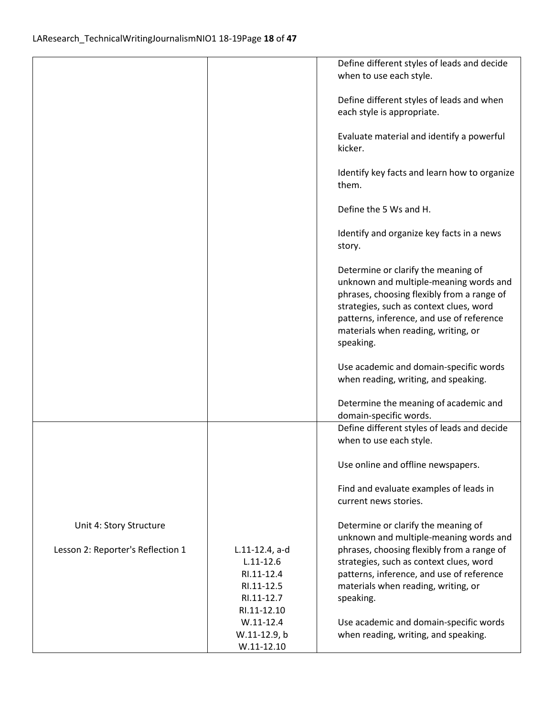|                                   |                | Define different styles of leads and decide  |
|-----------------------------------|----------------|----------------------------------------------|
|                                   |                | when to use each style.                      |
|                                   |                |                                              |
|                                   |                | Define different styles of leads and when    |
|                                   |                | each style is appropriate.                   |
|                                   |                |                                              |
|                                   |                | Evaluate material and identify a powerful    |
|                                   |                | kicker.                                      |
|                                   |                |                                              |
|                                   |                | Identify key facts and learn how to organize |
|                                   |                | them.                                        |
|                                   |                |                                              |
|                                   |                | Define the 5 Ws and H.                       |
|                                   |                |                                              |
|                                   |                | Identify and organize key facts in a news    |
|                                   |                | story.                                       |
|                                   |                |                                              |
|                                   |                | Determine or clarify the meaning of          |
|                                   |                | unknown and multiple-meaning words and       |
|                                   |                | phrases, choosing flexibly from a range of   |
|                                   |                | strategies, such as context clues, word      |
|                                   |                | patterns, inference, and use of reference    |
|                                   |                | materials when reading, writing, or          |
|                                   |                | speaking.                                    |
|                                   |                |                                              |
|                                   |                | Use academic and domain-specific words       |
|                                   |                | when reading, writing, and speaking.         |
|                                   |                |                                              |
|                                   |                | Determine the meaning of academic and        |
|                                   |                | domain-specific words.                       |
|                                   |                | Define different styles of leads and decide  |
|                                   |                | when to use each style.                      |
|                                   |                |                                              |
|                                   |                | Use online and offline newspapers.           |
|                                   |                |                                              |
|                                   |                | Find and evaluate examples of leads in       |
|                                   |                | current news stories.                        |
|                                   |                |                                              |
| Unit 4: Story Structure           |                | Determine or clarify the meaning of          |
|                                   |                | unknown and multiple-meaning words and       |
| Lesson 2: Reporter's Reflection 1 | L.11-12.4, a-d | phrases, choosing flexibly from a range of   |
|                                   | $L.11 - 12.6$  | strategies, such as context clues, word      |
|                                   | RI.11-12.4     | patterns, inference, and use of reference    |
|                                   | RI.11-12.5     | materials when reading, writing, or          |
|                                   | RI.11-12.7     | speaking.                                    |
|                                   | RI.11-12.10    |                                              |
|                                   | $W.11 - 12.4$  | Use academic and domain-specific words       |
|                                   | W.11-12.9, b   | when reading, writing, and speaking.         |
|                                   | $W.11-12.10$   |                                              |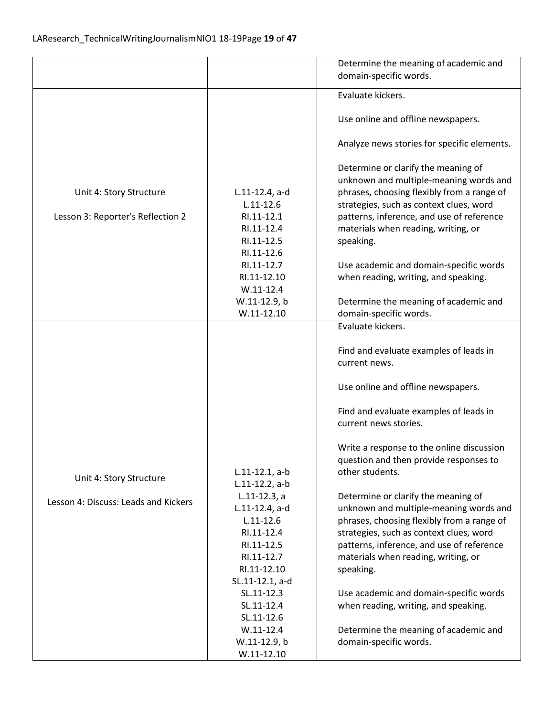|                                                                 |                                                                                                                                                                                                              | Determine the meaning of academic and                                                                                                                                                                                                                                                                                                                                                              |
|-----------------------------------------------------------------|--------------------------------------------------------------------------------------------------------------------------------------------------------------------------------------------------------------|----------------------------------------------------------------------------------------------------------------------------------------------------------------------------------------------------------------------------------------------------------------------------------------------------------------------------------------------------------------------------------------------------|
|                                                                 |                                                                                                                                                                                                              | domain-specific words.                                                                                                                                                                                                                                                                                                                                                                             |
|                                                                 |                                                                                                                                                                                                              | Evaluate kickers.                                                                                                                                                                                                                                                                                                                                                                                  |
|                                                                 |                                                                                                                                                                                                              |                                                                                                                                                                                                                                                                                                                                                                                                    |
|                                                                 |                                                                                                                                                                                                              | Use online and offline newspapers.                                                                                                                                                                                                                                                                                                                                                                 |
|                                                                 |                                                                                                                                                                                                              | Analyze news stories for specific elements.                                                                                                                                                                                                                                                                                                                                                        |
| Unit 4: Story Structure<br>Lesson 3: Reporter's Reflection 2    | $L.11-12.4$ , a-d<br>$L.11 - 12.6$<br>RI.11-12.1<br>RI.11-12.4<br>RI.11-12.5<br>RI.11-12.6<br>RI.11-12.7<br>RI.11-12.10<br>$W.11-12.4$<br>W.11-12.9, b                                                       | Determine or clarify the meaning of<br>unknown and multiple-meaning words and<br>phrases, choosing flexibly from a range of<br>strategies, such as context clues, word<br>patterns, inference, and use of reference<br>materials when reading, writing, or<br>speaking.<br>Use academic and domain-specific words<br>when reading, writing, and speaking.<br>Determine the meaning of academic and |
|                                                                 | $W.11 - 12.10$                                                                                                                                                                                               | domain-specific words.<br>Evaluate kickers.                                                                                                                                                                                                                                                                                                                                                        |
|                                                                 |                                                                                                                                                                                                              | Find and evaluate examples of leads in<br>current news.<br>Use online and offline newspapers.<br>Find and evaluate examples of leads in<br>current news stories.                                                                                                                                                                                                                                   |
|                                                                 |                                                                                                                                                                                                              | Write a response to the online discussion                                                                                                                                                                                                                                                                                                                                                          |
|                                                                 | $L.11-12.1, a-b$                                                                                                                                                                                             | question and then provide responses to<br>other students.                                                                                                                                                                                                                                                                                                                                          |
| Unit 4: Story Structure<br>Lesson 4: Discuss: Leads and Kickers | $L.11-12.2$ , a-b<br>$L.11-12.3$ , a<br>L.11-12.4, a-d<br>$L.11 - 12.6$<br>RI.11-12.4<br>RI.11-12.5<br>RI.11-12.7<br>RI.11-12.10<br>SL.11-12.1, a-d<br>SL.11-12.3<br>SL.11-12.4<br>SL.11-12.6<br>$W.11-12.4$ | Determine or clarify the meaning of<br>unknown and multiple-meaning words and<br>phrases, choosing flexibly from a range of<br>strategies, such as context clues, word<br>patterns, inference, and use of reference<br>materials when reading, writing, or<br>speaking.<br>Use academic and domain-specific words<br>when reading, writing, and speaking.                                          |
|                                                                 | W.11-12.9, b                                                                                                                                                                                                 | Determine the meaning of academic and<br>domain-specific words.                                                                                                                                                                                                                                                                                                                                    |
|                                                                 | $W.11-12.10$                                                                                                                                                                                                 |                                                                                                                                                                                                                                                                                                                                                                                                    |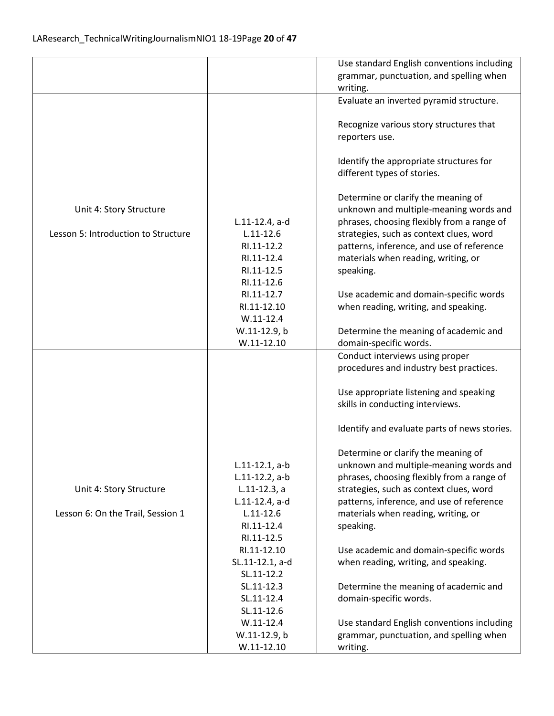|                                     |                                    | Use standard English conventions including                                            |
|-------------------------------------|------------------------------------|---------------------------------------------------------------------------------------|
|                                     |                                    | grammar, punctuation, and spelling when                                               |
|                                     |                                    | writing.                                                                              |
|                                     |                                    | Evaluate an inverted pyramid structure.                                               |
|                                     |                                    |                                                                                       |
|                                     |                                    | Recognize various story structures that                                               |
|                                     |                                    | reporters use.                                                                        |
|                                     |                                    |                                                                                       |
|                                     |                                    | Identify the appropriate structures for                                               |
|                                     |                                    | different types of stories.                                                           |
|                                     |                                    |                                                                                       |
|                                     |                                    | Determine or clarify the meaning of                                                   |
| Unit 4: Story Structure             |                                    | unknown and multiple-meaning words and                                                |
| Lesson 5: Introduction to Structure | $L.11-12.4$ , a-d<br>$L.11 - 12.6$ | phrases, choosing flexibly from a range of<br>strategies, such as context clues, word |
|                                     | RI.11-12.2                         | patterns, inference, and use of reference                                             |
|                                     | RI.11-12.4                         | materials when reading, writing, or                                                   |
|                                     | RI.11-12.5                         | speaking.                                                                             |
|                                     | RI.11-12.6                         |                                                                                       |
|                                     | RI.11-12.7                         | Use academic and domain-specific words                                                |
|                                     | RI.11-12.10                        | when reading, writing, and speaking.                                                  |
|                                     | $W.11-12.4$                        |                                                                                       |
|                                     | W.11-12.9, b                       | Determine the meaning of academic and                                                 |
|                                     | $W.11-12.10$                       | domain-specific words.                                                                |
|                                     |                                    | Conduct interviews using proper                                                       |
|                                     |                                    | procedures and industry best practices.                                               |
|                                     |                                    |                                                                                       |
|                                     |                                    | Use appropriate listening and speaking                                                |
|                                     |                                    | skills in conducting interviews.                                                      |
|                                     |                                    |                                                                                       |
|                                     |                                    | Identify and evaluate parts of news stories.                                          |
|                                     |                                    | Determine or clarify the meaning of                                                   |
|                                     | $L.11-12.1, a-b$                   | unknown and multiple-meaning words and                                                |
|                                     | $L.11-12.2$ , a-b                  | phrases, choosing flexibly from a range of                                            |
| Unit 4: Story Structure             | $L.11-12.3, a$                     | strategies, such as context clues, word                                               |
|                                     | $L.11-12.4$ , a-d                  | patterns, inference, and use of reference                                             |
| Lesson 6: On the Trail, Session 1   | $L.11 - 12.6$                      | materials when reading, writing, or                                                   |
|                                     | RI.11-12.4                         | speaking.                                                                             |
|                                     | RI.11-12.5                         |                                                                                       |
|                                     | RI.11-12.10                        | Use academic and domain-specific words                                                |
|                                     | SL.11-12.1, a-d                    | when reading, writing, and speaking.                                                  |
|                                     | SL.11-12.2                         |                                                                                       |
|                                     | SL.11-12.3                         | Determine the meaning of academic and                                                 |
|                                     | SL.11-12.4                         | domain-specific words.                                                                |
|                                     | SL.11-12.6                         |                                                                                       |
|                                     | $W.11-12.4$                        | Use standard English conventions including                                            |
|                                     | W.11-12.9, b                       | grammar, punctuation, and spelling when                                               |
|                                     | $W.11-12.10$                       | writing.                                                                              |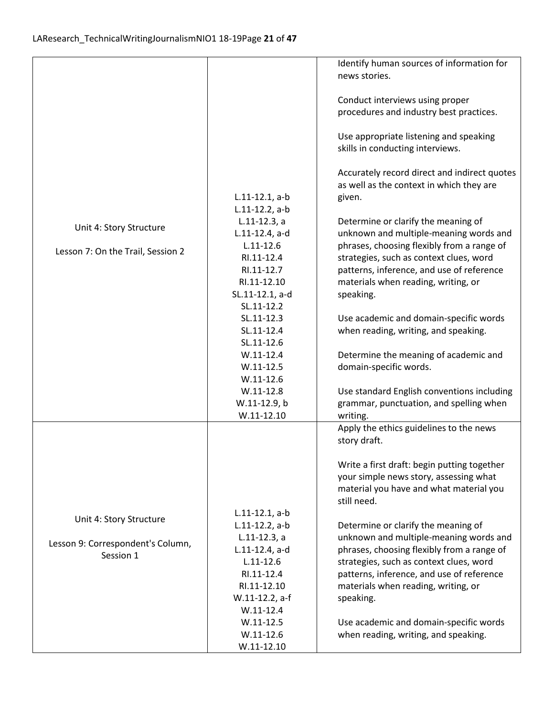|                                   |                   | Identify human sources of information for    |
|-----------------------------------|-------------------|----------------------------------------------|
|                                   |                   | news stories.                                |
|                                   |                   |                                              |
|                                   |                   | Conduct interviews using proper              |
|                                   |                   | procedures and industry best practices.      |
|                                   |                   |                                              |
|                                   |                   |                                              |
|                                   |                   | Use appropriate listening and speaking       |
|                                   |                   | skills in conducting interviews.             |
|                                   |                   |                                              |
|                                   |                   | Accurately record direct and indirect quotes |
|                                   |                   | as well as the context in which they are     |
|                                   | $L.11-12.1, a-b$  | given.                                       |
|                                   | $L.11-12.2$ , a-b |                                              |
|                                   | $L.11-12.3, a$    |                                              |
| Unit 4: Story Structure           |                   | Determine or clarify the meaning of          |
|                                   | L.11-12.4, a-d    | unknown and multiple-meaning words and       |
| Lesson 7: On the Trail, Session 2 | $L.11 - 12.6$     | phrases, choosing flexibly from a range of   |
|                                   | RI.11-12.4        | strategies, such as context clues, word      |
|                                   | RI.11-12.7        | patterns, inference, and use of reference    |
|                                   | RI.11-12.10       | materials when reading, writing, or          |
|                                   | SL.11-12.1, a-d   | speaking.                                    |
|                                   | SL.11-12.2        |                                              |
|                                   | SL.11-12.3        | Use academic and domain-specific words       |
|                                   |                   |                                              |
|                                   | SL.11-12.4        | when reading, writing, and speaking.         |
|                                   | SL.11-12.6        |                                              |
|                                   | $W.11-12.4$       | Determine the meaning of academic and        |
|                                   | $W.11-12.5$       | domain-specific words.                       |
|                                   | $W.11-12.6$       |                                              |
|                                   | $W.11-12.8$       | Use standard English conventions including   |
|                                   | W.11-12.9, b      | grammar, punctuation, and spelling when      |
|                                   | $W.11-12.10$      | writing.                                     |
|                                   |                   |                                              |
|                                   |                   | Apply the ethics guidelines to the news      |
|                                   |                   | story draft.                                 |
|                                   |                   |                                              |
|                                   |                   | Write a first draft: begin putting together  |
|                                   |                   | your simple news story, assessing what       |
|                                   |                   | material you have and what material you      |
|                                   |                   | still need.                                  |
|                                   | $L.11-12.1, a-b$  |                                              |
| Unit 4: Story Structure           | $L.11-12.2$ , a-b | Determine or clarify the meaning of          |
|                                   | $L.11-12.3, a$    | unknown and multiple-meaning words and       |
| Lesson 9: Correspondent's Column, |                   |                                              |
| Session 1                         | L.11-12.4, a-d    | phrases, choosing flexibly from a range of   |
|                                   | $L.11 - 12.6$     | strategies, such as context clues, word      |
|                                   | RI.11-12.4        | patterns, inference, and use of reference    |
|                                   | RI.11-12.10       | materials when reading, writing, or          |
|                                   | W.11-12.2, a-f    | speaking.                                    |
|                                   | $W.11-12.4$       |                                              |
|                                   | $W.11 - 12.5$     | Use academic and domain-specific words       |
|                                   | $W.11-12.6$       | when reading, writing, and speaking.         |
|                                   | $W.11-12.10$      |                                              |
|                                   |                   |                                              |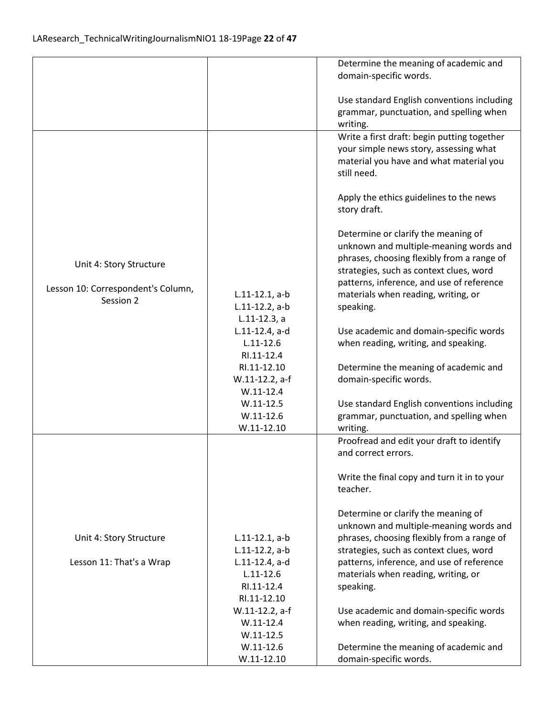|                                    |                   | Determine the meaning of academic and       |
|------------------------------------|-------------------|---------------------------------------------|
|                                    |                   | domain-specific words.                      |
|                                    |                   |                                             |
|                                    |                   | Use standard English conventions including  |
|                                    |                   | grammar, punctuation, and spelling when     |
|                                    |                   |                                             |
|                                    |                   | writing.                                    |
|                                    |                   | Write a first draft: begin putting together |
|                                    |                   | your simple news story, assessing what      |
|                                    |                   | material you have and what material you     |
|                                    |                   | still need.                                 |
|                                    |                   |                                             |
|                                    |                   | Apply the ethics guidelines to the news     |
|                                    |                   | story draft.                                |
|                                    |                   |                                             |
|                                    |                   | Determine or clarify the meaning of         |
|                                    |                   | unknown and multiple-meaning words and      |
|                                    |                   | phrases, choosing flexibly from a range of  |
| Unit 4: Story Structure            |                   | strategies, such as context clues, word     |
|                                    |                   |                                             |
| Lesson 10: Correspondent's Column, |                   | patterns, inference, and use of reference   |
| Session 2                          | $L.11-12.1, a-b$  | materials when reading, writing, or         |
|                                    | $L.11-12.2$ , a-b | speaking.                                   |
|                                    | $L.11-12.3, a$    |                                             |
|                                    | L.11-12.4, a-d    | Use academic and domain-specific words      |
|                                    | $L.11 - 12.6$     | when reading, writing, and speaking.        |
|                                    | RI.11-12.4        |                                             |
|                                    | RI.11-12.10       | Determine the meaning of academic and       |
|                                    | W.11-12.2, a-f    | domain-specific words.                      |
|                                    | $W.11 - 12.4$     |                                             |
|                                    | $W.11-12.5$       | Use standard English conventions including  |
|                                    | $W.11-12.6$       | grammar, punctuation, and spelling when     |
|                                    | $W.11-12.10$      | writing.                                    |
|                                    |                   |                                             |
|                                    |                   | Proofread and edit your draft to identify   |
|                                    |                   | and correct errors.                         |
|                                    |                   |                                             |
|                                    |                   | Write the final copy and turn it in to your |
|                                    |                   | teacher.                                    |
|                                    |                   |                                             |
|                                    |                   | Determine or clarify the meaning of         |
|                                    |                   | unknown and multiple-meaning words and      |
| Unit 4: Story Structure            | $L.11-12.1, a-b$  | phrases, choosing flexibly from a range of  |
|                                    | $L.11-12.2$ , a-b | strategies, such as context clues, word     |
| Lesson 11: That's a Wrap           | L.11-12.4, a-d    | patterns, inference, and use of reference   |
|                                    | $L.11 - 12.6$     | materials when reading, writing, or         |
|                                    | RI.11-12.4        |                                             |
|                                    |                   | speaking.                                   |
|                                    | RI.11-12.10       |                                             |
|                                    | W.11-12.2, a-f    | Use academic and domain-specific words      |
|                                    | $W.11-12.4$       | when reading, writing, and speaking.        |
|                                    | $W.11 - 12.5$     |                                             |
|                                    | $W.11-12.6$       | Determine the meaning of academic and       |
|                                    | $W.11-12.10$      | domain-specific words.                      |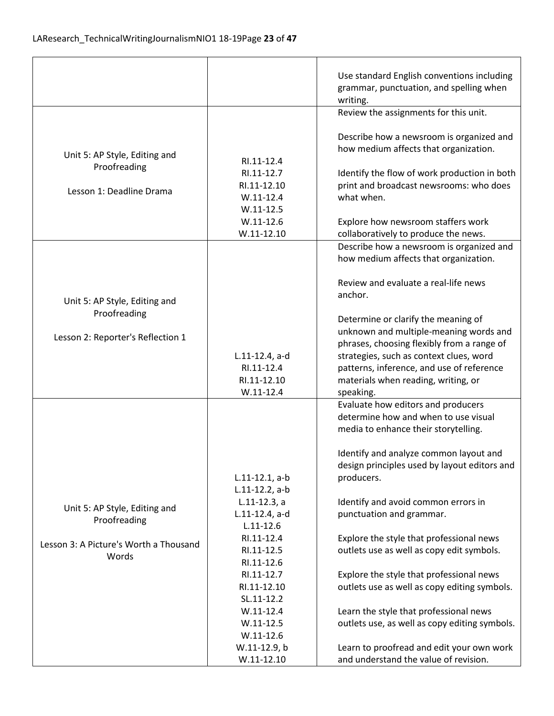|                                                                           |                                                                                                        | Use standard English conventions including<br>grammar, punctuation, and spelling when<br>writing.                                                                                                                                                                        |
|---------------------------------------------------------------------------|--------------------------------------------------------------------------------------------------------|--------------------------------------------------------------------------------------------------------------------------------------------------------------------------------------------------------------------------------------------------------------------------|
|                                                                           |                                                                                                        | Review the assignments for this unit.                                                                                                                                                                                                                                    |
| Unit 5: AP Style, Editing and<br>Proofreading<br>Lesson 1: Deadline Drama | RI.11-12.4<br>RI.11-12.7<br>RI.11-12.10<br>$W.11-12.4$<br>$W.11 - 12.5$<br>$W.11-12.6$<br>$W.11-12.10$ | Describe how a newsroom is organized and<br>how medium affects that organization.<br>Identify the flow of work production in both<br>print and broadcast newsrooms: who does<br>what when.<br>Explore how newsroom staffers work<br>collaboratively to produce the news. |
|                                                                           |                                                                                                        | Describe how a newsroom is organized and                                                                                                                                                                                                                                 |
|                                                                           |                                                                                                        | how medium affects that organization.                                                                                                                                                                                                                                    |
| Unit 5: AP Style, Editing and                                             |                                                                                                        | Review and evaluate a real-life news<br>anchor.                                                                                                                                                                                                                          |
| Proofreading                                                              |                                                                                                        | Determine or clarify the meaning of                                                                                                                                                                                                                                      |
| Lesson 2: Reporter's Reflection 1                                         |                                                                                                        | unknown and multiple-meaning words and                                                                                                                                                                                                                                   |
|                                                                           |                                                                                                        | phrases, choosing flexibly from a range of<br>strategies, such as context clues, word                                                                                                                                                                                    |
|                                                                           | L.11-12.4, a-d<br>RI.11-12.4                                                                           | patterns, inference, and use of reference                                                                                                                                                                                                                                |
|                                                                           | RI.11-12.10                                                                                            | materials when reading, writing, or                                                                                                                                                                                                                                      |
|                                                                           | $W.11 - 12.4$                                                                                          | speaking.                                                                                                                                                                                                                                                                |
|                                                                           |                                                                                                        | Evaluate how editors and producers<br>determine how and when to use visual<br>media to enhance their storytelling.                                                                                                                                                       |
|                                                                           |                                                                                                        | Identify and analyze common layout and                                                                                                                                                                                                                                   |
|                                                                           |                                                                                                        | design principles used by layout editors and                                                                                                                                                                                                                             |
|                                                                           | $L.11-12.1, a-b$<br>$L.11-12.2$ , a-b                                                                  | producers.                                                                                                                                                                                                                                                               |
|                                                                           | $L.11-12.3, a$                                                                                         | Identify and avoid common errors in                                                                                                                                                                                                                                      |
| Unit 5: AP Style, Editing and                                             | $L.11-12.4$ , a-d                                                                                      | punctuation and grammar.                                                                                                                                                                                                                                                 |
| Proofreading                                                              | $L.11 - 12.6$                                                                                          |                                                                                                                                                                                                                                                                          |
| Lesson 3: A Picture's Worth a Thousand                                    | RI.11-12.4                                                                                             | Explore the style that professional news                                                                                                                                                                                                                                 |
| Words                                                                     | RI.11-12.5                                                                                             | outlets use as well as copy edit symbols.                                                                                                                                                                                                                                |
|                                                                           | RI.11-12.6<br>RI.11-12.7                                                                               | Explore the style that professional news                                                                                                                                                                                                                                 |
|                                                                           | RI.11-12.10                                                                                            | outlets use as well as copy editing symbols.                                                                                                                                                                                                                             |
|                                                                           | SL.11-12.2                                                                                             |                                                                                                                                                                                                                                                                          |
|                                                                           | $W.11 - 12.4$                                                                                          | Learn the style that professional news                                                                                                                                                                                                                                   |
|                                                                           | $W.11-12.5$                                                                                            | outlets use, as well as copy editing symbols.                                                                                                                                                                                                                            |
|                                                                           | $W.11-12.6$                                                                                            |                                                                                                                                                                                                                                                                          |
|                                                                           | W.11-12.9, b<br>$W.11-12.10$                                                                           | Learn to proofread and edit your own work<br>and understand the value of revision.                                                                                                                                                                                       |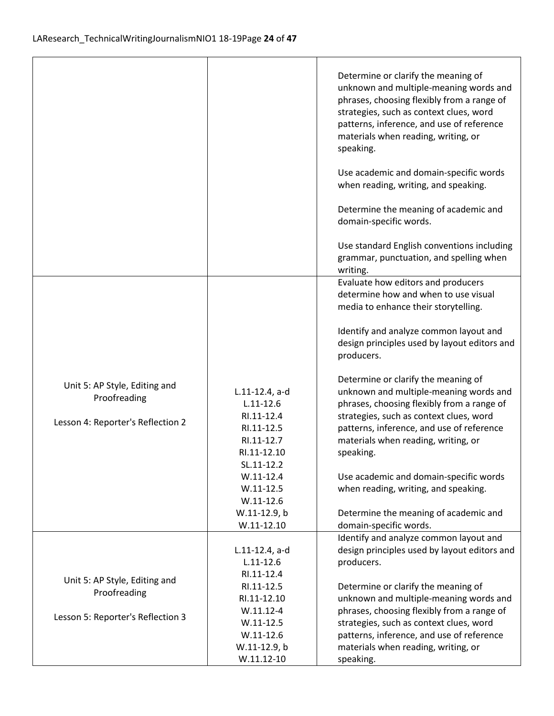|                                               |                                                                     | Determine or clarify the meaning of<br>unknown and multiple-meaning words and<br>phrases, choosing flexibly from a range of<br>strategies, such as context clues, word<br>patterns, inference, and use of reference<br>materials when reading, writing, or<br>speaking.<br>Use academic and domain-specific words |
|-----------------------------------------------|---------------------------------------------------------------------|-------------------------------------------------------------------------------------------------------------------------------------------------------------------------------------------------------------------------------------------------------------------------------------------------------------------|
|                                               |                                                                     | when reading, writing, and speaking.                                                                                                                                                                                                                                                                              |
|                                               |                                                                     | Determine the meaning of academic and<br>domain-specific words.                                                                                                                                                                                                                                                   |
|                                               |                                                                     | Use standard English conventions including<br>grammar, punctuation, and spelling when<br>writing.                                                                                                                                                                                                                 |
|                                               |                                                                     | Evaluate how editors and producers<br>determine how and when to use visual<br>media to enhance their storytelling.                                                                                                                                                                                                |
|                                               |                                                                     | Identify and analyze common layout and<br>design principles used by layout editors and<br>producers.                                                                                                                                                                                                              |
| Unit 5: AP Style, Editing and<br>Proofreading | L.11-12.4, a-d<br>$L.11 - 12.6$                                     | Determine or clarify the meaning of<br>unknown and multiple-meaning words and<br>phrases, choosing flexibly from a range of                                                                                                                                                                                       |
| Lesson 4: Reporter's Reflection 2             | RI.11-12.4<br>RI.11-12.5<br>RI.11-12.7<br>RI.11-12.10<br>SL.11-12.2 | strategies, such as context clues, word<br>patterns, inference, and use of reference<br>materials when reading, writing, or<br>speaking.                                                                                                                                                                          |
|                                               | $W.11-12.4$<br>$W.11 - 12.5$<br>$W.11 - 12.6$<br>W.11-12.9, b       | Use academic and domain-specific words<br>when reading, writing, and speaking.<br>Determine the meaning of academic and                                                                                                                                                                                           |
|                                               | $W.11-12.10$                                                        | domain-specific words.                                                                                                                                                                                                                                                                                            |
|                                               | $L.11-12.4$ , a-d<br>$L.11 - 12.6$<br>RI.11-12.4                    | Identify and analyze common layout and<br>design principles used by layout editors and<br>producers.                                                                                                                                                                                                              |
| Unit 5: AP Style, Editing and<br>Proofreading | RI.11-12.5<br>RI.11-12.10<br>$W.11.12 - 4$                          | Determine or clarify the meaning of<br>unknown and multiple-meaning words and                                                                                                                                                                                                                                     |
| Lesson 5: Reporter's Reflection 3             | $W.11 - 12.5$<br>$W.11 - 12.6$<br>W.11-12.9, b                      | phrases, choosing flexibly from a range of<br>strategies, such as context clues, word<br>patterns, inference, and use of reference<br>materials when reading, writing, or                                                                                                                                         |
|                                               | $W.11.12 - 10$                                                      | speaking.                                                                                                                                                                                                                                                                                                         |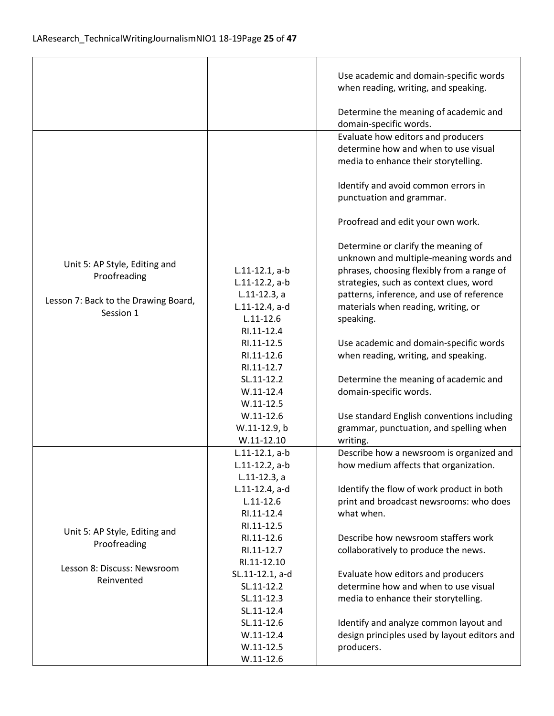$\mathbf{r}$ 

|                                                                                                    |                                                                                                          | Use academic and domain-specific words<br>when reading, writing, and speaking.<br>Determine the meaning of academic and                                                                                                                                                 |
|----------------------------------------------------------------------------------------------------|----------------------------------------------------------------------------------------------------------|-------------------------------------------------------------------------------------------------------------------------------------------------------------------------------------------------------------------------------------------------------------------------|
|                                                                                                    |                                                                                                          | domain-specific words.                                                                                                                                                                                                                                                  |
|                                                                                                    |                                                                                                          | Evaluate how editors and producers<br>determine how and when to use visual<br>media to enhance their storytelling.                                                                                                                                                      |
|                                                                                                    |                                                                                                          | Identify and avoid common errors in<br>punctuation and grammar.                                                                                                                                                                                                         |
|                                                                                                    |                                                                                                          | Proofread and edit your own work.                                                                                                                                                                                                                                       |
| Unit 5: AP Style, Editing and<br>Proofreading<br>Lesson 7: Back to the Drawing Board,<br>Session 1 | $L.11-12.1, a-b$<br>$L.11-12.2$ , a-b<br>$L.11-12.3, a$<br>L.11-12.4, a-d<br>$L.11 - 12.6$<br>RI.11-12.4 | Determine or clarify the meaning of<br>unknown and multiple-meaning words and<br>phrases, choosing flexibly from a range of<br>strategies, such as context clues, word<br>patterns, inference, and use of reference<br>materials when reading, writing, or<br>speaking. |
|                                                                                                    | RI.11-12.5<br>RI.11-12.6<br>RI.11-12.7                                                                   | Use academic and domain-specific words<br>when reading, writing, and speaking.                                                                                                                                                                                          |
|                                                                                                    | SL.11-12.2<br>$W.11-12.4$<br>$W.11-12.5$                                                                 | Determine the meaning of academic and<br>domain-specific words.                                                                                                                                                                                                         |
|                                                                                                    | $W.11-12.6$<br>W.11-12.9, b<br>$W.11-12.10$                                                              | Use standard English conventions including<br>grammar, punctuation, and spelling when<br>writing.                                                                                                                                                                       |
|                                                                                                    | $L.11-12.1, a-b$<br>$L.11-12.2$ , a-b<br>$L.11-12.3$ , a                                                 | Describe how a newsroom is organized and<br>how medium affects that organization.                                                                                                                                                                                       |
|                                                                                                    | L.11-12.4, a-d<br>$L.11 - 12.6$<br>RI.11-12.4<br>RI.11-12.5                                              | Identify the flow of work product in both<br>print and broadcast newsrooms: who does<br>what when.                                                                                                                                                                      |
| Unit 5: AP Style, Editing and<br>Proofreading                                                      | RI.11-12.6<br>RI.11-12.7<br>RI.11-12.10                                                                  | Describe how newsroom staffers work<br>collaboratively to produce the news.                                                                                                                                                                                             |
| Lesson 8: Discuss: Newsroom<br>Reinvented                                                          | SL.11-12.1, a-d<br>SL.11-12.2<br>SL.11-12.3<br>SL.11-12.4                                                | Evaluate how editors and producers<br>determine how and when to use visual<br>media to enhance their storytelling.                                                                                                                                                      |
|                                                                                                    | SL.11-12.6<br>$W.11-12.4$<br>$W.11-12.5$<br>$W.11-12.6$                                                  | Identify and analyze common layout and<br>design principles used by layout editors and<br>producers.                                                                                                                                                                    |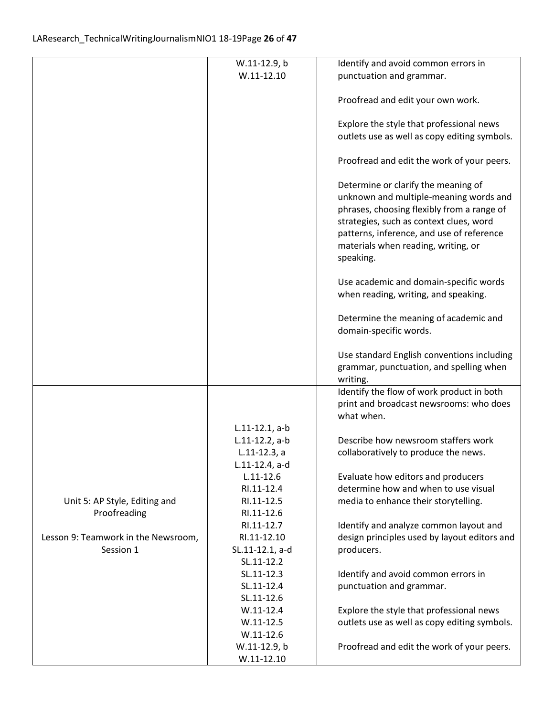|                                     | W.11-12.9, b                    | Identify and avoid common errors in                                                  |
|-------------------------------------|---------------------------------|--------------------------------------------------------------------------------------|
|                                     | $W.11-12.10$                    | punctuation and grammar.                                                             |
|                                     |                                 |                                                                                      |
|                                     |                                 | Proofread and edit your own work.                                                    |
|                                     |                                 |                                                                                      |
|                                     |                                 | Explore the style that professional news                                             |
|                                     |                                 | outlets use as well as copy editing symbols.                                         |
|                                     |                                 | Proofread and edit the work of your peers.                                           |
|                                     |                                 |                                                                                      |
|                                     |                                 | Determine or clarify the meaning of                                                  |
|                                     |                                 | unknown and multiple-meaning words and                                               |
|                                     |                                 | phrases, choosing flexibly from a range of                                           |
|                                     |                                 | strategies, such as context clues, word<br>patterns, inference, and use of reference |
|                                     |                                 | materials when reading, writing, or                                                  |
|                                     |                                 | speaking.                                                                            |
|                                     |                                 |                                                                                      |
|                                     |                                 | Use academic and domain-specific words                                               |
|                                     |                                 | when reading, writing, and speaking.                                                 |
|                                     |                                 | Determine the meaning of academic and                                                |
|                                     |                                 | domain-specific words.                                                               |
|                                     |                                 |                                                                                      |
|                                     |                                 | Use standard English conventions including                                           |
|                                     |                                 | grammar, punctuation, and spelling when                                              |
|                                     |                                 | writing.                                                                             |
|                                     |                                 | Identify the flow of work product in both                                            |
|                                     |                                 | print and broadcast newsrooms: who does                                              |
|                                     |                                 | what when.                                                                           |
|                                     | $L.11-12.1, a-b$                |                                                                                      |
|                                     | L.11-12.2, a-b                  | Describe how newsroom staffers work                                                  |
|                                     | $L.11-12.3, a$                  | collaboratively to produce the news.                                                 |
|                                     | L.11-12.4, a-d<br>$L.11 - 12.6$ |                                                                                      |
|                                     | RI.11-12.4                      | Evaluate how editors and producers<br>determine how and when to use visual           |
| Unit 5: AP Style, Editing and       | RI.11-12.5                      | media to enhance their storytelling.                                                 |
| Proofreading                        | RI.11-12.6                      |                                                                                      |
|                                     | RI.11-12.7                      | Identify and analyze common layout and                                               |
| Lesson 9: Teamwork in the Newsroom, | RI.11-12.10                     | design principles used by layout editors and                                         |
| Session 1                           | SL.11-12.1, a-d                 | producers.                                                                           |
|                                     | SL.11-12.2                      |                                                                                      |
|                                     | SL.11-12.3                      | Identify and avoid common errors in                                                  |
|                                     | SL.11-12.4                      | punctuation and grammar.                                                             |
|                                     | SL.11-12.6                      |                                                                                      |
|                                     | $W.11-12.4$                     | Explore the style that professional news                                             |
|                                     | $W.11-12.5$                     | outlets use as well as copy editing symbols.                                         |
|                                     | $W.11-12.6$                     |                                                                                      |
|                                     | W.11-12.9, b                    | Proofread and edit the work of your peers.                                           |
|                                     | $W.11-12.10$                    |                                                                                      |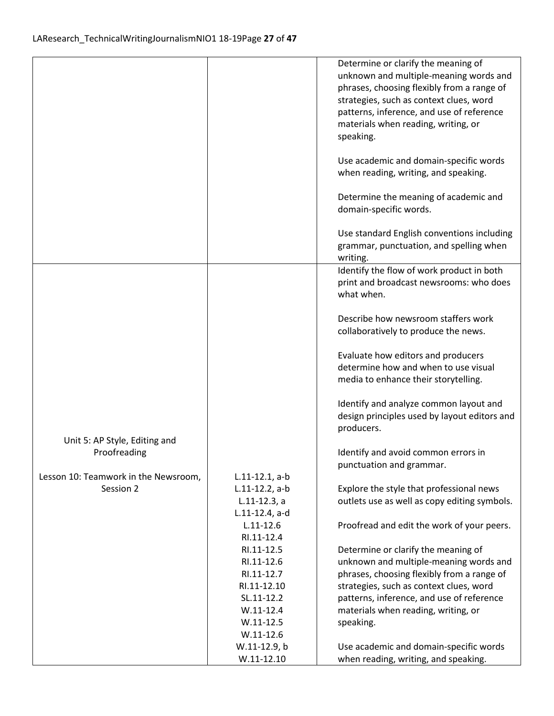|                                      |                   | Determine or clarify the meaning of          |
|--------------------------------------|-------------------|----------------------------------------------|
|                                      |                   | unknown and multiple-meaning words and       |
|                                      |                   | phrases, choosing flexibly from a range of   |
|                                      |                   | strategies, such as context clues, word      |
|                                      |                   | patterns, inference, and use of reference    |
|                                      |                   | materials when reading, writing, or          |
|                                      |                   | speaking.                                    |
|                                      |                   |                                              |
|                                      |                   | Use academic and domain-specific words       |
|                                      |                   | when reading, writing, and speaking.         |
|                                      |                   | Determine the meaning of academic and        |
|                                      |                   | domain-specific words.                       |
|                                      |                   | Use standard English conventions including   |
|                                      |                   | grammar, punctuation, and spelling when      |
|                                      |                   | writing.                                     |
|                                      |                   | Identify the flow of work product in both    |
|                                      |                   | print and broadcast newsrooms: who does      |
|                                      |                   | what when.                                   |
|                                      |                   | Describe how newsroom staffers work          |
|                                      |                   | collaboratively to produce the news.         |
|                                      |                   | Evaluate how editors and producers           |
|                                      |                   | determine how and when to use visual         |
|                                      |                   | media to enhance their storytelling.         |
|                                      |                   | Identify and analyze common layout and       |
|                                      |                   | design principles used by layout editors and |
|                                      |                   | producers.                                   |
| Unit 5: AP Style, Editing and        |                   |                                              |
| Proofreading                         |                   | Identify and avoid common errors in          |
|                                      |                   | punctuation and grammar.                     |
| Lesson 10: Teamwork in the Newsroom, | $L.11-12.1, a-b$  |                                              |
| Session 2                            | $L.11-12.2$ , a-b | Explore the style that professional news     |
|                                      | $L.11-12.3, a$    | outlets use as well as copy editing symbols. |
|                                      | L.11-12.4, a-d    |                                              |
|                                      | $L.11 - 12.6$     | Proofread and edit the work of your peers.   |
|                                      | RI.11-12.4        |                                              |
|                                      | RI.11-12.5        | Determine or clarify the meaning of          |
|                                      | RI.11-12.6        | unknown and multiple-meaning words and       |
|                                      | RI.11-12.7        | phrases, choosing flexibly from a range of   |
|                                      | RI.11-12.10       | strategies, such as context clues, word      |
|                                      | SL.11-12.2        | patterns, inference, and use of reference    |
|                                      | $W.11-12.4$       | materials when reading, writing, or          |
|                                      | $W.11-12.5$       | speaking.                                    |
|                                      | $W.11-12.6$       |                                              |
|                                      | W.11-12.9, b      | Use academic and domain-specific words       |
|                                      | $W.11-12.10$      | when reading, writing, and speaking.         |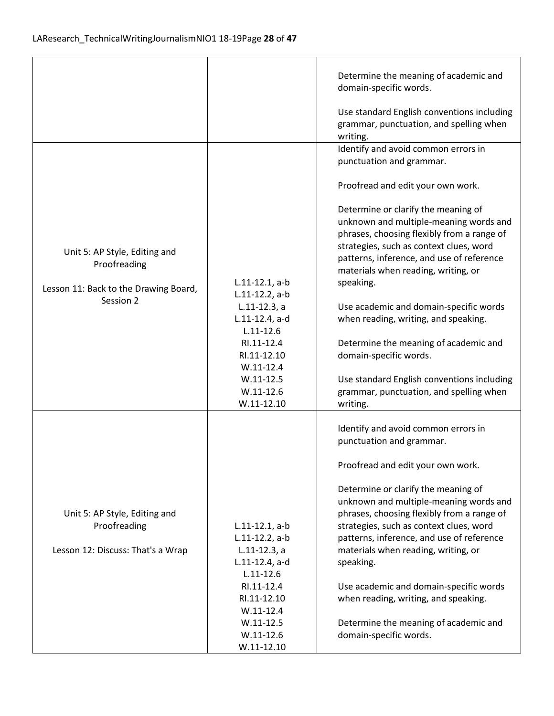|                                                                                        |                                                                        | Determine the meaning of academic and<br>domain-specific words.                                                                                                                                                                                                         |
|----------------------------------------------------------------------------------------|------------------------------------------------------------------------|-------------------------------------------------------------------------------------------------------------------------------------------------------------------------------------------------------------------------------------------------------------------------|
|                                                                                        |                                                                        | Use standard English conventions including<br>grammar, punctuation, and spelling when<br>writing.                                                                                                                                                                       |
|                                                                                        |                                                                        | Identify and avoid common errors in<br>punctuation and grammar.                                                                                                                                                                                                         |
|                                                                                        |                                                                        | Proofread and edit your own work.                                                                                                                                                                                                                                       |
| Unit 5: AP Style, Editing and<br>Proofreading<br>Lesson 11: Back to the Drawing Board, | $L.11-12.1, a-b$                                                       | Determine or clarify the meaning of<br>unknown and multiple-meaning words and<br>phrases, choosing flexibly from a range of<br>strategies, such as context clues, word<br>patterns, inference, and use of reference<br>materials when reading, writing, or<br>speaking. |
| Session 2                                                                              | $L.11-12.2$ , a-b<br>$L.11-12.3, a$<br>L.11-12.4, a-d<br>$L.11 - 12.6$ | Use academic and domain-specific words<br>when reading, writing, and speaking.                                                                                                                                                                                          |
|                                                                                        | RI.11-12.4<br>RI.11-12.10<br>$W.11-12.4$                               | Determine the meaning of academic and<br>domain-specific words.                                                                                                                                                                                                         |
|                                                                                        | $W.11-12.5$<br>$W.11-12.6$<br>$W.11-12.10$                             | Use standard English conventions including<br>grammar, punctuation, and spelling when<br>writing.                                                                                                                                                                       |
|                                                                                        |                                                                        | Identify and avoid common errors in<br>punctuation and grammar.                                                                                                                                                                                                         |
|                                                                                        |                                                                        | Proofread and edit your own work.                                                                                                                                                                                                                                       |
| Unit 5: AP Style, Editing and<br>Proofreading                                          | $L.11-12.1, a-b$<br>$L.11-12.2$ , a-b                                  | Determine or clarify the meaning of<br>unknown and multiple-meaning words and<br>phrases, choosing flexibly from a range of<br>strategies, such as context clues, word<br>patterns, inference, and use of reference                                                     |
| Lesson 12: Discuss: That's a Wrap                                                      | $L.11-12.3$ , a<br>L.11-12.4, a-d<br>$L.11 - 12.6$                     | materials when reading, writing, or<br>speaking.                                                                                                                                                                                                                        |
|                                                                                        | RI.11-12.4<br>RI.11-12.10<br>$W.11-12.4$                               | Use academic and domain-specific words<br>when reading, writing, and speaking.                                                                                                                                                                                          |
|                                                                                        | $W.11-12.5$<br>$W.11-12.6$<br>$W.11-12.10$                             | Determine the meaning of academic and<br>domain-specific words.                                                                                                                                                                                                         |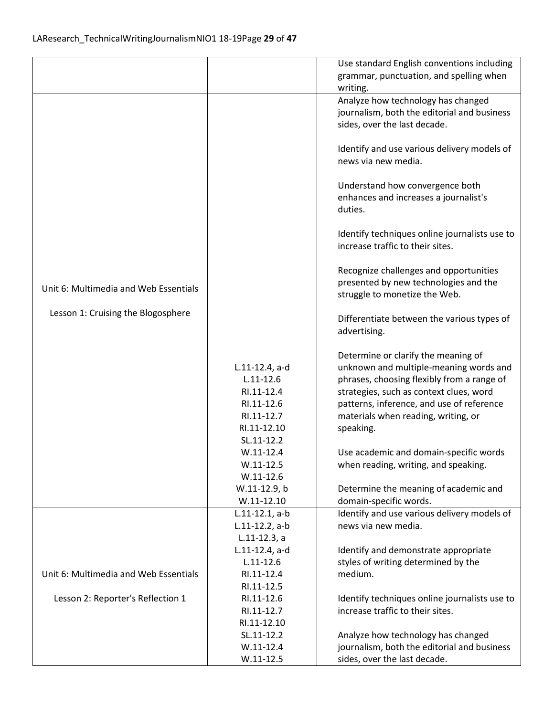|                                       |                   | Use standard English conventions including                         |
|---------------------------------------|-------------------|--------------------------------------------------------------------|
|                                       |                   | grammar, punctuation, and spelling when                            |
|                                       |                   | writing.                                                           |
|                                       |                   | Analyze how technology has changed                                 |
|                                       |                   | journalism, both the editorial and business                        |
|                                       |                   | sides, over the last decade.                                       |
|                                       |                   |                                                                    |
|                                       |                   |                                                                    |
|                                       |                   | Identify and use various delivery models of<br>news via new media. |
|                                       |                   |                                                                    |
|                                       |                   |                                                                    |
|                                       |                   | Understand how convergence both                                    |
|                                       |                   | enhances and increases a journalist's                              |
|                                       |                   | duties.                                                            |
|                                       |                   |                                                                    |
|                                       |                   | Identify techniques online journalists use to                      |
|                                       |                   | increase traffic to their sites.                                   |
|                                       |                   |                                                                    |
|                                       |                   | Recognize challenges and opportunities                             |
| Unit 6: Multimedia and Web Essentials |                   | presented by new technologies and the                              |
|                                       |                   | struggle to monetize the Web.                                      |
| Lesson 1: Cruising the Blogosphere    |                   |                                                                    |
|                                       |                   | Differentiate between the various types of                         |
|                                       |                   | advertising.                                                       |
|                                       |                   |                                                                    |
|                                       |                   | Determine or clarify the meaning of                                |
|                                       | $L.11-12.4$ , a-d | unknown and multiple-meaning words and                             |
|                                       | $L.11 - 12.6$     | phrases, choosing flexibly from a range of                         |
|                                       | RI.11-12.4        | strategies, such as context clues, word                            |
|                                       | RI.11-12.6        | patterns, inference, and use of reference                          |
|                                       | RI.11-12.7        | materials when reading, writing, or                                |
|                                       | RI.11-12.10       | speaking.                                                          |
|                                       | SL.11-12.2        |                                                                    |
|                                       | $W.11-12.4$       | Use academic and domain-specific words                             |
|                                       | $W.11 - 12.5$     | when reading, writing, and speaking.                               |
|                                       | $W.11 - 12.6$     |                                                                    |
|                                       | W.11-12.9, b      | Determine the meaning of academic and                              |
|                                       | $W.11-12.10$      | domain-specific words.                                             |
|                                       | $L.11-12.1, a-b$  | Identify and use various delivery models of                        |
|                                       | $L.11-12.2$ , a-b | news via new media.                                                |
|                                       | $L.11-12.3, a$    |                                                                    |
|                                       | L.11-12.4, a-d    | Identify and demonstrate appropriate                               |
|                                       | $L.11 - 12.6$     | styles of writing determined by the                                |
| Unit 6: Multimedia and Web Essentials | RI.11-12.4        | medium.                                                            |
|                                       | RI.11-12.5        |                                                                    |
| Lesson 2: Reporter's Reflection 1     | RI.11-12.6        | Identify techniques online journalists use to                      |
|                                       | RI.11-12.7        | increase traffic to their sites.                                   |
|                                       | RI.11-12.10       |                                                                    |
|                                       | SL.11-12.2        | Analyze how technology has changed                                 |
|                                       | $W.11-12.4$       | journalism, both the editorial and business                        |
|                                       | $W.11-12.5$       | sides, over the last decade.                                       |
|                                       |                   |                                                                    |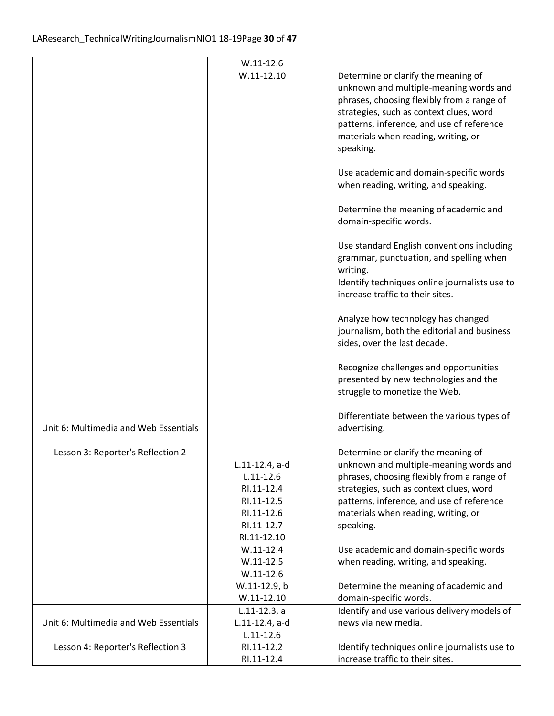|                                       | $W.11-12.6$<br>$W.11-12.10$                                                                            | Determine or clarify the meaning of<br>unknown and multiple-meaning words and<br>phrases, choosing flexibly from a range of<br>strategies, such as context clues, word<br>patterns, inference, and use of reference<br>materials when reading, writing, or<br>speaking.<br>Use academic and domain-specific words<br>when reading, writing, and speaking.<br>Determine the meaning of academic and<br>domain-specific words. |
|---------------------------------------|--------------------------------------------------------------------------------------------------------|------------------------------------------------------------------------------------------------------------------------------------------------------------------------------------------------------------------------------------------------------------------------------------------------------------------------------------------------------------------------------------------------------------------------------|
|                                       |                                                                                                        | Use standard English conventions including<br>grammar, punctuation, and spelling when<br>writing.                                                                                                                                                                                                                                                                                                                            |
|                                       |                                                                                                        | Identify techniques online journalists use to<br>increase traffic to their sites.                                                                                                                                                                                                                                                                                                                                            |
|                                       |                                                                                                        | Analyze how technology has changed<br>journalism, both the editorial and business<br>sides, over the last decade.                                                                                                                                                                                                                                                                                                            |
|                                       |                                                                                                        | Recognize challenges and opportunities<br>presented by new technologies and the<br>struggle to monetize the Web.                                                                                                                                                                                                                                                                                                             |
| Unit 6: Multimedia and Web Essentials |                                                                                                        | Differentiate between the various types of<br>advertising.                                                                                                                                                                                                                                                                                                                                                                   |
| Lesson 3: Reporter's Reflection 2     | L.11-12.4, a-d<br>$L.11 - 12.6$<br>RI.11-12.4<br>RI.11-12.5<br>RI.11-12.6<br>RI.11-12.7<br>RI.11-12.10 | Determine or clarify the meaning of<br>unknown and multiple-meaning words and<br>phrases, choosing flexibly from a range of<br>strategies, such as context clues, word<br>patterns, inference, and use of reference<br>materials when reading, writing, or<br>speaking.                                                                                                                                                      |
|                                       | $W.11-12.4$<br>$W.11 - 12.5$<br>$W.11-12.6$<br>W.11-12.9, b                                            | Use academic and domain-specific words<br>when reading, writing, and speaking.<br>Determine the meaning of academic and                                                                                                                                                                                                                                                                                                      |
|                                       | $W.11-12.10$                                                                                           | domain-specific words.                                                                                                                                                                                                                                                                                                                                                                                                       |
|                                       | $L.11-12.3$ , a                                                                                        | Identify and use various delivery models of                                                                                                                                                                                                                                                                                                                                                                                  |
| Unit 6: Multimedia and Web Essentials | L.11-12.4, a-d                                                                                         | news via new media.                                                                                                                                                                                                                                                                                                                                                                                                          |
| Lesson 4: Reporter's Reflection 3     | $L.11 - 12.6$<br>RI.11-12.2<br>RI.11-12.4                                                              | Identify techniques online journalists use to<br>increase traffic to their sites.                                                                                                                                                                                                                                                                                                                                            |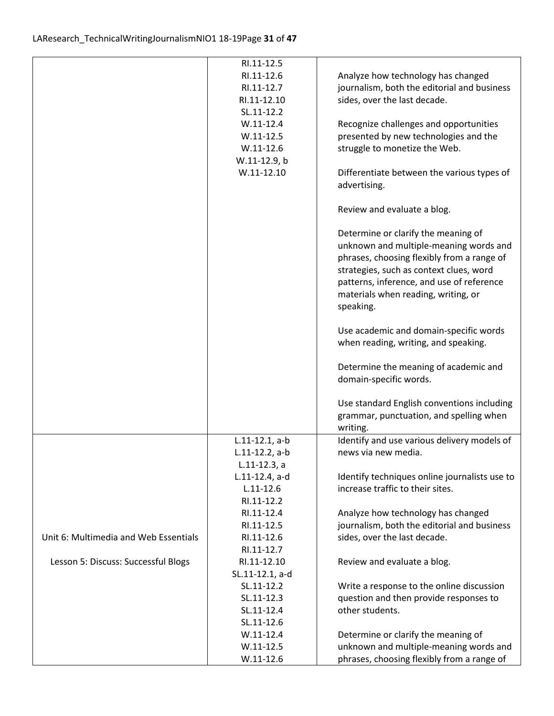|                                       | RI.11-12.5<br>RI.11-12.6                | Analyze how technology has changed                                                    |
|---------------------------------------|-----------------------------------------|---------------------------------------------------------------------------------------|
|                                       | RI.11-12.7<br>RI.11-12.10<br>SL.11-12.2 | journalism, both the editorial and business<br>sides, over the last decade.           |
|                                       | $W.11-12.4$                             | Recognize challenges and opportunities                                                |
|                                       | $W.11-12.5$                             | presented by new technologies and the                                                 |
|                                       | $W.11-12.6$<br>W.11-12.9, b             | struggle to monetize the Web.                                                         |
|                                       | $W.11 - 12.10$                          | Differentiate between the various types of<br>advertising.                            |
|                                       |                                         | Review and evaluate a blog.                                                           |
|                                       |                                         | Determine or clarify the meaning of                                                   |
|                                       |                                         | unknown and multiple-meaning words and                                                |
|                                       |                                         | phrases, choosing flexibly from a range of<br>strategies, such as context clues, word |
|                                       |                                         | patterns, inference, and use of reference                                             |
|                                       |                                         | materials when reading, writing, or                                                   |
|                                       |                                         | speaking.                                                                             |
|                                       |                                         | Use academic and domain-specific words                                                |
|                                       |                                         | when reading, writing, and speaking.                                                  |
|                                       |                                         | Determine the meaning of academic and                                                 |
|                                       |                                         | domain-specific words.                                                                |
|                                       |                                         | Use standard English conventions including                                            |
|                                       |                                         | grammar, punctuation, and spelling when                                               |
|                                       |                                         | writing.                                                                              |
|                                       | $L.11-12.1, a-b$<br>$L.11-12.2$ , a-b   | Identify and use various delivery models of<br>news via new media.                    |
|                                       | $L.11-12.3, a$                          |                                                                                       |
|                                       | L.11-12.4, a-d                          | Identify techniques online journalists use to                                         |
|                                       | $L.11 - 12.6$                           | increase traffic to their sites.                                                      |
|                                       | RI.11-12.2                              |                                                                                       |
|                                       | RI.11-12.4<br>RI.11-12.5                | Analyze how technology has changed<br>journalism, both the editorial and business     |
| Unit 6: Multimedia and Web Essentials | RI.11-12.6                              | sides, over the last decade.                                                          |
|                                       | RI.11-12.7                              |                                                                                       |
| Lesson 5: Discuss: Successful Blogs   | RI.11-12.10                             | Review and evaluate a blog.                                                           |
|                                       | SL.11-12.1, a-d                         |                                                                                       |
|                                       | SL.11-12.2                              | Write a response to the online discussion                                             |
|                                       | SL.11-12.3                              | question and then provide responses to                                                |
|                                       | SL.11-12.4                              | other students.                                                                       |
|                                       | SL.11-12.6<br>$W.11-12.4$               |                                                                                       |
|                                       | $W.11 - 12.5$                           | Determine or clarify the meaning of<br>unknown and multiple-meaning words and         |
|                                       | $W.11-12.6$                             | phrases, choosing flexibly from a range of                                            |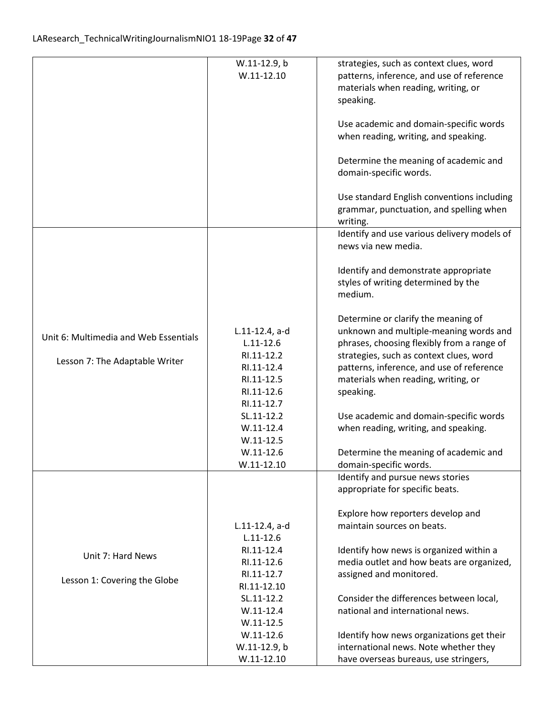|                                       | W.11-12.9, b                | strategies, such as context clues, word     |
|---------------------------------------|-----------------------------|---------------------------------------------|
|                                       | $W.11 - 12.10$              | patterns, inference, and use of reference   |
|                                       |                             | materials when reading, writing, or         |
|                                       |                             | speaking.                                   |
|                                       |                             |                                             |
|                                       |                             | Use academic and domain-specific words      |
|                                       |                             | when reading, writing, and speaking.        |
|                                       |                             | Determine the meaning of academic and       |
|                                       |                             | domain-specific words.                      |
|                                       |                             |                                             |
|                                       |                             | Use standard English conventions including  |
|                                       |                             | grammar, punctuation, and spelling when     |
|                                       |                             | writing.                                    |
|                                       |                             | Identify and use various delivery models of |
|                                       |                             | news via new media.                         |
|                                       |                             | Identify and demonstrate appropriate        |
|                                       |                             | styles of writing determined by the         |
|                                       |                             | medium.                                     |
|                                       |                             |                                             |
|                                       |                             | Determine or clarify the meaning of         |
| Unit 6: Multimedia and Web Essentials | L.11-12.4, a-d              | unknown and multiple-meaning words and      |
|                                       | $L.11 - 12.6$               | phrases, choosing flexibly from a range of  |
| Lesson 7: The Adaptable Writer        | RI.11-12.2                  | strategies, such as context clues, word     |
|                                       | RI.11-12.4                  | patterns, inference, and use of reference   |
|                                       | RI.11-12.5                  | materials when reading, writing, or         |
|                                       | RI.11-12.6                  | speaking.                                   |
|                                       | RI.11-12.7                  |                                             |
|                                       | SL.11-12.2<br>$W.11-12.4$   | Use academic and domain-specific words      |
|                                       | $W.11 - 12.5$               | when reading, writing, and speaking.        |
|                                       | $W.11-12.6$                 | Determine the meaning of academic and       |
|                                       | $W.11-12.10$                | domain-specific words.                      |
|                                       |                             | Identify and pursue news stories            |
|                                       |                             | appropriate for specific beats.             |
|                                       |                             |                                             |
|                                       |                             | Explore how reporters develop and           |
|                                       | L.11-12.4, a-d              | maintain sources on beats.                  |
|                                       | $L.11 - 12.6$<br>RI.11-12.4 | Identify how news is organized within a     |
| Unit 7: Hard News                     | RI.11-12.6                  | media outlet and how beats are organized,   |
|                                       | RI.11-12.7                  | assigned and monitored.                     |
| Lesson 1: Covering the Globe          | RI.11-12.10                 |                                             |
|                                       | SL.11-12.2                  | Consider the differences between local,     |
|                                       | $W.11 - 12.4$               | national and international news.            |
|                                       | $W.11 - 12.5$               |                                             |
|                                       | $W.11-12.6$                 | Identify how news organizations get their   |
|                                       | W.11-12.9, b                | international news. Note whether they       |
|                                       | $W.11-12.10$                | have overseas bureaus, use stringers,       |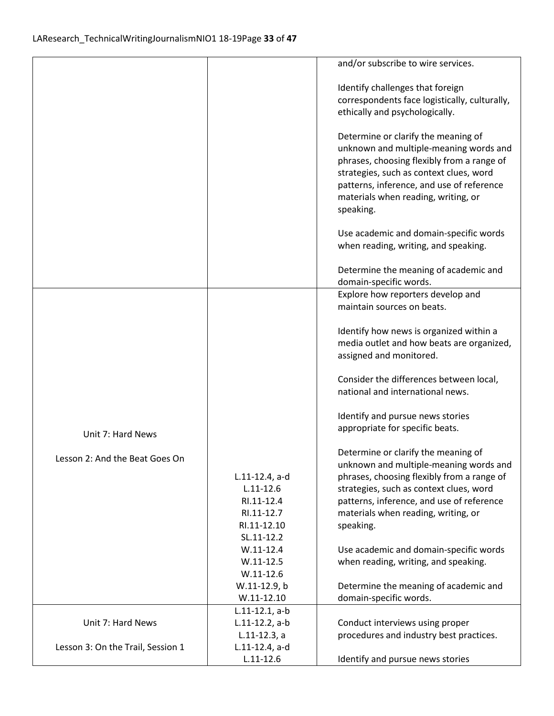|                                   |                              | and/or subscribe to wire services.                                             |
|-----------------------------------|------------------------------|--------------------------------------------------------------------------------|
|                                   |                              |                                                                                |
|                                   |                              | Identify challenges that foreign                                               |
|                                   |                              | correspondents face logistically, culturally,                                  |
|                                   |                              | ethically and psychologically.                                                 |
|                                   |                              | Determine or clarify the meaning of                                            |
|                                   |                              | unknown and multiple-meaning words and                                         |
|                                   |                              | phrases, choosing flexibly from a range of                                     |
|                                   |                              | strategies, such as context clues, word                                        |
|                                   |                              | patterns, inference, and use of reference                                      |
|                                   |                              | materials when reading, writing, or                                            |
|                                   |                              | speaking.                                                                      |
|                                   |                              |                                                                                |
|                                   |                              | Use academic and domain-specific words<br>when reading, writing, and speaking. |
|                                   |                              |                                                                                |
|                                   |                              | Determine the meaning of academic and                                          |
|                                   |                              | domain-specific words.                                                         |
|                                   |                              | Explore how reporters develop and                                              |
|                                   |                              | maintain sources on beats.                                                     |
|                                   |                              | Identify how news is organized within a                                        |
|                                   |                              | media outlet and how beats are organized,                                      |
|                                   |                              | assigned and monitored.                                                        |
|                                   |                              | Consider the differences between local,                                        |
|                                   |                              | national and international news.                                               |
|                                   |                              |                                                                                |
|                                   |                              | Identify and pursue news stories                                               |
| Unit 7: Hard News                 |                              | appropriate for specific beats.                                                |
|                                   |                              | Determine or clarify the meaning of                                            |
| Lesson 2: And the Beat Goes On    |                              | unknown and multiple-meaning words and                                         |
|                                   | $L.11-12.4$ , a-d            | phrases, choosing flexibly from a range of                                     |
|                                   | $L.11 - 12.6$                | strategies, such as context clues, word                                        |
|                                   | RI.11-12.4                   | patterns, inference, and use of reference                                      |
|                                   | RI.11-12.7                   | materials when reading, writing, or                                            |
|                                   | RI.11-12.10                  | speaking.                                                                      |
|                                   | SL.11-12.2                   |                                                                                |
|                                   | $W.11 - 12.4$                | Use academic and domain-specific words                                         |
|                                   | $W.11 - 12.5$                | when reading, writing, and speaking.                                           |
|                                   | $W.11 - 12.6$                |                                                                                |
|                                   | W.11-12.9, b<br>$W.11-12.10$ | Determine the meaning of academic and<br>domain-specific words.                |
|                                   | $L.11-12.1, a-b$             |                                                                                |
| Unit 7: Hard News                 | $L.11-12.2$ , a-b            | Conduct interviews using proper                                                |
|                                   | $L.11-12.3, a$               | procedures and industry best practices.                                        |
| Lesson 3: On the Trail, Session 1 | $L.11-12.4$ , a-d            |                                                                                |
|                                   | $L.11 - 12.6$                | Identify and pursue news stories                                               |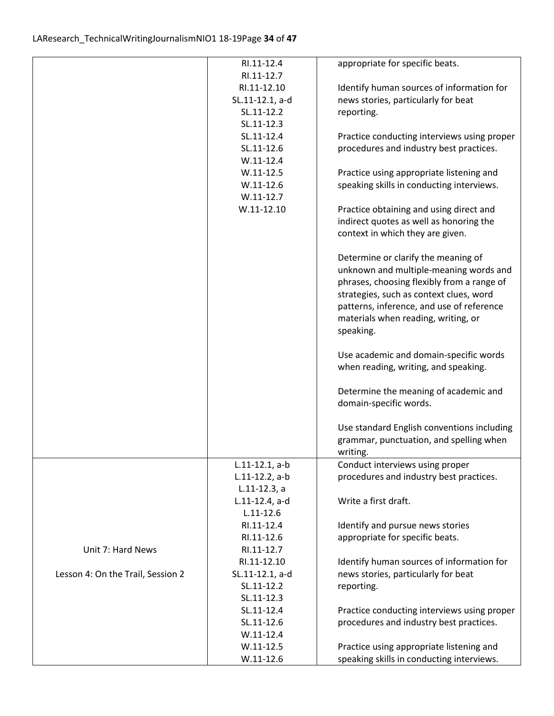|                                   | RI.11-12.4       | appropriate for specific beats.             |
|-----------------------------------|------------------|---------------------------------------------|
|                                   | RI.11-12.7       |                                             |
|                                   | RI.11-12.10      | Identify human sources of information for   |
|                                   | SL.11-12.1, a-d  | news stories, particularly for beat         |
|                                   | SL.11-12.2       | reporting.                                  |
|                                   | SL.11-12.3       |                                             |
|                                   | SL.11-12.4       | Practice conducting interviews using proper |
|                                   | SL.11-12.6       | procedures and industry best practices.     |
|                                   | $W.11-12.4$      |                                             |
|                                   | $W.11-12.5$      | Practice using appropriate listening and    |
|                                   | $W.11-12.6$      | speaking skills in conducting interviews.   |
|                                   | $W.11-12.7$      |                                             |
|                                   | $W.11-12.10$     | Practice obtaining and using direct and     |
|                                   |                  | indirect quotes as well as honoring the     |
|                                   |                  | context in which they are given.            |
|                                   |                  |                                             |
|                                   |                  | Determine or clarify the meaning of         |
|                                   |                  | unknown and multiple-meaning words and      |
|                                   |                  | phrases, choosing flexibly from a range of  |
|                                   |                  | strategies, such as context clues, word     |
|                                   |                  | patterns, inference, and use of reference   |
|                                   |                  | materials when reading, writing, or         |
|                                   |                  |                                             |
|                                   |                  | speaking.                                   |
|                                   |                  | Use academic and domain-specific words      |
|                                   |                  | when reading, writing, and speaking.        |
|                                   |                  |                                             |
|                                   |                  | Determine the meaning of academic and       |
|                                   |                  | domain-specific words.                      |
|                                   |                  |                                             |
|                                   |                  | Use standard English conventions including  |
|                                   |                  | grammar, punctuation, and spelling when     |
|                                   |                  | writing.                                    |
|                                   | $L.11-12.1, a-b$ | Conduct interviews using proper             |
|                                   | L.11-12.2, a-b   | procedures and industry best practices.     |
|                                   | $L.11-12.3, a$   |                                             |
|                                   | L.11-12.4, a-d   | Write a first draft.                        |
|                                   | $L.11 - 12.6$    |                                             |
|                                   | RI.11-12.4       | Identify and pursue news stories            |
|                                   | RI.11-12.6       | appropriate for specific beats.             |
| Unit 7: Hard News                 | RI.11-12.7       |                                             |
|                                   | RI.11-12.10      | Identify human sources of information for   |
| Lesson 4: On the Trail, Session 2 | SL.11-12.1, a-d  | news stories, particularly for beat         |
|                                   | SL.11-12.2       | reporting.                                  |
|                                   | SL.11-12.3       |                                             |
|                                   | SL.11-12.4       | Practice conducting interviews using proper |
|                                   | SL.11-12.6       | procedures and industry best practices.     |
|                                   | $W.11-12.4$      |                                             |
|                                   | $W.11-12.5$      | Practice using appropriate listening and    |
|                                   | $W.11-12.6$      | speaking skills in conducting interviews.   |
|                                   |                  |                                             |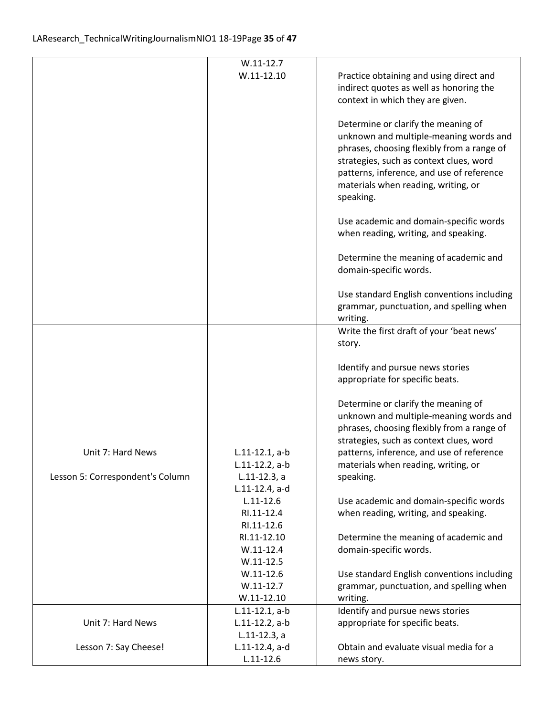|                                  | $W.11-12.7$                      |                                                                                                                                                                                                                                                                         |
|----------------------------------|----------------------------------|-------------------------------------------------------------------------------------------------------------------------------------------------------------------------------------------------------------------------------------------------------------------------|
|                                  | $W.11-12.10$                     | Practice obtaining and using direct and<br>indirect quotes as well as honoring the<br>context in which they are given.                                                                                                                                                  |
|                                  |                                  | Determine or clarify the meaning of<br>unknown and multiple-meaning words and<br>phrases, choosing flexibly from a range of<br>strategies, such as context clues, word<br>patterns, inference, and use of reference<br>materials when reading, writing, or<br>speaking. |
|                                  |                                  | Use academic and domain-specific words<br>when reading, writing, and speaking.                                                                                                                                                                                          |
|                                  |                                  | Determine the meaning of academic and<br>domain-specific words.                                                                                                                                                                                                         |
|                                  |                                  | Use standard English conventions including<br>grammar, punctuation, and spelling when<br>writing.                                                                                                                                                                       |
|                                  |                                  | Write the first draft of your 'beat news'                                                                                                                                                                                                                               |
|                                  |                                  | story.                                                                                                                                                                                                                                                                  |
|                                  |                                  | Identify and pursue news stories<br>appropriate for specific beats.                                                                                                                                                                                                     |
|                                  |                                  | Determine or clarify the meaning of<br>unknown and multiple-meaning words and<br>phrases, choosing flexibly from a range of<br>strategies, such as context clues, word                                                                                                  |
| Unit 7: Hard News                | $L.11-12.1, a-b$                 | patterns, inference, and use of reference                                                                                                                                                                                                                               |
|                                  | L.11-12.2, a-b                   | materials when reading, writing, or                                                                                                                                                                                                                                     |
| Lesson 5: Correspondent's Column | $L.11-12.3$ , a                  | speaking.                                                                                                                                                                                                                                                               |
|                                  | L.11-12.4, a-d                   |                                                                                                                                                                                                                                                                         |
|                                  | $L.11 - 12.6$<br>RI.11-12.4      | Use academic and domain-specific words<br>when reading, writing, and speaking.                                                                                                                                                                                          |
|                                  | RI.11-12.6                       |                                                                                                                                                                                                                                                                         |
|                                  | RI.11-12.10                      | Determine the meaning of academic and                                                                                                                                                                                                                                   |
|                                  | $W.11-12.4$                      | domain-specific words.                                                                                                                                                                                                                                                  |
|                                  | $W.11-12.5$                      |                                                                                                                                                                                                                                                                         |
|                                  | $W.11-12.6$                      | Use standard English conventions including                                                                                                                                                                                                                              |
|                                  | $W.11-12.7$                      | grammar, punctuation, and spelling when                                                                                                                                                                                                                                 |
|                                  | $W.11-12.10$<br>$L.11-12.1, a-b$ | writing.<br>Identify and pursue news stories                                                                                                                                                                                                                            |
| Unit 7: Hard News                | $L.11-12.2$ , a-b                | appropriate for specific beats.                                                                                                                                                                                                                                         |
|                                  | $L.11-12.3, a$                   |                                                                                                                                                                                                                                                                         |
| Lesson 7: Say Cheese!            | $L.11-12.4$ , a-d                | Obtain and evaluate visual media for a                                                                                                                                                                                                                                  |
|                                  | $L.11 - 12.6$                    | news story.                                                                                                                                                                                                                                                             |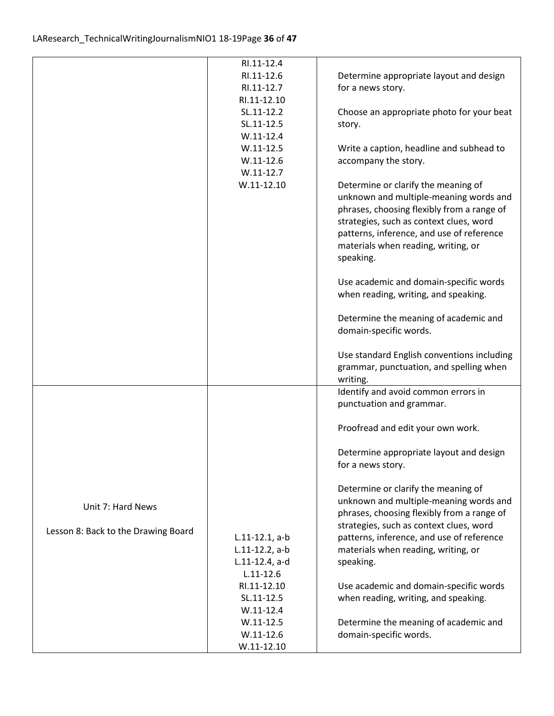|                                     | RI.11-12.4        |                                            |
|-------------------------------------|-------------------|--------------------------------------------|
|                                     | RI.11-12.6        | Determine appropriate layout and design    |
|                                     | RI.11-12.7        | for a news story.                          |
|                                     | RI.11-12.10       |                                            |
|                                     | SL.11-12.2        | Choose an appropriate photo for your beat  |
|                                     | SL.11-12.5        | story.                                     |
|                                     | $W.11-12.4$       |                                            |
|                                     | $W.11-12.5$       | Write a caption, headline and subhead to   |
|                                     | $W.11-12.6$       | accompany the story.                       |
|                                     | $W.11-12.7$       |                                            |
|                                     | $W.11-12.10$      | Determine or clarify the meaning of        |
|                                     |                   | unknown and multiple-meaning words and     |
|                                     |                   | phrases, choosing flexibly from a range of |
|                                     |                   | strategies, such as context clues, word    |
|                                     |                   | patterns, inference, and use of reference  |
|                                     |                   | materials when reading, writing, or        |
|                                     |                   | speaking.                                  |
|                                     |                   |                                            |
|                                     |                   | Use academic and domain-specific words     |
|                                     |                   | when reading, writing, and speaking.       |
|                                     |                   |                                            |
|                                     |                   | Determine the meaning of academic and      |
|                                     |                   | domain-specific words.                     |
|                                     |                   |                                            |
|                                     |                   | Use standard English conventions including |
|                                     |                   | grammar, punctuation, and spelling when    |
|                                     |                   | writing.                                   |
|                                     |                   | Identify and avoid common errors in        |
|                                     |                   | punctuation and grammar.                   |
|                                     |                   |                                            |
|                                     |                   | Proofread and edit your own work.          |
|                                     |                   |                                            |
|                                     |                   | Determine appropriate layout and design    |
|                                     |                   | for a news story.                          |
|                                     |                   |                                            |
|                                     |                   | Determine or clarify the meaning of        |
|                                     |                   | unknown and multiple-meaning words and     |
| Unit 7: Hard News                   |                   | phrases, choosing flexibly from a range of |
|                                     |                   | strategies, such as context clues, word    |
| Lesson 8: Back to the Drawing Board | $L.11-12.1, a-b$  | patterns, inference, and use of reference  |
|                                     | $L.11-12.2$ , a-b | materials when reading, writing, or        |
|                                     | $L.11-12.4$ , a-d | speaking.                                  |
|                                     | $L.11 - 12.6$     |                                            |
|                                     | RI.11-12.10       | Use academic and domain-specific words     |
|                                     | SL.11-12.5        | when reading, writing, and speaking.       |
|                                     | $W.11-12.4$       |                                            |
|                                     | $W.11-12.5$       | Determine the meaning of academic and      |
|                                     | $W.11 - 12.6$     | domain-specific words.                     |
|                                     | $W.11-12.10$      |                                            |
|                                     |                   |                                            |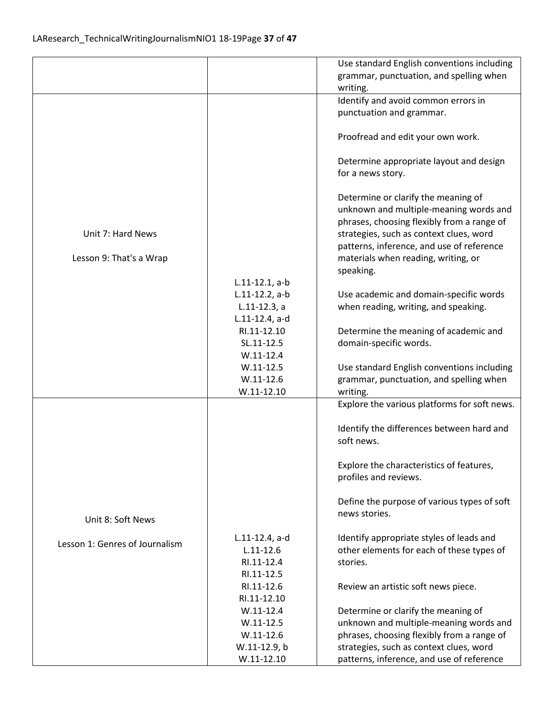|                                |                   | Use standard English conventions including   |
|--------------------------------|-------------------|----------------------------------------------|
|                                |                   | grammar, punctuation, and spelling when      |
|                                |                   | writing.                                     |
|                                |                   | Identify and avoid common errors in          |
|                                |                   | punctuation and grammar.                     |
|                                |                   |                                              |
|                                |                   | Proofread and edit your own work.            |
|                                |                   |                                              |
|                                |                   | Determine appropriate layout and design      |
|                                |                   | for a news story.                            |
|                                |                   |                                              |
|                                |                   | Determine or clarify the meaning of          |
|                                |                   | unknown and multiple-meaning words and       |
|                                |                   | phrases, choosing flexibly from a range of   |
| Unit 7: Hard News              |                   | strategies, such as context clues, word      |
|                                |                   | patterns, inference, and use of reference    |
| Lesson 9: That's a Wrap        |                   | materials when reading, writing, or          |
|                                |                   | speaking.                                    |
|                                | $L.11-12.1, a-b$  |                                              |
|                                | $L.11-12.2$ , a-b | Use academic and domain-specific words       |
|                                | $L.11-12.3, a$    | when reading, writing, and speaking.         |
|                                | L.11-12.4, a-d    |                                              |
|                                | RI.11-12.10       | Determine the meaning of academic and        |
|                                | SL.11-12.5        | domain-specific words.                       |
|                                | $W.11-12.4$       |                                              |
|                                | $W.11-12.5$       | Use standard English conventions including   |
|                                | $W.11-12.6$       | grammar, punctuation, and spelling when      |
|                                | $W.11-12.10$      | writing.                                     |
|                                |                   | Explore the various platforms for soft news. |
|                                |                   |                                              |
|                                |                   | Identify the differences between hard and    |
|                                |                   | soft news.                                   |
|                                |                   |                                              |
|                                |                   | Explore the characteristics of features,     |
|                                |                   | profiles and reviews.                        |
|                                |                   |                                              |
|                                |                   | Define the purpose of various types of soft  |
|                                |                   | news stories.                                |
| Unit 8: Soft News              |                   |                                              |
|                                | L.11-12.4, a-d    | Identify appropriate styles of leads and     |
| Lesson 1: Genres of Journalism | $L.11 - 12.6$     | other elements for each of these types of    |
|                                | RI.11-12.4        | stories.                                     |
|                                | RI.11-12.5        |                                              |
|                                | RI.11-12.6        | Review an artistic soft news piece.          |
|                                | RI.11-12.10       |                                              |
|                                | $W.11-12.4$       | Determine or clarify the meaning of          |
|                                | $W.11 - 12.5$     | unknown and multiple-meaning words and       |
|                                | $W.11-12.6$       | phrases, choosing flexibly from a range of   |
|                                | W.11-12.9, b      | strategies, such as context clues, word      |
|                                | $W.11-12.10$      | patterns, inference, and use of reference    |
|                                |                   |                                              |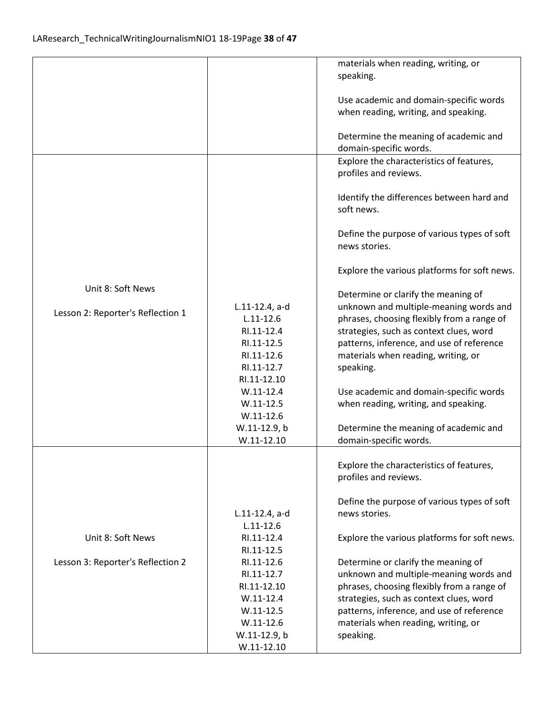|                                   |                   | materials when reading, writing, or          |
|-----------------------------------|-------------------|----------------------------------------------|
|                                   |                   | speaking.                                    |
|                                   |                   |                                              |
|                                   |                   | Use academic and domain-specific words       |
|                                   |                   | when reading, writing, and speaking.         |
|                                   |                   |                                              |
|                                   |                   |                                              |
|                                   |                   | Determine the meaning of academic and        |
|                                   |                   | domain-specific words.                       |
|                                   |                   | Explore the characteristics of features,     |
|                                   |                   | profiles and reviews.                        |
|                                   |                   |                                              |
|                                   |                   | Identify the differences between hard and    |
|                                   |                   | soft news.                                   |
|                                   |                   |                                              |
|                                   |                   | Define the purpose of various types of soft  |
|                                   |                   | news stories.                                |
|                                   |                   |                                              |
|                                   |                   | Explore the various platforms for soft news. |
|                                   |                   |                                              |
| Unit 8: Soft News                 |                   |                                              |
|                                   |                   | Determine or clarify the meaning of          |
| Lesson 2: Reporter's Reflection 1 | $L.11-12.4$ , a-d | unknown and multiple-meaning words and       |
|                                   | $L.11 - 12.6$     | phrases, choosing flexibly from a range of   |
|                                   | RI.11-12.4        | strategies, such as context clues, word      |
|                                   | RI.11-12.5        | patterns, inference, and use of reference    |
|                                   | RI.11-12.6        | materials when reading, writing, or          |
|                                   | RI.11-12.7        | speaking.                                    |
|                                   | RI.11-12.10       |                                              |
|                                   | $W.11 - 12.4$     | Use academic and domain-specific words       |
|                                   | $W.11 - 12.5$     | when reading, writing, and speaking.         |
|                                   | $W.11 - 12.6$     |                                              |
|                                   |                   |                                              |
|                                   | W.11-12.9, b      | Determine the meaning of academic and        |
|                                   | $W.11-12.10$      | domain-specific words.                       |
|                                   |                   |                                              |
|                                   |                   | Explore the characteristics of features,     |
|                                   |                   | profiles and reviews.                        |
|                                   |                   |                                              |
|                                   |                   | Define the purpose of various types of soft  |
|                                   | L.11-12.4, a-d    | news stories.                                |
|                                   | $L.11 - 12.6$     |                                              |
| Unit 8: Soft News                 | RI.11-12.4        | Explore the various platforms for soft news. |
|                                   | RI.11-12.5        |                                              |
| Lesson 3: Reporter's Reflection 2 | RI.11-12.6        | Determine or clarify the meaning of          |
|                                   | RI.11-12.7        | unknown and multiple-meaning words and       |
|                                   |                   |                                              |
|                                   | RI.11-12.10       | phrases, choosing flexibly from a range of   |
|                                   | $W.11 - 12.4$     | strategies, such as context clues, word      |
|                                   | $W.11 - 12.5$     | patterns, inference, and use of reference    |
|                                   | $W.11-12.6$       | materials when reading, writing, or          |
|                                   | W.11-12.9, b      | speaking.                                    |
|                                   | $W.11-12.10$      |                                              |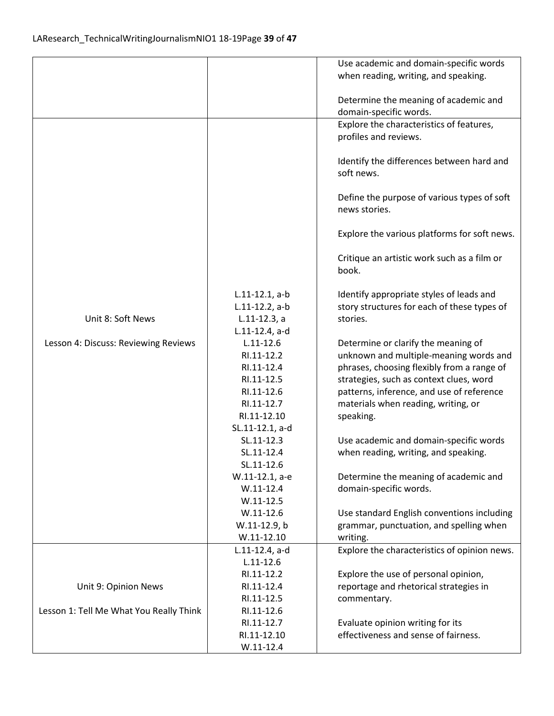| Use academic and domain-specific words<br>when reading, writing, and speaking.<br>Determine the meaning of academic and<br>domain-specific words.<br>Explore the characteristics of features,<br>profiles and reviews.<br>Identify the differences between hard and<br>soft news.<br>Define the purpose of various types of soft<br>news stories.<br>Explore the various platforms for soft news.<br>Critique an artistic work such as a film or<br>book.<br>Identify appropriate styles of leads and<br>$L.11-12.1, a-b$<br>story structures for each of these types of<br>$L.11-12.2$ , a-b<br>Unit 8: Soft News<br>$L.11-12.3$ , a<br>stories.<br>L.11-12.4, a-d<br>$L.11 - 12.6$<br>Lesson 4: Discuss: Reviewing Reviews<br>Determine or clarify the meaning of |
|---------------------------------------------------------------------------------------------------------------------------------------------------------------------------------------------------------------------------------------------------------------------------------------------------------------------------------------------------------------------------------------------------------------------------------------------------------------------------------------------------------------------------------------------------------------------------------------------------------------------------------------------------------------------------------------------------------------------------------------------------------------------|
|                                                                                                                                                                                                                                                                                                                                                                                                                                                                                                                                                                                                                                                                                                                                                                     |
|                                                                                                                                                                                                                                                                                                                                                                                                                                                                                                                                                                                                                                                                                                                                                                     |
|                                                                                                                                                                                                                                                                                                                                                                                                                                                                                                                                                                                                                                                                                                                                                                     |
|                                                                                                                                                                                                                                                                                                                                                                                                                                                                                                                                                                                                                                                                                                                                                                     |
|                                                                                                                                                                                                                                                                                                                                                                                                                                                                                                                                                                                                                                                                                                                                                                     |
|                                                                                                                                                                                                                                                                                                                                                                                                                                                                                                                                                                                                                                                                                                                                                                     |
|                                                                                                                                                                                                                                                                                                                                                                                                                                                                                                                                                                                                                                                                                                                                                                     |
|                                                                                                                                                                                                                                                                                                                                                                                                                                                                                                                                                                                                                                                                                                                                                                     |
|                                                                                                                                                                                                                                                                                                                                                                                                                                                                                                                                                                                                                                                                                                                                                                     |
|                                                                                                                                                                                                                                                                                                                                                                                                                                                                                                                                                                                                                                                                                                                                                                     |
|                                                                                                                                                                                                                                                                                                                                                                                                                                                                                                                                                                                                                                                                                                                                                                     |
|                                                                                                                                                                                                                                                                                                                                                                                                                                                                                                                                                                                                                                                                                                                                                                     |
|                                                                                                                                                                                                                                                                                                                                                                                                                                                                                                                                                                                                                                                                                                                                                                     |
|                                                                                                                                                                                                                                                                                                                                                                                                                                                                                                                                                                                                                                                                                                                                                                     |
|                                                                                                                                                                                                                                                                                                                                                                                                                                                                                                                                                                                                                                                                                                                                                                     |
|                                                                                                                                                                                                                                                                                                                                                                                                                                                                                                                                                                                                                                                                                                                                                                     |
|                                                                                                                                                                                                                                                                                                                                                                                                                                                                                                                                                                                                                                                                                                                                                                     |
|                                                                                                                                                                                                                                                                                                                                                                                                                                                                                                                                                                                                                                                                                                                                                                     |
|                                                                                                                                                                                                                                                                                                                                                                                                                                                                                                                                                                                                                                                                                                                                                                     |
|                                                                                                                                                                                                                                                                                                                                                                                                                                                                                                                                                                                                                                                                                                                                                                     |
|                                                                                                                                                                                                                                                                                                                                                                                                                                                                                                                                                                                                                                                                                                                                                                     |
|                                                                                                                                                                                                                                                                                                                                                                                                                                                                                                                                                                                                                                                                                                                                                                     |
|                                                                                                                                                                                                                                                                                                                                                                                                                                                                                                                                                                                                                                                                                                                                                                     |
|                                                                                                                                                                                                                                                                                                                                                                                                                                                                                                                                                                                                                                                                                                                                                                     |
|                                                                                                                                                                                                                                                                                                                                                                                                                                                                                                                                                                                                                                                                                                                                                                     |
| unknown and multiple-meaning words and<br>RI.11-12.2                                                                                                                                                                                                                                                                                                                                                                                                                                                                                                                                                                                                                                                                                                                |
| phrases, choosing flexibly from a range of<br>RI.11-12.4                                                                                                                                                                                                                                                                                                                                                                                                                                                                                                                                                                                                                                                                                                            |
| RI.11-12.5<br>strategies, such as context clues, word                                                                                                                                                                                                                                                                                                                                                                                                                                                                                                                                                                                                                                                                                                               |
| RI.11-12.6<br>patterns, inference, and use of reference                                                                                                                                                                                                                                                                                                                                                                                                                                                                                                                                                                                                                                                                                                             |
| RI.11-12.7<br>materials when reading, writing, or                                                                                                                                                                                                                                                                                                                                                                                                                                                                                                                                                                                                                                                                                                                   |
| RI.11-12.10<br>speaking.                                                                                                                                                                                                                                                                                                                                                                                                                                                                                                                                                                                                                                                                                                                                            |
| SL.11-12.1, a-d                                                                                                                                                                                                                                                                                                                                                                                                                                                                                                                                                                                                                                                                                                                                                     |
| SL.11-12.3<br>Use academic and domain-specific words                                                                                                                                                                                                                                                                                                                                                                                                                                                                                                                                                                                                                                                                                                                |
| SL.11-12.4<br>when reading, writing, and speaking.                                                                                                                                                                                                                                                                                                                                                                                                                                                                                                                                                                                                                                                                                                                  |
| SL.11-12.6                                                                                                                                                                                                                                                                                                                                                                                                                                                                                                                                                                                                                                                                                                                                                          |
| W.11-12.1, a-e<br>Determine the meaning of academic and                                                                                                                                                                                                                                                                                                                                                                                                                                                                                                                                                                                                                                                                                                             |
| $W.11-12.4$<br>domain-specific words.                                                                                                                                                                                                                                                                                                                                                                                                                                                                                                                                                                                                                                                                                                                               |
|                                                                                                                                                                                                                                                                                                                                                                                                                                                                                                                                                                                                                                                                                                                                                                     |
| $W.11-12.5$                                                                                                                                                                                                                                                                                                                                                                                                                                                                                                                                                                                                                                                                                                                                                         |
| $W.11-12.6$<br>Use standard English conventions including                                                                                                                                                                                                                                                                                                                                                                                                                                                                                                                                                                                                                                                                                                           |
| W.11-12.9, b<br>grammar, punctuation, and spelling when                                                                                                                                                                                                                                                                                                                                                                                                                                                                                                                                                                                                                                                                                                             |
| $W.11-12.10$<br>writing.                                                                                                                                                                                                                                                                                                                                                                                                                                                                                                                                                                                                                                                                                                                                            |
| Explore the characteristics of opinion news.<br>$L.11-12.4$ , a-d                                                                                                                                                                                                                                                                                                                                                                                                                                                                                                                                                                                                                                                                                                   |
| $L.11 - 12.6$                                                                                                                                                                                                                                                                                                                                                                                                                                                                                                                                                                                                                                                                                                                                                       |
| RI.11-12.2<br>Explore the use of personal opinion,                                                                                                                                                                                                                                                                                                                                                                                                                                                                                                                                                                                                                                                                                                                  |
| reportage and rhetorical strategies in<br>Unit 9: Opinion News<br>RI.11-12.4                                                                                                                                                                                                                                                                                                                                                                                                                                                                                                                                                                                                                                                                                        |
| RI.11-12.5<br>commentary.                                                                                                                                                                                                                                                                                                                                                                                                                                                                                                                                                                                                                                                                                                                                           |
| RI.11-12.6<br>Lesson 1: Tell Me What You Really Think                                                                                                                                                                                                                                                                                                                                                                                                                                                                                                                                                                                                                                                                                                               |
| RI.11-12.7<br>Evaluate opinion writing for its                                                                                                                                                                                                                                                                                                                                                                                                                                                                                                                                                                                                                                                                                                                      |
| effectiveness and sense of fairness.<br>RI.11-12.10                                                                                                                                                                                                                                                                                                                                                                                                                                                                                                                                                                                                                                                                                                                 |
| $W.11-12.4$                                                                                                                                                                                                                                                                                                                                                                                                                                                                                                                                                                                                                                                                                                                                                         |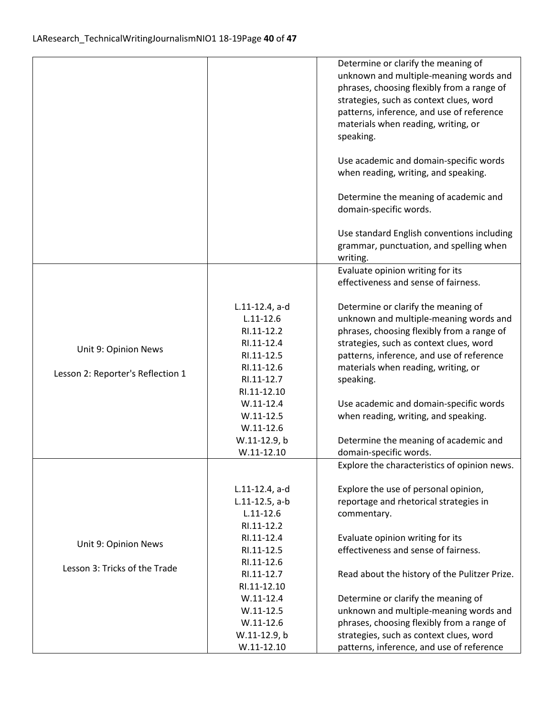|                                   |                            | Determine or clarify the meaning of                                           |
|-----------------------------------|----------------------------|-------------------------------------------------------------------------------|
|                                   |                            | unknown and multiple-meaning words and                                        |
|                                   |                            | phrases, choosing flexibly from a range of                                    |
|                                   |                            | strategies, such as context clues, word                                       |
|                                   |                            | patterns, inference, and use of reference                                     |
|                                   |                            | materials when reading, writing, or                                           |
|                                   |                            | speaking.                                                                     |
|                                   |                            | Use academic and domain-specific words                                        |
|                                   |                            | when reading, writing, and speaking.                                          |
|                                   |                            | Determine the meaning of academic and                                         |
|                                   |                            | domain-specific words.                                                        |
|                                   |                            | Use standard English conventions including                                    |
|                                   |                            | grammar, punctuation, and spelling when                                       |
|                                   |                            | writing.                                                                      |
|                                   |                            | Evaluate opinion writing for its                                              |
|                                   |                            | effectiveness and sense of fairness.                                          |
|                                   | L.11-12.4, a-d             | Determine or clarify the meaning of                                           |
|                                   | $L.11 - 12.6$              | unknown and multiple-meaning words and                                        |
|                                   | RI.11-12.2                 | phrases, choosing flexibly from a range of                                    |
|                                   | RI.11-12.4                 | strategies, such as context clues, word                                       |
| Unit 9: Opinion News              | RI.11-12.5                 | patterns, inference, and use of reference                                     |
| Lesson 2: Reporter's Reflection 1 | RI.11-12.6                 | materials when reading, writing, or                                           |
|                                   | RI.11-12.7                 | speaking.                                                                     |
|                                   | RI.11-12.10                |                                                                               |
|                                   | $W.11-12.4$                | Use academic and domain-specific words                                        |
|                                   | $W.11-12.5$                | when reading, writing, and speaking.                                          |
|                                   | $W.11-12.6$                |                                                                               |
|                                   | W.11-12.9, b               | Determine the meaning of academic and                                         |
|                                   | $W.11-12.10$               | domain-specific words.                                                        |
|                                   |                            | Explore the characteristics of opinion news.                                  |
|                                   | L.11-12.4, a-d             | Explore the use of personal opinion,                                          |
|                                   | $L.11-12.5$ , a-b          | reportage and rhetorical strategies in                                        |
|                                   | $L.11 - 12.6$              | commentary.                                                                   |
|                                   | RI.11-12.2                 |                                                                               |
| Unit 9: Opinion News              | RI.11-12.4                 | Evaluate opinion writing for its                                              |
|                                   | RI.11-12.5                 | effectiveness and sense of fairness.                                          |
| Lesson 3: Tricks of the Trade     | RI.11-12.6                 |                                                                               |
|                                   | RI.11-12.7                 | Read about the history of the Pulitzer Prize.                                 |
|                                   | RI.11-12.10<br>$W.11-12.4$ |                                                                               |
|                                   | $W.11-12.5$                | Determine or clarify the meaning of<br>unknown and multiple-meaning words and |
|                                   | $W.11-12.6$                | phrases, choosing flexibly from a range of                                    |
|                                   | W.11-12.9, b               | strategies, such as context clues, word                                       |
|                                   | $W.11-12.10$               | patterns, inference, and use of reference                                     |
|                                   |                            |                                                                               |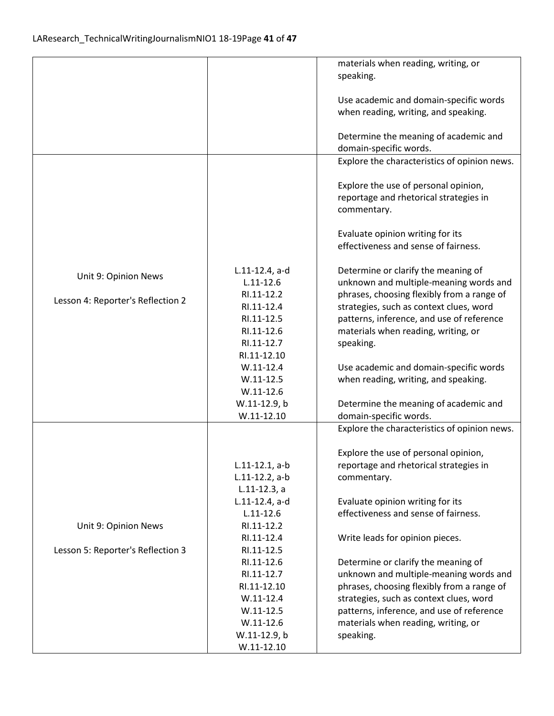|                                   |                              | materials when reading, writing, or          |
|-----------------------------------|------------------------------|----------------------------------------------|
|                                   |                              | speaking.                                    |
|                                   |                              |                                              |
|                                   |                              | Use academic and domain-specific words       |
|                                   |                              | when reading, writing, and speaking.         |
|                                   |                              |                                              |
|                                   |                              | Determine the meaning of academic and        |
|                                   |                              | domain-specific words.                       |
|                                   |                              | Explore the characteristics of opinion news. |
|                                   |                              | Explore the use of personal opinion,         |
|                                   |                              | reportage and rhetorical strategies in       |
|                                   |                              | commentary.                                  |
|                                   |                              |                                              |
|                                   |                              | Evaluate opinion writing for its             |
|                                   |                              | effectiveness and sense of fairness.         |
|                                   |                              |                                              |
| Unit 9: Opinion News              | L.11-12.4, a-d               | Determine or clarify the meaning of          |
|                                   | $L.11 - 12.6$                | unknown and multiple-meaning words and       |
| Lesson 4: Reporter's Reflection 2 | RI.11-12.2                   | phrases, choosing flexibly from a range of   |
|                                   | RI.11-12.4                   | strategies, such as context clues, word      |
|                                   | RI.11-12.5                   | patterns, inference, and use of reference    |
|                                   | RI.11-12.6                   | materials when reading, writing, or          |
|                                   | RI.11-12.7                   | speaking.                                    |
|                                   | RI.11-12.10                  |                                              |
|                                   | $W.11-12.4$<br>$W.11 - 12.5$ | Use academic and domain-specific words       |
|                                   | $W.11-12.6$                  | when reading, writing, and speaking.         |
|                                   | W.11-12.9, b                 | Determine the meaning of academic and        |
|                                   | $W.11-12.10$                 | domain-specific words.                       |
|                                   |                              | Explore the characteristics of opinion news. |
|                                   |                              |                                              |
|                                   |                              | Explore the use of personal opinion,         |
|                                   | $L.11-12.1, a-b$             | reportage and rhetorical strategies in       |
|                                   | $L.11-12.2$ , a-b            | commentary.                                  |
|                                   | $L.11-12.3, a$               |                                              |
|                                   | $L.11-12.4$ , a-d            | Evaluate opinion writing for its             |
|                                   | $L.11 - 12.6$                | effectiveness and sense of fairness.         |
| Unit 9: Opinion News              | RI.11-12.2                   |                                              |
|                                   | RI.11-12.4                   | Write leads for opinion pieces.              |
| Lesson 5: Reporter's Reflection 3 | RI.11-12.5                   |                                              |
|                                   | RI.11-12.6                   | Determine or clarify the meaning of          |
|                                   | RI.11-12.7                   | unknown and multiple-meaning words and       |
|                                   | RI.11-12.10                  | phrases, choosing flexibly from a range of   |
|                                   | $W.11 - 12.4$                | strategies, such as context clues, word      |
|                                   | $W.11-12.5$                  | patterns, inference, and use of reference    |
|                                   | $W.11-12.6$                  | materials when reading, writing, or          |
|                                   | W.11-12.9, b                 | speaking.                                    |
|                                   | $W.11-12.10$                 |                                              |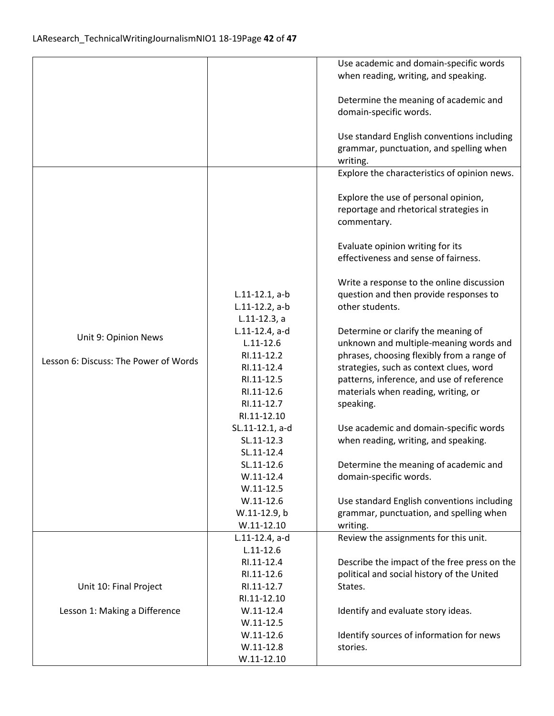|                                       |                   | Use academic and domain-specific words       |
|---------------------------------------|-------------------|----------------------------------------------|
|                                       |                   | when reading, writing, and speaking.         |
|                                       |                   |                                              |
|                                       |                   | Determine the meaning of academic and        |
|                                       |                   | domain-specific words.                       |
|                                       |                   |                                              |
|                                       |                   | Use standard English conventions including   |
|                                       |                   | grammar, punctuation, and spelling when      |
|                                       |                   |                                              |
|                                       |                   | writing.                                     |
|                                       |                   | Explore the characteristics of opinion news. |
|                                       |                   |                                              |
|                                       |                   | Explore the use of personal opinion,         |
|                                       |                   | reportage and rhetorical strategies in       |
|                                       |                   | commentary.                                  |
|                                       |                   |                                              |
|                                       |                   | Evaluate opinion writing for its             |
|                                       |                   | effectiveness and sense of fairness.         |
|                                       |                   |                                              |
|                                       |                   | Write a response to the online discussion    |
|                                       | $L.11-12.1, a-b$  | question and then provide responses to       |
|                                       | $L.11-12.2$ , a-b | other students.                              |
|                                       | $L.11-12.3, a$    |                                              |
|                                       | $L.11-12.4$ , a-d | Determine or clarify the meaning of          |
| Unit 9: Opinion News                  | $L.11 - 12.6$     | unknown and multiple-meaning words and       |
|                                       | RI.11-12.2        | phrases, choosing flexibly from a range of   |
| Lesson 6: Discuss: The Power of Words | RI.11-12.4        | strategies, such as context clues, word      |
|                                       | RI.11-12.5        | patterns, inference, and use of reference    |
|                                       | RI.11-12.6        | materials when reading, writing, or          |
|                                       | RI.11-12.7        | speaking.                                    |
|                                       | RI.11-12.10       |                                              |
|                                       |                   |                                              |
|                                       | SL.11-12.1, a-d   | Use academic and domain-specific words       |
|                                       | SL.11-12.3        | when reading, writing, and speaking.         |
|                                       | SL.11-12.4        |                                              |
|                                       | SL.11-12.6        | Determine the meaning of academic and        |
|                                       | $W.11-12.4$       | domain-specific words.                       |
|                                       | $W.11 - 12.5$     |                                              |
|                                       | $W.11-12.6$       | Use standard English conventions including   |
|                                       | W.11-12.9, b      | grammar, punctuation, and spelling when      |
|                                       | $W.11 - 12.10$    | writing.                                     |
|                                       | $L.11-12.4$ , a-d | Review the assignments for this unit.        |
|                                       | $L.11 - 12.6$     |                                              |
|                                       | RI.11-12.4        | Describe the impact of the free press on the |
|                                       | RI.11-12.6        | political and social history of the United   |
| Unit 10: Final Project                | RI.11-12.7        | States.                                      |
|                                       | RI.11-12.10       |                                              |
| Lesson 1: Making a Difference         | $W.11 - 12.4$     | Identify and evaluate story ideas.           |
|                                       | $W.11 - 12.5$     |                                              |
|                                       | $W.11-12.6$       | Identify sources of information for news     |
|                                       | $W.11-12.8$       | stories.                                     |
|                                       | $W.11-12.10$      |                                              |
|                                       |                   |                                              |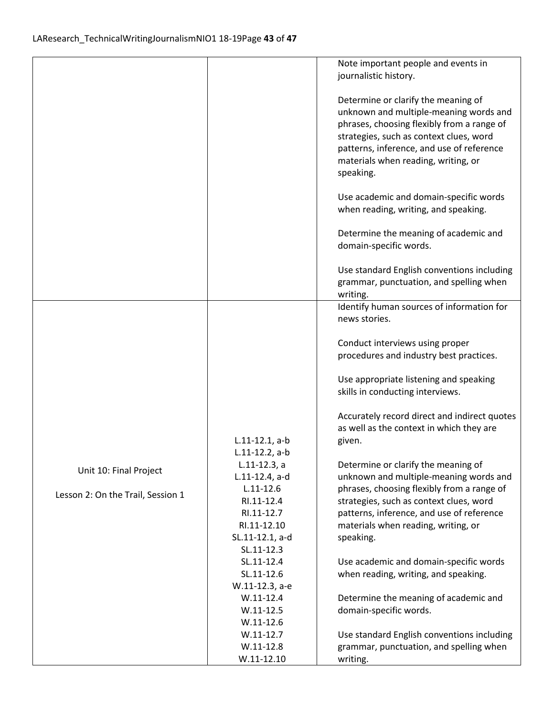|                                   |                                 | Note important people and events in                                                   |
|-----------------------------------|---------------------------------|---------------------------------------------------------------------------------------|
|                                   |                                 | journalistic history.                                                                 |
|                                   |                                 | Determine or clarify the meaning of                                                   |
|                                   |                                 | unknown and multiple-meaning words and                                                |
|                                   |                                 | phrases, choosing flexibly from a range of                                            |
|                                   |                                 | strategies, such as context clues, word                                               |
|                                   |                                 | patterns, inference, and use of reference                                             |
|                                   |                                 | materials when reading, writing, or                                                   |
|                                   |                                 | speaking.                                                                             |
|                                   |                                 | Use academic and domain-specific words                                                |
|                                   |                                 | when reading, writing, and speaking.                                                  |
|                                   |                                 | Determine the meaning of academic and                                                 |
|                                   |                                 | domain-specific words.                                                                |
|                                   |                                 | Use standard English conventions including                                            |
|                                   |                                 | grammar, punctuation, and spelling when                                               |
|                                   |                                 | writing.                                                                              |
|                                   |                                 | Identify human sources of information for                                             |
|                                   |                                 | news stories.                                                                         |
|                                   |                                 | Conduct interviews using proper                                                       |
|                                   |                                 | procedures and industry best practices.                                               |
|                                   |                                 | Use appropriate listening and speaking                                                |
|                                   |                                 | skills in conducting interviews.                                                      |
|                                   |                                 | Accurately record direct and indirect quotes                                          |
|                                   |                                 | as well as the context in which they are                                              |
|                                   | $L.11-12.1, a-b$                | given.                                                                                |
|                                   | $L.11-12.2$ , a-b               |                                                                                       |
| Unit 10: Final Project            | $L.11-12.3, a$                  | Determine or clarify the meaning of                                                   |
|                                   | L.11-12.4, a-d<br>$L.11 - 12.6$ | unknown and multiple-meaning words and                                                |
| Lesson 2: On the Trail, Session 1 | RI.11-12.4                      | phrases, choosing flexibly from a range of<br>strategies, such as context clues, word |
|                                   | RI.11-12.7                      | patterns, inference, and use of reference                                             |
|                                   | RI.11-12.10                     | materials when reading, writing, or                                                   |
|                                   | SL.11-12.1, a-d                 | speaking.                                                                             |
|                                   | SL.11-12.3                      |                                                                                       |
|                                   | SL.11-12.4                      | Use academic and domain-specific words                                                |
|                                   | SL.11-12.6                      | when reading, writing, and speaking.                                                  |
|                                   | W.11-12.3, a-e                  |                                                                                       |
|                                   | $W.11-12.4$                     | Determine the meaning of academic and                                                 |
|                                   | $W.11 - 12.5$                   | domain-specific words.                                                                |
|                                   | $W.11-12.6$                     |                                                                                       |
|                                   | $W.11-12.7$                     | Use standard English conventions including                                            |
|                                   | $W.11-12.8$                     | grammar, punctuation, and spelling when                                               |
|                                   | $W.11-12.10$                    | writing.                                                                              |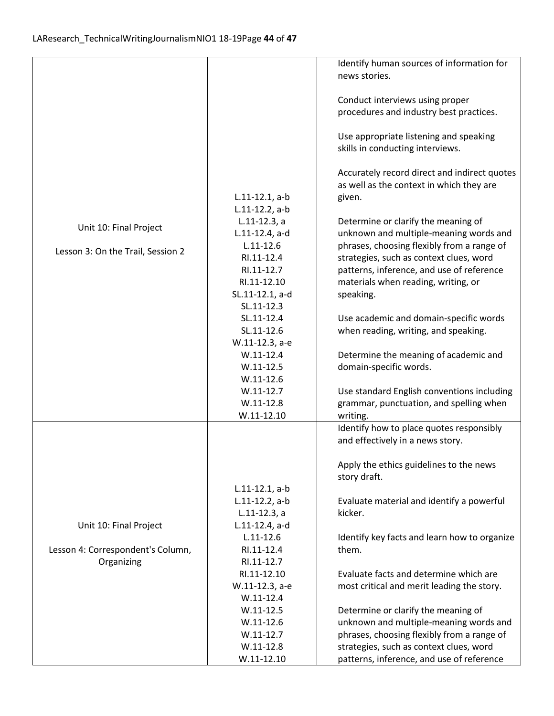|                                   |                                       | Identify human sources of information for                                    |
|-----------------------------------|---------------------------------------|------------------------------------------------------------------------------|
|                                   |                                       | news stories.                                                                |
|                                   |                                       |                                                                              |
|                                   |                                       | Conduct interviews using proper                                              |
|                                   |                                       | procedures and industry best practices.                                      |
|                                   |                                       |                                                                              |
|                                   |                                       | Use appropriate listening and speaking                                       |
|                                   |                                       | skills in conducting interviews.                                             |
|                                   |                                       |                                                                              |
|                                   |                                       | Accurately record direct and indirect quotes                                 |
|                                   |                                       | as well as the context in which they are                                     |
|                                   | $L.11-12.1, a-b$<br>$L.11-12.2$ , a-b | given.                                                                       |
|                                   | $L.11-12.3, a$                        | Determine or clarify the meaning of                                          |
| Unit 10: Final Project            | L.11-12.4, a-d                        | unknown and multiple-meaning words and                                       |
|                                   | $L.11 - 12.6$                         | phrases, choosing flexibly from a range of                                   |
| Lesson 3: On the Trail, Session 2 | RI.11-12.4                            | strategies, such as context clues, word                                      |
|                                   | RI.11-12.7                            | patterns, inference, and use of reference                                    |
|                                   | RI.11-12.10                           | materials when reading, writing, or                                          |
|                                   | SL.11-12.1, a-d                       | speaking.                                                                    |
|                                   | SL.11-12.3                            |                                                                              |
|                                   | SL.11-12.4                            | Use academic and domain-specific words                                       |
|                                   | SL.11-12.6                            | when reading, writing, and speaking.                                         |
|                                   | W.11-12.3, a-e                        |                                                                              |
|                                   | $W.11-12.4$                           | Determine the meaning of academic and                                        |
|                                   | $W.11 - 12.5$                         | domain-specific words.                                                       |
|                                   | $W.11-12.6$                           |                                                                              |
|                                   | $W.11-12.7$                           | Use standard English conventions including                                   |
|                                   | $W.11-12.8$                           | grammar, punctuation, and spelling when                                      |
|                                   | $W.11-12.10$                          | writing.                                                                     |
|                                   |                                       | Identify how to place quotes responsibly<br>and effectively in a news story. |
|                                   |                                       |                                                                              |
|                                   |                                       | Apply the ethics guidelines to the news                                      |
|                                   |                                       | story draft.                                                                 |
|                                   | $L.11-12.1, a-b$                      |                                                                              |
|                                   | $L.11-12.2$ , a-b                     | Evaluate material and identify a powerful                                    |
|                                   | $L.11-12.3, a$                        | kicker.                                                                      |
| Unit 10: Final Project            | L.11-12.4, a-d                        |                                                                              |
|                                   | $L.11 - 12.6$                         | Identify key facts and learn how to organize                                 |
| Lesson 4: Correspondent's Column, | RI.11-12.4                            | them.                                                                        |
| Organizing                        | RI.11-12.7                            |                                                                              |
|                                   | RI.11-12.10                           | Evaluate facts and determine which are                                       |
|                                   | W.11-12.3, a-e                        | most critical and merit leading the story.                                   |
|                                   | $W.11-12.4$                           |                                                                              |
|                                   | $W.11 - 12.5$                         | Determine or clarify the meaning of                                          |
|                                   | $W.11-12.6$                           | unknown and multiple-meaning words and                                       |
|                                   | $W.11-12.7$                           | phrases, choosing flexibly from a range of                                   |
|                                   | $W.11-12.8$                           | strategies, such as context clues, word                                      |
|                                   | $W.11-12.10$                          | patterns, inference, and use of reference                                    |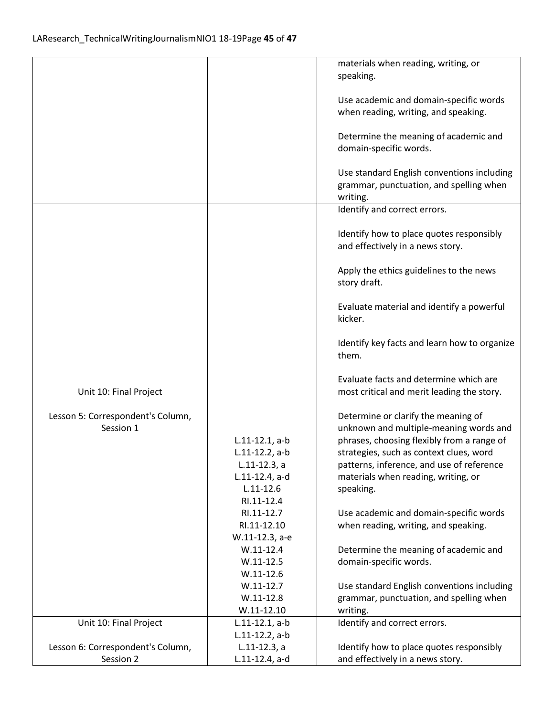|                                   |                                       | materials when reading, writing, or                                                  |
|-----------------------------------|---------------------------------------|--------------------------------------------------------------------------------------|
|                                   |                                       | speaking.                                                                            |
|                                   |                                       | Use academic and domain-specific words                                               |
|                                   |                                       | when reading, writing, and speaking.                                                 |
|                                   |                                       |                                                                                      |
|                                   |                                       | Determine the meaning of academic and                                                |
|                                   |                                       | domain-specific words.                                                               |
|                                   |                                       | Use standard English conventions including                                           |
|                                   |                                       | grammar, punctuation, and spelling when                                              |
|                                   |                                       | writing.                                                                             |
|                                   |                                       | Identify and correct errors.                                                         |
|                                   |                                       |                                                                                      |
|                                   |                                       | Identify how to place quotes responsibly                                             |
|                                   |                                       | and effectively in a news story.                                                     |
|                                   |                                       | Apply the ethics guidelines to the news                                              |
|                                   |                                       | story draft.                                                                         |
|                                   |                                       |                                                                                      |
|                                   |                                       | Evaluate material and identify a powerful                                            |
|                                   |                                       | kicker.                                                                              |
|                                   |                                       |                                                                                      |
|                                   |                                       | Identify key facts and learn how to organize<br>them.                                |
|                                   |                                       |                                                                                      |
|                                   |                                       | Evaluate facts and determine which are                                               |
| Unit 10: Final Project            |                                       | most critical and merit leading the story.                                           |
|                                   |                                       |                                                                                      |
| Lesson 5: Correspondent's Column, |                                       | Determine or clarify the meaning of                                                  |
| Session 1                         | $L.11-12.1, a-b$                      | unknown and multiple-meaning words and<br>phrases, choosing flexibly from a range of |
|                                   | $L.11-12.2$ , a-b                     | strategies, such as context clues, word                                              |
|                                   | $L.11-12.3, a$                        | patterns, inference, and use of reference                                            |
|                                   | L.11-12.4, a-d                        | materials when reading, writing, or                                                  |
|                                   | $L.11 - 12.6$                         | speaking.                                                                            |
|                                   | RI.11-12.4                            |                                                                                      |
|                                   | RI.11-12.7                            | Use academic and domain-specific words                                               |
|                                   | RI.11-12.10<br>W.11-12.3, a-e         | when reading, writing, and speaking.                                                 |
|                                   | $W.11-12.4$                           | Determine the meaning of academic and                                                |
|                                   | $W.11 - 12.5$                         | domain-specific words.                                                               |
|                                   | $W.11-12.6$                           |                                                                                      |
|                                   | $W.11-12.7$                           | Use standard English conventions including                                           |
|                                   | $W.11-12.8$                           | grammar, punctuation, and spelling when                                              |
|                                   | $W.11-12.10$                          | writing.                                                                             |
| Unit 10: Final Project            | $L.11-12.1, a-b$<br>$L.11-12.2$ , a-b | Identify and correct errors.                                                         |
| Lesson 6: Correspondent's Column, | $L.11-12.3$ , a                       | Identify how to place quotes responsibly                                             |
| Session 2                         | L.11-12.4, a-d                        | and effectively in a news story.                                                     |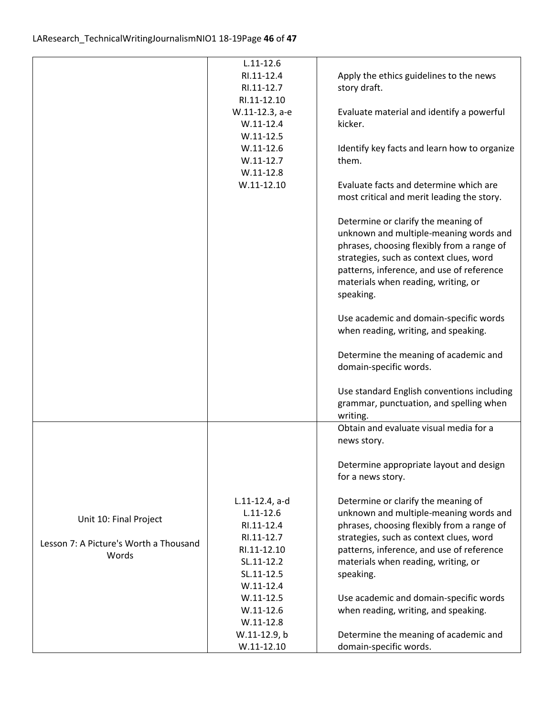|                                        | $L.11 - 12.6$  |                                              |
|----------------------------------------|----------------|----------------------------------------------|
|                                        | RI.11-12.4     | Apply the ethics guidelines to the news      |
|                                        | RI.11-12.7     | story draft.                                 |
|                                        | RI.11-12.10    |                                              |
|                                        | W.11-12.3, a-e | Evaluate material and identify a powerful    |
|                                        | $W.11-12.4$    | kicker.                                      |
|                                        | $W.11-12.5$    |                                              |
|                                        | $W.11-12.6$    | Identify key facts and learn how to organize |
|                                        | $W.11-12.7$    | them.                                        |
|                                        | $W.11-12.8$    |                                              |
|                                        | $W.11 - 12.10$ | Evaluate facts and determine which are       |
|                                        |                | most critical and merit leading the story.   |
|                                        |                | Determine or clarify the meaning of          |
|                                        |                | unknown and multiple-meaning words and       |
|                                        |                | phrases, choosing flexibly from a range of   |
|                                        |                | strategies, such as context clues, word      |
|                                        |                | patterns, inference, and use of reference    |
|                                        |                | materials when reading, writing, or          |
|                                        |                | speaking.                                    |
|                                        |                | Use academic and domain-specific words       |
|                                        |                | when reading, writing, and speaking.         |
|                                        |                |                                              |
|                                        |                | Determine the meaning of academic and        |
|                                        |                | domain-specific words.                       |
|                                        |                |                                              |
|                                        |                | Use standard English conventions including   |
|                                        |                | grammar, punctuation, and spelling when      |
|                                        |                | writing.                                     |
|                                        |                | Obtain and evaluate visual media for a       |
|                                        |                | news story.                                  |
|                                        |                | Determine appropriate layout and design      |
|                                        |                | for a news story.                            |
|                                        |                |                                              |
|                                        | L.11-12.4, a-d | Determine or clarify the meaning of          |
|                                        | $L.11 - 12.6$  | unknown and multiple-meaning words and       |
| Unit 10: Final Project                 | RI.11-12.4     | phrases, choosing flexibly from a range of   |
|                                        | RI.11-12.7     | strategies, such as context clues, word      |
| Lesson 7: A Picture's Worth a Thousand | RI.11-12.10    | patterns, inference, and use of reference    |
| Words                                  | SL.11-12.2     | materials when reading, writing, or          |
|                                        | SL.11-12.5     | speaking.                                    |
|                                        | $W.11-12.4$    |                                              |
|                                        | $W.11-12.5$    | Use academic and domain-specific words       |
|                                        | $W.11-12.6$    | when reading, writing, and speaking.         |
|                                        | $W.11-12.8$    |                                              |
|                                        | W.11-12.9, b   | Determine the meaning of academic and        |
|                                        | $W.11-12.10$   | domain-specific words.                       |